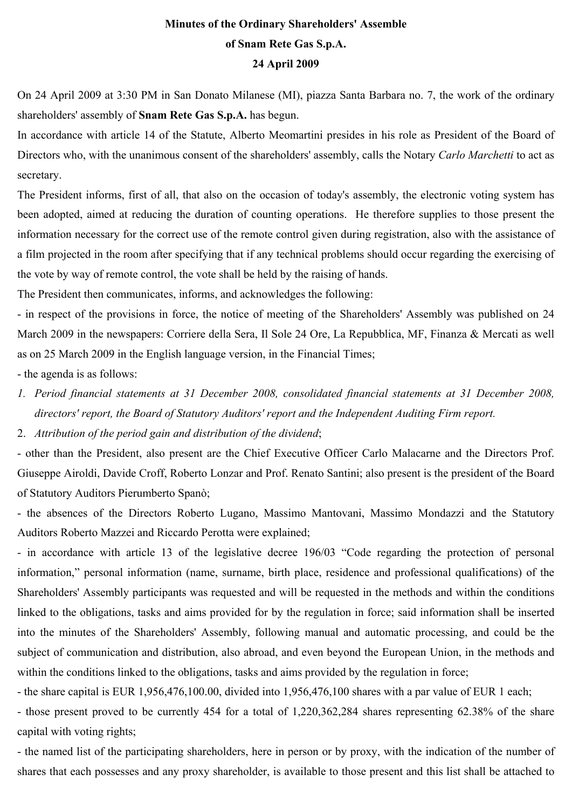#### **Minutes of the Ordinary Shareholders' Assemble of Snam Rete Gas S.p.A. 24 April 2009**

On 24 April 2009 at 3:30 PM in San Donato Milanese (MI), piazza Santa Barbara no. 7, the work of the ordinary shareholders' assembly of **Snam Rete Gas S.p.A.** has begun.

In accordance with article 14 of the Statute, Alberto Meomartini presides in his role as President of the Board of Directors who, with the unanimous consent of the shareholders' assembly, calls the Notary *Carlo Marchetti* to act as secretary.

The President informs, first of all, that also on the occasion of today's assembly, the electronic voting system has been adopted, aimed at reducing the duration of counting operations. He therefore supplies to those present the information necessary for the correct use of the remote control given during registration, also with the assistance of a film projected in the room after specifying that if any technical problems should occur regarding the exercising of the vote by way of remote control, the vote shall be held by the raising of hands.

The President then communicates, informs, and acknowledges the following:

- in respect of the provisions in force, the notice of meeting of the Shareholders' Assembly was published on 24 March 2009 in the newspapers: Corriere della Sera, Il Sole 24 Ore, La Repubblica, MF, Finanza & Mercati as well as on 25 March 2009 in the English language version, in the Financial Times;

- the agenda is as follows:

*1. Period financial statements at 31 December 2008, consolidated financial statements at 31 December 2008, directors' report, the Board of Statutory Auditors' report and the Independent Auditing Firm report.* 

2. *Attribution of the period gain and distribution of the dividend*;

- other than the President, also present are the Chief Executive Officer Carlo Malacarne and the Directors Prof. Giuseppe Airoldi, Davide Croff, Roberto Lonzar and Prof. Renato Santini; also present is the president of the Board of Statutory Auditors Pierumberto Spanò;

- the absences of the Directors Roberto Lugano, Massimo Mantovani, Massimo Mondazzi and the Statutory Auditors Roberto Mazzei and Riccardo Perotta were explained;

- in accordance with article 13 of the legislative decree 196/03 "Code regarding the protection of personal information," personal information (name, surname, birth place, residence and professional qualifications) of the Shareholders' Assembly participants was requested and will be requested in the methods and within the conditions linked to the obligations, tasks and aims provided for by the regulation in force; said information shall be inserted into the minutes of the Shareholders' Assembly, following manual and automatic processing, and could be the subject of communication and distribution, also abroad, and even beyond the European Union, in the methods and within the conditions linked to the obligations, tasks and aims provided by the regulation in force;

- the share capital is EUR 1,956,476,100.00, divided into 1,956,476,100 shares with a par value of EUR 1 each;

- those present proved to be currently 454 for a total of 1,220,362,284 shares representing 62.38% of the share capital with voting rights;

- the named list of the participating shareholders, here in person or by proxy, with the indication of the number of shares that each possesses and any proxy shareholder, is available to those present and this list shall be attached to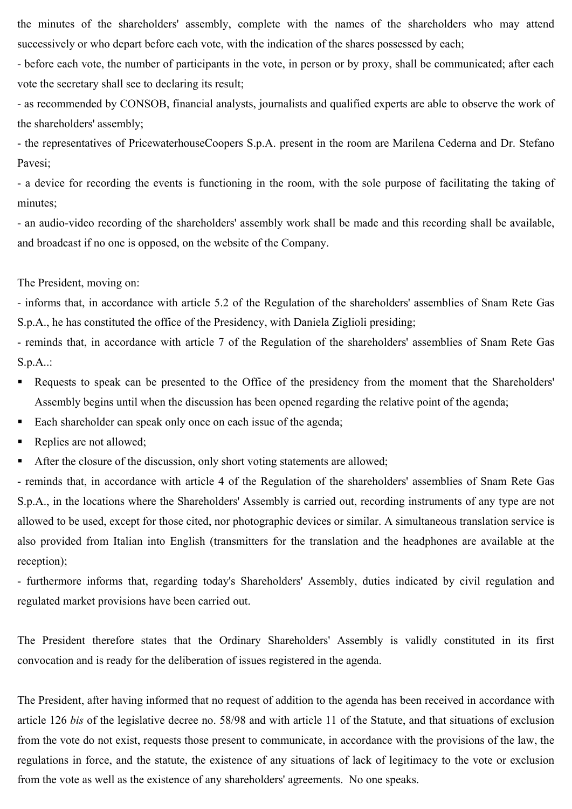the minutes of the shareholders' assembly, complete with the names of the shareholders who may attend successively or who depart before each vote, with the indication of the shares possessed by each;

- before each vote, the number of participants in the vote, in person or by proxy, shall be communicated; after each vote the secretary shall see to declaring its result;

- as recommended by CONSOB, financial analysts, journalists and qualified experts are able to observe the work of the shareholders' assembly;

- the representatives of PricewaterhouseCoopers S.p.A. present in the room are Marilena Cederna and Dr. Stefano Pavesi;

- a device for recording the events is functioning in the room, with the sole purpose of facilitating the taking of minutes;

- an audio-video recording of the shareholders' assembly work shall be made and this recording shall be available, and broadcast if no one is opposed, on the website of the Company.

The President, moving on:

- informs that, in accordance with article 5.2 of the Regulation of the shareholders' assemblies of Snam Rete Gas S.p.A., he has constituted the office of the Presidency, with Daniela Ziglioli presiding;

- reminds that, in accordance with article 7 of the Regulation of the shareholders' assemblies of Snam Rete Gas S.p.A..:

- Requests to speak can be presented to the Office of the presidency from the moment that the Shareholders' Assembly begins until when the discussion has been opened regarding the relative point of the agenda;
- Each shareholder can speak only once on each issue of the agenda;
- Replies are not allowed:
- After the closure of the discussion, only short voting statements are allowed;

- reminds that, in accordance with article 4 of the Regulation of the shareholders' assemblies of Snam Rete Gas S.p.A., in the locations where the Shareholders' Assembly is carried out, recording instruments of any type are not allowed to be used, except for those cited, nor photographic devices or similar. A simultaneous translation service is also provided from Italian into English (transmitters for the translation and the headphones are available at the reception);

- furthermore informs that, regarding today's Shareholders' Assembly, duties indicated by civil regulation and regulated market provisions have been carried out.

The President therefore states that the Ordinary Shareholders' Assembly is validly constituted in its first convocation and is ready for the deliberation of issues registered in the agenda.

The President, after having informed that no request of addition to the agenda has been received in accordance with article 126 *bis* of the legislative decree no. 58/98 and with article 11 of the Statute, and that situations of exclusion from the vote do not exist, requests those present to communicate, in accordance with the provisions of the law, the regulations in force, and the statute, the existence of any situations of lack of legitimacy to the vote or exclusion from the vote as well as the existence of any shareholders' agreements. No one speaks.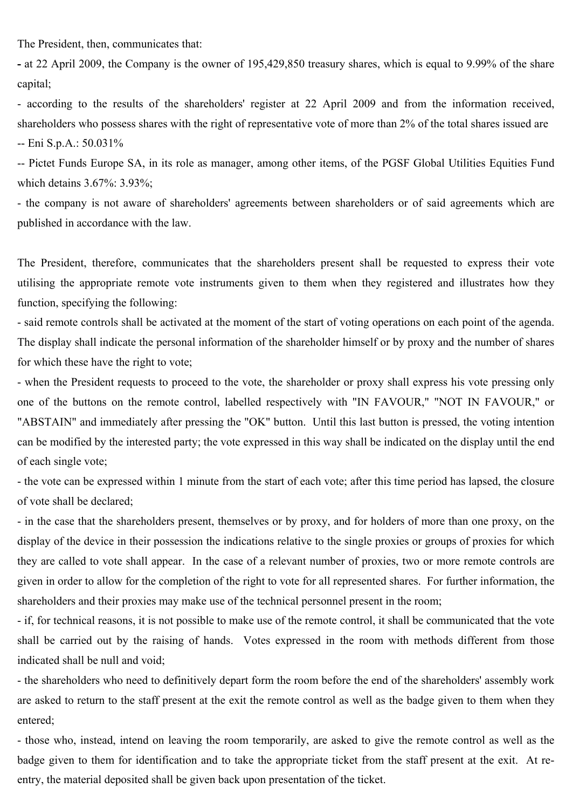The President, then, communicates that:

**-** at 22 April 2009, the Company is the owner of 195,429,850 treasury shares, which is equal to 9.99% of the share capital;

- according to the results of the shareholders' register at 22 April 2009 and from the information received, shareholders who possess shares with the right of representative vote of more than 2% of the total shares issued are -- Eni S.p.A.: 50.031%

-- Pictet Funds Europe SA, in its role as manager, among other items, of the PGSF Global Utilities Equities Fund which detains 3.67%: 3.93%;

- the company is not aware of shareholders' agreements between shareholders or of said agreements which are published in accordance with the law.

The President, therefore, communicates that the shareholders present shall be requested to express their vote utilising the appropriate remote vote instruments given to them when they registered and illustrates how they function, specifying the following:

- said remote controls shall be activated at the moment of the start of voting operations on each point of the agenda. The display shall indicate the personal information of the shareholder himself or by proxy and the number of shares for which these have the right to vote;

- when the President requests to proceed to the vote, the shareholder or proxy shall express his vote pressing only one of the buttons on the remote control, labelled respectively with "IN FAVOUR," "NOT IN FAVOUR," or "ABSTAIN" and immediately after pressing the "OK" button. Until this last button is pressed, the voting intention can be modified by the interested party; the vote expressed in this way shall be indicated on the display until the end of each single vote;

- the vote can be expressed within 1 minute from the start of each vote; after this time period has lapsed, the closure of vote shall be declared;

- in the case that the shareholders present, themselves or by proxy, and for holders of more than one proxy, on the display of the device in their possession the indications relative to the single proxies or groups of proxies for which they are called to vote shall appear. In the case of a relevant number of proxies, two or more remote controls are given in order to allow for the completion of the right to vote for all represented shares. For further information, the shareholders and their proxies may make use of the technical personnel present in the room;

- if, for technical reasons, it is not possible to make use of the remote control, it shall be communicated that the vote shall be carried out by the raising of hands. Votes expressed in the room with methods different from those indicated shall be null and void;

- the shareholders who need to definitively depart form the room before the end of the shareholders' assembly work are asked to return to the staff present at the exit the remote control as well as the badge given to them when they entered;

- those who, instead, intend on leaving the room temporarily, are asked to give the remote control as well as the badge given to them for identification and to take the appropriate ticket from the staff present at the exit. At reentry, the material deposited shall be given back upon presentation of the ticket.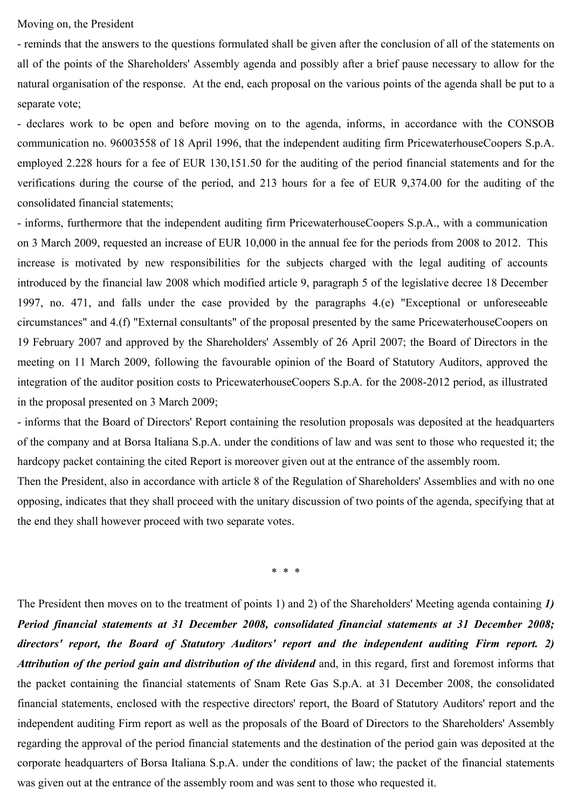Moving on, the President

- reminds that the answers to the questions formulated shall be given after the conclusion of all of the statements on all of the points of the Shareholders' Assembly agenda and possibly after a brief pause necessary to allow for the natural organisation of the response. At the end, each proposal on the various points of the agenda shall be put to a separate vote;

- declares work to be open and before moving on to the agenda, informs, in accordance with the CONSOB communication no. 96003558 of 18 April 1996, that the independent auditing firm PricewaterhouseCoopers S.p.A. employed 2.228 hours for a fee of EUR 130,151.50 for the auditing of the period financial statements and for the verifications during the course of the period, and 213 hours for a fee of EUR 9,374.00 for the auditing of the consolidated financial statements;

- informs, furthermore that the independent auditing firm PricewaterhouseCoopers S.p.A., with a communication on 3 March 2009, requested an increase of EUR 10,000 in the annual fee for the periods from 2008 to 2012. This increase is motivated by new responsibilities for the subjects charged with the legal auditing of accounts introduced by the financial law 2008 which modified article 9, paragraph 5 of the legislative decree 18 December 1997, no. 471, and falls under the case provided by the paragraphs 4.(e) "Exceptional or unforeseeable circumstances" and 4.(f) "External consultants" of the proposal presented by the same PricewaterhouseCoopers on 19 February 2007 and approved by the Shareholders' Assembly of 26 April 2007; the Board of Directors in the meeting on 11 March 2009, following the favourable opinion of the Board of Statutory Auditors, approved the integration of the auditor position costs to PricewaterhouseCoopers S.p.A. for the 2008-2012 period, as illustrated in the proposal presented on 3 March 2009;

- informs that the Board of Directors' Report containing the resolution proposals was deposited at the headquarters of the company and at Borsa Italiana S.p.A. under the conditions of law and was sent to those who requested it; the hardcopy packet containing the cited Report is moreover given out at the entrance of the assembly room.

Then the President, also in accordance with article 8 of the Regulation of Shareholders' Assemblies and with no one opposing, indicates that they shall proceed with the unitary discussion of two points of the agenda, specifying that at the end they shall however proceed with two separate votes.

\* \* \*

The President then moves on to the treatment of points 1) and 2) of the Shareholders' Meeting agenda containing *1) Period financial statements at 31 December 2008, consolidated financial statements at 31 December 2008; directors' report, the Board of Statutory Auditors' report and the independent auditing Firm report. 2) Attribution of the period gain and distribution of the dividend* and, in this regard, first and foremost informs that the packet containing the financial statements of Snam Rete Gas S.p.A. at 31 December 2008, the consolidated financial statements, enclosed with the respective directors' report, the Board of Statutory Auditors' report and the independent auditing Firm report as well as the proposals of the Board of Directors to the Shareholders' Assembly regarding the approval of the period financial statements and the destination of the period gain was deposited at the corporate headquarters of Borsa Italiana S.p.A. under the conditions of law; the packet of the financial statements was given out at the entrance of the assembly room and was sent to those who requested it.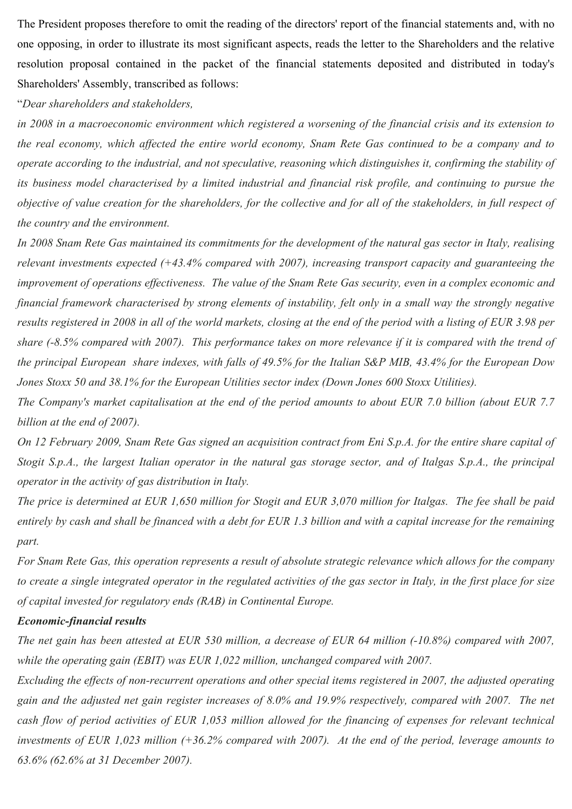The President proposes therefore to omit the reading of the directors' report of the financial statements and, with no one opposing, in order to illustrate its most significant aspects, reads the letter to the Shareholders and the relative resolution proposal contained in the packet of the financial statements deposited and distributed in today's Shareholders' Assembly, transcribed as follows:

#### "*Dear shareholders and stakeholders,*

*in 2008 in a macroeconomic environment which registered a worsening of the financial crisis and its extension to the real economy, which affected the entire world economy, Snam Rete Gas continued to be a company and to operate according to the industrial, and not speculative, reasoning which distinguishes it, confirming the stability of its business model characterised by a limited industrial and financial risk profile, and continuing to pursue the objective of value creation for the shareholders, for the collective and for all of the stakeholders, in full respect of the country and the environment.* 

*In 2008 Snam Rete Gas maintained its commitments for the development of the natural gas sector in Italy, realising relevant investments expected (+43.4% compared with 2007), increasing transport capacity and guaranteeing the improvement of operations effectiveness. The value of the Snam Rete Gas security, even in a complex economic and financial framework characterised by strong elements of instability, felt only in a small way the strongly negative results registered in 2008 in all of the world markets, closing at the end of the period with a listing of EUR 3.98 per share (-8.5% compared with 2007). This performance takes on more relevance if it is compared with the trend of the principal European share indexes, with falls of 49.5% for the Italian S&P MIB, 43.4% for the European Dow Jones Stoxx 50 and 38.1% for the European Utilities sector index (Down Jones 600 Stoxx Utilities).* 

*The Company's market capitalisation at the end of the period amounts to about EUR 7.0 billion (about EUR 7.7 billion at the end of 2007).* 

*On 12 February 2009, Snam Rete Gas signed an acquisition contract from Eni S.p.A. for the entire share capital of Stogit S.p.A., the largest Italian operator in the natural gas storage sector, and of Italgas S.p.A., the principal operator in the activity of gas distribution in Italy.* 

*The price is determined at EUR 1,650 million for Stogit and EUR 3,070 million for Italgas. The fee shall be paid entirely by cash and shall be financed with a debt for EUR 1.3 billion and with a capital increase for the remaining part.* 

*For Snam Rete Gas, this operation represents a result of absolute strategic relevance which allows for the company to create a single integrated operator in the regulated activities of the gas sector in Italy, in the first place for size of capital invested for regulatory ends (RAB) in Continental Europe.* 

#### *Economic-financial results*

*The net gain has been attested at EUR 530 million, a decrease of EUR 64 million (-10.8%) compared with 2007,*  while the operating gain *(EBIT)* was EUR 1,022 million, unchanged compared with 2007.

*Excluding the effects of non-recurrent operations and other special items registered in 2007, the adjusted operating gain and the adjusted net gain register increases of 8.0% and 19.9% respectively, compared with 2007. The net cash flow of period activities of EUR 1,053 million allowed for the financing of expenses for relevant technical investments of EUR 1,023 million (+36.2% compared with 2007). At the end of the period, leverage amounts to 63.6% (62.6% at 31 December 2007).*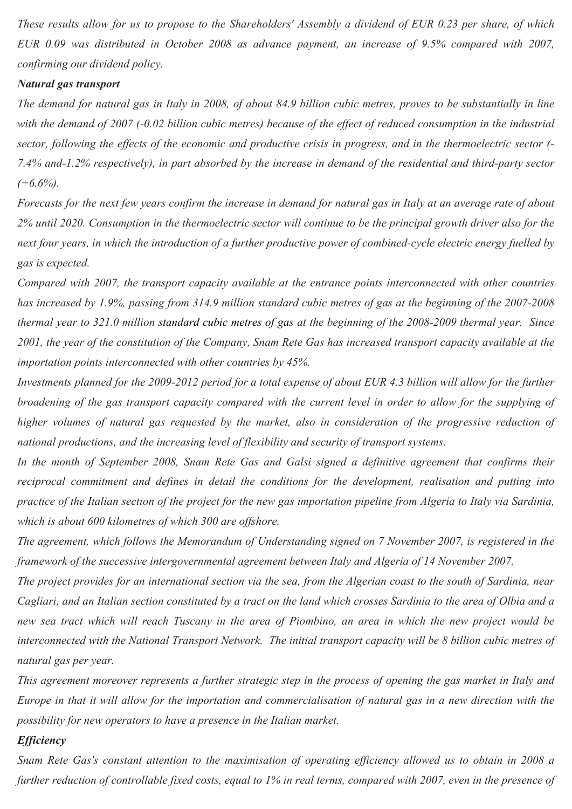*These results allow for us to propose to the Shareholders' Assembly a dividend of EUR 0.23 per share, of which EUR 0.09 was distributed in October 2008 as advance payment, an increase of 9.5% compared with 2007, confirming our dividend policy.* 

#### *Natural gas transport*

*The demand for natural gas in Italy in 2008, of about 84.9 billion cubic metres, proves to be substantially in line*  with the demand of 2007 (-0.02 billion cubic metres) because of the effect of reduced consumption in the industrial *sector, following the effects of the economic and productive crisis in progress, and in the thermoelectric sector (- 7.4% and-1.2% respectively), in part absorbed by the increase in demand of the residential and third-party sector (+6.6%).* 

*Forecasts for the next few years confirm the increase in demand for natural gas in Italy at an average rate of about 2% until 2020. Consumption in the thermoelectric sector will continue to be the principal growth driver also for the next four years, in which the introduction of a further productive power of combined-cycle electric energy fuelled by gas is expected.* 

*Compared with 2007, the transport capacity available at the entrance points interconnected with other countries has increased by 1.9%, passing from 314.9 million standard cubic metres of gas at the beginning of the 2007-2008 thermal year to 321.0 million standard cubic metres of gas at the beginning of the 2008-2009 thermal year. Since 2001, the year of the constitution of the Company, Snam Rete Gas has increased transport capacity available at the importation points interconnected with other countries by 45%.* 

*Investments planned for the 2009-2012 period for a total expense of about EUR 4.3 billion will allow for the further broadening of the gas transport capacity compared with the current level in order to allow for the supplying of* higher volumes of natural gas requested by the market, also in consideration of the progressive reduction of *national productions, and the increasing level of flexibility and security of transport systems.* 

*In the month of September 2008, Snam Rete Gas and Galsi signed a definitive agreement that confirms their reciprocal commitment and defines in detail the conditions for the development, realisation and putting into practice of the Italian section of the project for the new gas importation pipeline from Algeria to Italy via Sardinia, which is about 600 kilometres of which 300 are offshore.* 

*The agreement, which follows the Memorandum of Understanding signed on 7 November 2007, is registered in the framework of the successive intergovernmental agreement between Italy and Algeria of 14 November 2007.* 

*The project provides for an international section via the sea, from the Algerian coast to the south of Sardinia, near Cagliari, and an Italian section constituted by a tract on the land which crosses Sardinia to the area of Olbia and a new sea tract which will reach Tuscany in the area of Piombino, an area in which the new project would be interconnected with the National Transport Network. The initial transport capacity will be 8 billion cubic metres of natural gas per year.* 

*This agreement moreover represents a further strategic step in the process of opening the gas market in Italy and Europe in that it will allow for the importation and commercialisation of natural gas in a new direction with the possibility for new operators to have a presence in the Italian market.* 

#### *Efficiency*

*Snam Rete Gas's constant attention to the maximisation of operating efficiency allowed us to obtain in 2008 a further reduction of controllable fixed costs, equal to 1% in real terms, compared with 2007, even in the presence of*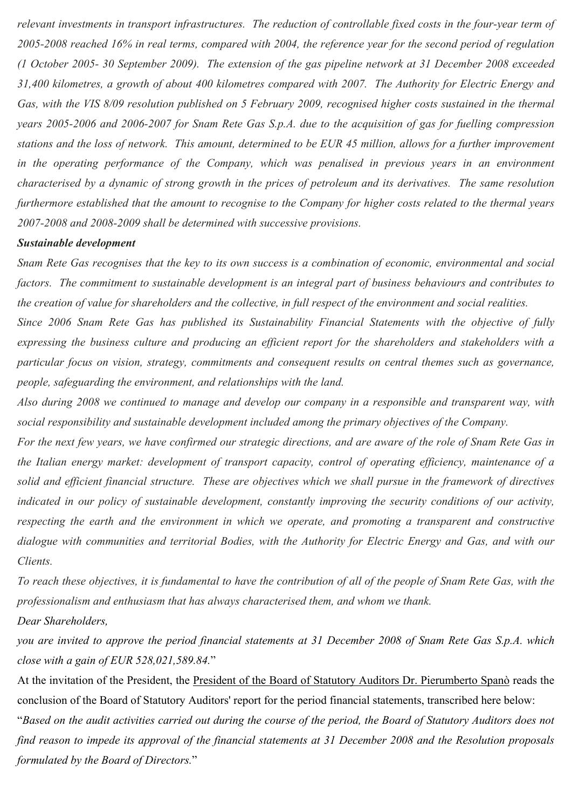*relevant investments in transport infrastructures. The reduction of controllable fixed costs in the four-year term of 2005-2008 reached 16% in real terms, compared with 2004, the reference year for the second period of regulation (1 October 2005- 30 September 2009). The extension of the gas pipeline network at 31 December 2008 exceeded 31,400 kilometres, a growth of about 400 kilometres compared with 2007. The Authority for Electric Energy and Gas, with the VIS 8/09 resolution published on 5 February 2009, recognised higher costs sustained in the thermal years 2005-2006 and 2006-2007 for Snam Rete Gas S.p.A. due to the acquisition of gas for fuelling compression stations and the loss of network. This amount, determined to be EUR 45 million, allows for a further improvement in the operating performance of the Company, which was penalised in previous years in an environment characterised by a dynamic of strong growth in the prices of petroleum and its derivatives. The same resolution furthermore established that the amount to recognise to the Company for higher costs related to the thermal years 2007-2008 and 2008-2009 shall be determined with successive provisions.* 

#### *Sustainable development*

*Snam Rete Gas recognises that the key to its own success is a combination of economic, environmental and social factors. The commitment to sustainable development is an integral part of business behaviours and contributes to the creation of value for shareholders and the collective, in full respect of the environment and social realities.* 

*Since 2006 Snam Rete Gas has published its Sustainability Financial Statements with the objective of fully expressing the business culture and producing an efficient report for the shareholders and stakeholders with a particular focus on vision, strategy, commitments and consequent results on central themes such as governance, people, safeguarding the environment, and relationships with the land.* 

*Also during 2008 we continued to manage and develop our company in a responsible and transparent way, with social responsibility and sustainable development included among the primary objectives of the Company.* 

*For the next few years, we have confirmed our strategic directions, and are aware of the role of Snam Rete Gas in the Italian energy market: development of transport capacity, control of operating efficiency, maintenance of a solid and efficient financial structure. These are objectives which we shall pursue in the framework of directives indicated in our policy of sustainable development, constantly improving the security conditions of our activity, respecting the earth and the environment in which we operate, and promoting a transparent and constructive dialogue with communities and territorial Bodies, with the Authority for Electric Energy and Gas, and with our Clients.* 

*To reach these objectives, it is fundamental to have the contribution of all of the people of Snam Rete Gas, with the professionalism and enthusiasm that has always characterised them, and whom we thank.* 

#### *Dear Shareholders,*

*you are invited to approve the period financial statements at 31 December 2008 of Snam Rete Gas S.p.A. which close with a gain of EUR 528,021,589.84.*"

At the invitation of the President, the President of the Board of Statutory Auditors Dr. Pierumberto Spanò reads the conclusion of the Board of Statutory Auditors' report for the period financial statements, transcribed here below: "*Based on the audit activities carried out during the course of the period, the Board of Statutory Auditors does not find reason to impede its approval of the financial statements at 31 December 2008 and the Resolution proposals formulated by the Board of Directors.*"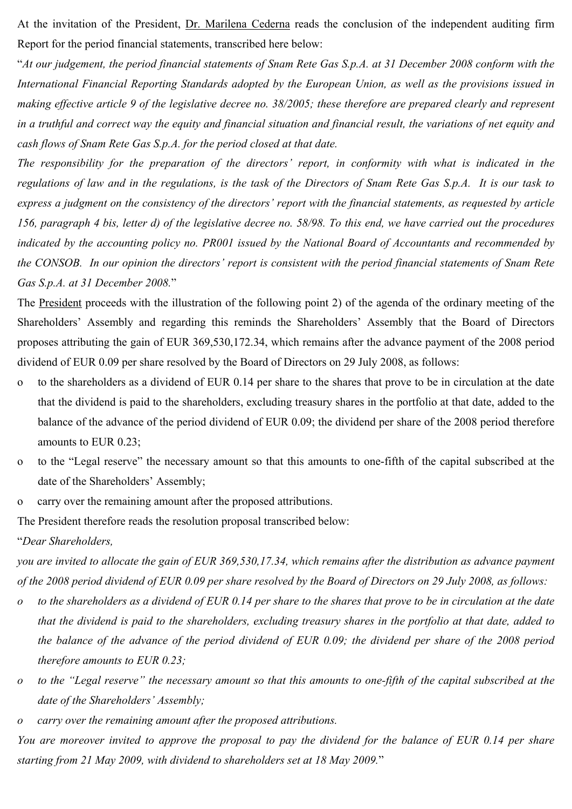At the invitation of the President, Dr. Marilena Cederna reads the conclusion of the independent auditing firm Report for the period financial statements, transcribed here below:

"*At our judgement, the period financial statements of Snam Rete Gas S.p.A. at 31 December 2008 conform with the International Financial Reporting Standards adopted by the European Union, as well as the provisions issued in making effective article 9 of the legislative decree no. 38/2005; these therefore are prepared clearly and represent in a truthful and correct way the equity and financial situation and financial result, the variations of net equity and cash flows of Snam Rete Gas S.p.A. for the period closed at that date.* 

*The responsibility for the preparation of the directors' report, in conformity with what is indicated in the regulations of law and in the regulations, is the task of the Directors of Snam Rete Gas S.p.A. It is our task to express a judgment on the consistency of the directors' report with the financial statements, as requested by article 156, paragraph 4 bis, letter d) of the legislative decree no. 58/98. To this end, we have carried out the procedures indicated by the accounting policy no. PR001 issued by the National Board of Accountants and recommended by the CONSOB. In our opinion the directors' report is consistent with the period financial statements of Snam Rete Gas S.p.A. at 31 December 2008.*"

The President proceeds with the illustration of the following point 2) of the agenda of the ordinary meeting of the Shareholders' Assembly and regarding this reminds the Shareholders' Assembly that the Board of Directors proposes attributing the gain of EUR 369,530,172.34, which remains after the advance payment of the 2008 period dividend of EUR 0.09 per share resolved by the Board of Directors on 29 July 2008, as follows:

- o to the shareholders as a dividend of EUR 0.14 per share to the shares that prove to be in circulation at the date that the dividend is paid to the shareholders, excluding treasury shares in the portfolio at that date, added to the balance of the advance of the period dividend of EUR 0.09; the dividend per share of the 2008 period therefore amounts to EUR 0.23;
- o to the "Legal reserve" the necessary amount so that this amounts to one-fifth of the capital subscribed at the date of the Shareholders' Assembly;
- o carry over the remaining amount after the proposed attributions.

The President therefore reads the resolution proposal transcribed below:

"*Dear Shareholders,* 

*you are invited to allocate the gain of EUR 369,530,17.34, which remains after the distribution as advance payment of the 2008 period dividend of EUR 0.09 per share resolved by the Board of Directors on 29 July 2008, as follows:* 

- *o to the shareholders as a dividend of EUR 0.14 per share to the shares that prove to be in circulation at the date that the dividend is paid to the shareholders, excluding treasury shares in the portfolio at that date, added to the balance of the advance of the period dividend of EUR 0.09; the dividend per share of the 2008 period therefore amounts to EUR 0.23;*
- *o to the "Legal reserve" the necessary amount so that this amounts to one-fifth of the capital subscribed at the date of the Shareholders' Assembly;*
- *o carry over the remaining amount after the proposed attributions.*

*You are moreover invited to approve the proposal to pay the dividend for the balance of EUR 0.14 per share starting from 21 May 2009, with dividend to shareholders set at 18 May 2009.*"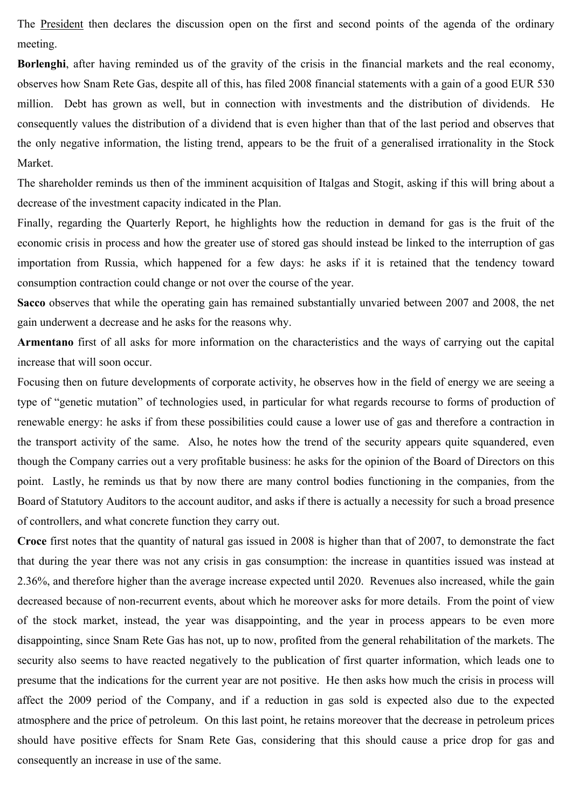The President then declares the discussion open on the first and second points of the agenda of the ordinary meeting.

**Borlenghi**, after having reminded us of the gravity of the crisis in the financial markets and the real economy, observes how Snam Rete Gas, despite all of this, has filed 2008 financial statements with a gain of a good EUR 530 million. Debt has grown as well, but in connection with investments and the distribution of dividends. He consequently values the distribution of a dividend that is even higher than that of the last period and observes that the only negative information, the listing trend, appears to be the fruit of a generalised irrationality in the Stock Market.

The shareholder reminds us then of the imminent acquisition of Italgas and Stogit, asking if this will bring about a decrease of the investment capacity indicated in the Plan.

Finally, regarding the Quarterly Report, he highlights how the reduction in demand for gas is the fruit of the economic crisis in process and how the greater use of stored gas should instead be linked to the interruption of gas importation from Russia, which happened for a few days: he asks if it is retained that the tendency toward consumption contraction could change or not over the course of the year.

**Sacco** observes that while the operating gain has remained substantially unvaried between 2007 and 2008, the net gain underwent a decrease and he asks for the reasons why.

**Armentano** first of all asks for more information on the characteristics and the ways of carrying out the capital increase that will soon occur.

Focusing then on future developments of corporate activity, he observes how in the field of energy we are seeing a type of "genetic mutation" of technologies used, in particular for what regards recourse to forms of production of renewable energy: he asks if from these possibilities could cause a lower use of gas and therefore a contraction in the transport activity of the same. Also, he notes how the trend of the security appears quite squandered, even though the Company carries out a very profitable business: he asks for the opinion of the Board of Directors on this point. Lastly, he reminds us that by now there are many control bodies functioning in the companies, from the Board of Statutory Auditors to the account auditor, and asks if there is actually a necessity for such a broad presence of controllers, and what concrete function they carry out.

**Croce** first notes that the quantity of natural gas issued in 2008 is higher than that of 2007, to demonstrate the fact that during the year there was not any crisis in gas consumption: the increase in quantities issued was instead at 2.36%, and therefore higher than the average increase expected until 2020. Revenues also increased, while the gain decreased because of non-recurrent events, about which he moreover asks for more details. From the point of view of the stock market, instead, the year was disappointing, and the year in process appears to be even more disappointing, since Snam Rete Gas has not, up to now, profited from the general rehabilitation of the markets. The security also seems to have reacted negatively to the publication of first quarter information, which leads one to presume that the indications for the current year are not positive. He then asks how much the crisis in process will affect the 2009 period of the Company, and if a reduction in gas sold is expected also due to the expected atmosphere and the price of petroleum. On this last point, he retains moreover that the decrease in petroleum prices should have positive effects for Snam Rete Gas, considering that this should cause a price drop for gas and consequently an increase in use of the same.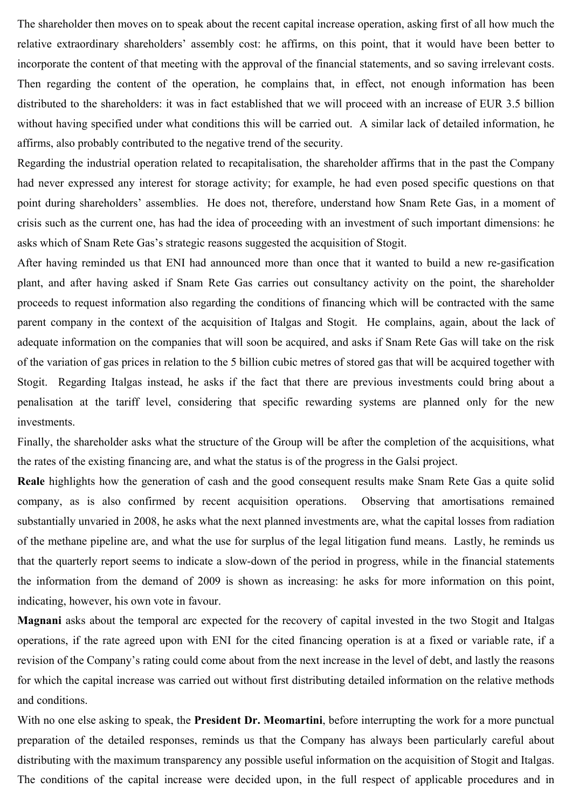The shareholder then moves on to speak about the recent capital increase operation, asking first of all how much the relative extraordinary shareholders' assembly cost: he affirms, on this point, that it would have been better to incorporate the content of that meeting with the approval of the financial statements, and so saving irrelevant costs. Then regarding the content of the operation, he complains that, in effect, not enough information has been distributed to the shareholders: it was in fact established that we will proceed with an increase of EUR 3.5 billion without having specified under what conditions this will be carried out. A similar lack of detailed information, he affirms, also probably contributed to the negative trend of the security.

Regarding the industrial operation related to recapitalisation, the shareholder affirms that in the past the Company had never expressed any interest for storage activity; for example, he had even posed specific questions on that point during shareholders' assemblies. He does not, therefore, understand how Snam Rete Gas, in a moment of crisis such as the current one, has had the idea of proceeding with an investment of such important dimensions: he asks which of Snam Rete Gas's strategic reasons suggested the acquisition of Stogit.

After having reminded us that ENI had announced more than once that it wanted to build a new re-gasification plant, and after having asked if Snam Rete Gas carries out consultancy activity on the point, the shareholder proceeds to request information also regarding the conditions of financing which will be contracted with the same parent company in the context of the acquisition of Italgas and Stogit. He complains, again, about the lack of adequate information on the companies that will soon be acquired, and asks if Snam Rete Gas will take on the risk of the variation of gas prices in relation to the 5 billion cubic metres of stored gas that will be acquired together with Stogit. Regarding Italgas instead, he asks if the fact that there are previous investments could bring about a penalisation at the tariff level, considering that specific rewarding systems are planned only for the new investments.

Finally, the shareholder asks what the structure of the Group will be after the completion of the acquisitions, what the rates of the existing financing are, and what the status is of the progress in the Galsi project.

**Reale** highlights how the generation of cash and the good consequent results make Snam Rete Gas a quite solid company, as is also confirmed by recent acquisition operations. Observing that amortisations remained substantially unvaried in 2008, he asks what the next planned investments are, what the capital losses from radiation of the methane pipeline are, and what the use for surplus of the legal litigation fund means. Lastly, he reminds us that the quarterly report seems to indicate a slow-down of the period in progress, while in the financial statements the information from the demand of 2009 is shown as increasing: he asks for more information on this point, indicating, however, his own vote in favour.

**Magnani** asks about the temporal arc expected for the recovery of capital invested in the two Stogit and Italgas operations, if the rate agreed upon with ENI for the cited financing operation is at a fixed or variable rate, if a revision of the Company's rating could come about from the next increase in the level of debt, and lastly the reasons for which the capital increase was carried out without first distributing detailed information on the relative methods and conditions.

With no one else asking to speak, the **President Dr. Meomartini**, before interrupting the work for a more punctual preparation of the detailed responses, reminds us that the Company has always been particularly careful about distributing with the maximum transparency any possible useful information on the acquisition of Stogit and Italgas. The conditions of the capital increase were decided upon, in the full respect of applicable procedures and in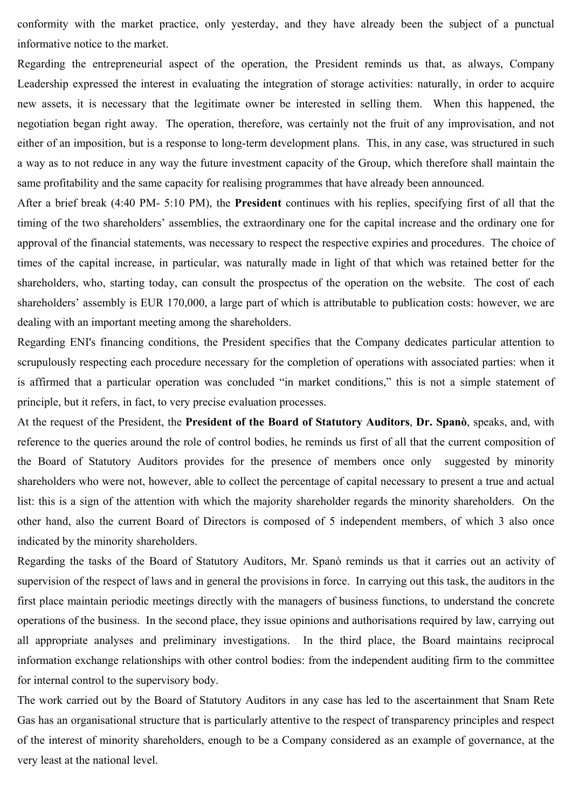conformity with the market practice, only yesterday, and they have already been the subject of a punctual informative notice to the market.

Regarding the entrepreneurial aspect of the operation, the President reminds us that, as always, Company Leadership expressed the interest in evaluating the integration of storage activities: naturally, in order to acquire new assets, it is necessary that the legitimate owner be interested in selling them. When this happened, the negotiation began right away. The operation, therefore, was certainly not the fruit of any improvisation, and not either of an imposition, but is a response to long-term development plans. This, in any case, was structured in such a way as to not reduce in any way the future investment capacity of the Group, which therefore shall maintain the same profitability and the same capacity for realising programmes that have already been announced.

After a brief break (4:40 PM- 5:10 PM), the **President** continues with his replies, specifying first of all that the timing of the two shareholders' assemblies, the extraordinary one for the capital increase and the ordinary one for approval of the financial statements, was necessary to respect the respective expiries and procedures. The choice of times of the capital increase, in particular, was naturally made in light of that which was retained better for the shareholders, who, starting today, can consult the prospectus of the operation on the website. The cost of each shareholders' assembly is EUR 170,000, a large part of which is attributable to publication costs: however, we are dealing with an important meeting among the shareholders.

Regarding ENI's financing conditions, the President specifies that the Company dedicates particular attention to scrupulously respecting each procedure necessary for the completion of operations with associated parties: when it is affirmed that a particular operation was concluded "in market conditions," this is not a simple statement of principle, but it refers, in fact, to very precise evaluation processes.

At the request of the President, the **President of the Board of Statutory Auditors**, **Dr. Spanò**, speaks, and, with reference to the queries around the role of control bodies, he reminds us first of all that the current composition of the Board of Statutory Auditors provides for the presence of members once only suggested by minority shareholders who were not, however, able to collect the percentage of capital necessary to present a true and actual list: this is a sign of the attention with which the majority shareholder regards the minority shareholders. On the other hand, also the current Board of Directors is composed of 5 independent members, of which 3 also once indicated by the minority shareholders.

Regarding the tasks of the Board of Statutory Auditors, Mr. Spanò reminds us that it carries out an activity of supervision of the respect of laws and in general the provisions in force. In carrying out this task, the auditors in the first place maintain periodic meetings directly with the managers of business functions, to understand the concrete operations of the business. In the second place, they issue opinions and authorisations required by law, carrying out all appropriate analyses and preliminary investigations. In the third place, the Board maintains reciprocal information exchange relationships with other control bodies: from the independent auditing firm to the committee for internal control to the supervisory body.

The work carried out by the Board of Statutory Auditors in any case has led to the ascertainment that Snam Rete Gas has an organisational structure that is particularly attentive to the respect of transparency principles and respect of the interest of minority shareholders, enough to be a Company considered as an example of governance, at the very least at the national level.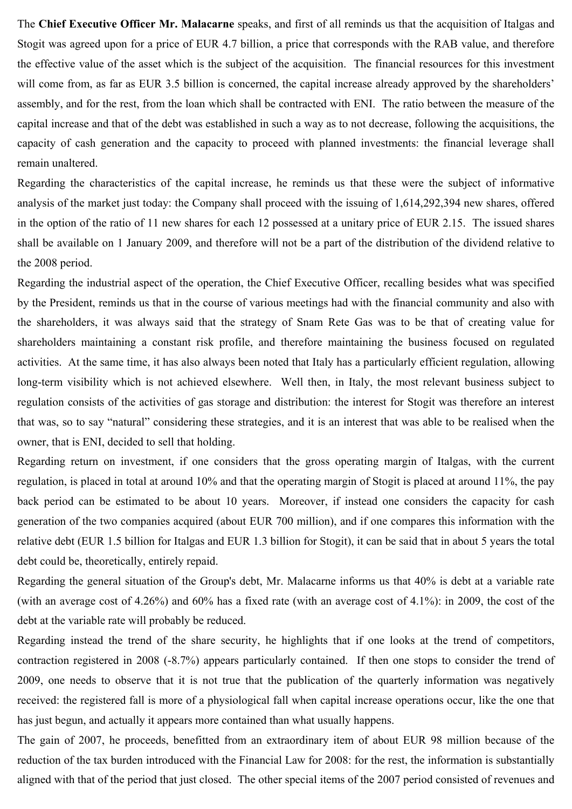The **Chief Executive Officer Mr. Malacarne** speaks, and first of all reminds us that the acquisition of Italgas and Stogit was agreed upon for a price of EUR 4.7 billion, a price that corresponds with the RAB value, and therefore the effective value of the asset which is the subject of the acquisition. The financial resources for this investment will come from, as far as EUR 3.5 billion is concerned, the capital increase already approved by the shareholders' assembly, and for the rest, from the loan which shall be contracted with ENI. The ratio between the measure of the capital increase and that of the debt was established in such a way as to not decrease, following the acquisitions, the capacity of cash generation and the capacity to proceed with planned investments: the financial leverage shall remain unaltered.

Regarding the characteristics of the capital increase, he reminds us that these were the subject of informative analysis of the market just today: the Company shall proceed with the issuing of 1,614,292,394 new shares, offered in the option of the ratio of 11 new shares for each 12 possessed at a unitary price of EUR 2.15. The issued shares shall be available on 1 January 2009, and therefore will not be a part of the distribution of the dividend relative to the 2008 period.

Regarding the industrial aspect of the operation, the Chief Executive Officer, recalling besides what was specified by the President, reminds us that in the course of various meetings had with the financial community and also with the shareholders, it was always said that the strategy of Snam Rete Gas was to be that of creating value for shareholders maintaining a constant risk profile, and therefore maintaining the business focused on regulated activities. At the same time, it has also always been noted that Italy has a particularly efficient regulation, allowing long-term visibility which is not achieved elsewhere. Well then, in Italy, the most relevant business subject to regulation consists of the activities of gas storage and distribution: the interest for Stogit was therefore an interest that was, so to say "natural" considering these strategies, and it is an interest that was able to be realised when the owner, that is ENI, decided to sell that holding.

Regarding return on investment, if one considers that the gross operating margin of Italgas, with the current regulation, is placed in total at around 10% and that the operating margin of Stogit is placed at around 11%, the pay back period can be estimated to be about 10 years. Moreover, if instead one considers the capacity for cash generation of the two companies acquired (about EUR 700 million), and if one compares this information with the relative debt (EUR 1.5 billion for Italgas and EUR 1.3 billion for Stogit), it can be said that in about 5 years the total debt could be, theoretically, entirely repaid.

Regarding the general situation of the Group's debt, Mr. Malacarne informs us that 40% is debt at a variable rate (with an average cost of 4.26%) and 60% has a fixed rate (with an average cost of 4.1%): in 2009, the cost of the debt at the variable rate will probably be reduced.

Regarding instead the trend of the share security, he highlights that if one looks at the trend of competitors, contraction registered in 2008 (-8.7%) appears particularly contained. If then one stops to consider the trend of 2009, one needs to observe that it is not true that the publication of the quarterly information was negatively received: the registered fall is more of a physiological fall when capital increase operations occur, like the one that has just begun, and actually it appears more contained than what usually happens.

The gain of 2007, he proceeds, benefitted from an extraordinary item of about EUR 98 million because of the reduction of the tax burden introduced with the Financial Law for 2008: for the rest, the information is substantially aligned with that of the period that just closed. The other special items of the 2007 period consisted of revenues and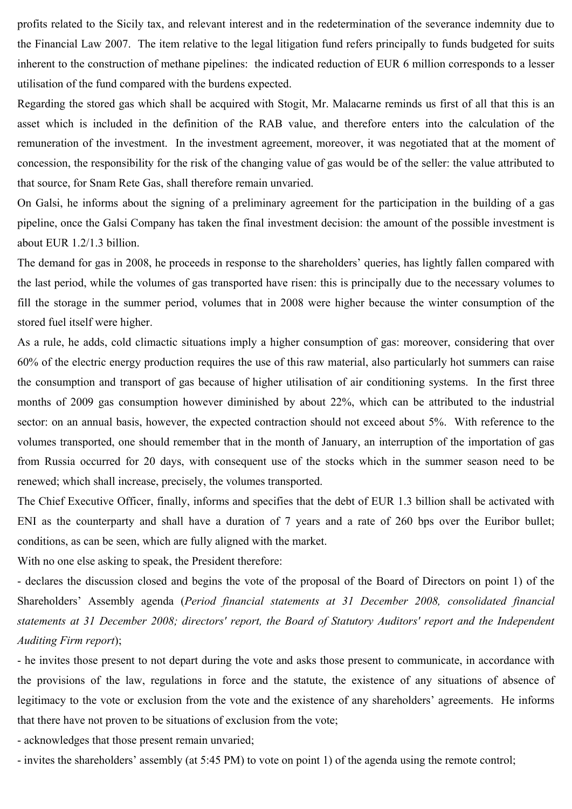profits related to the Sicily tax, and relevant interest and in the redetermination of the severance indemnity due to the Financial Law 2007. The item relative to the legal litigation fund refers principally to funds budgeted for suits inherent to the construction of methane pipelines: the indicated reduction of EUR 6 million corresponds to a lesser utilisation of the fund compared with the burdens expected.

Regarding the stored gas which shall be acquired with Stogit, Mr. Malacarne reminds us first of all that this is an asset which is included in the definition of the RAB value, and therefore enters into the calculation of the remuneration of the investment. In the investment agreement, moreover, it was negotiated that at the moment of concession, the responsibility for the risk of the changing value of gas would be of the seller: the value attributed to that source, for Snam Rete Gas, shall therefore remain unvaried.

On Galsi, he informs about the signing of a preliminary agreement for the participation in the building of a gas pipeline, once the Galsi Company has taken the final investment decision: the amount of the possible investment is about EUR 1.2/1.3 billion.

The demand for gas in 2008, he proceeds in response to the shareholders' queries, has lightly fallen compared with the last period, while the volumes of gas transported have risen: this is principally due to the necessary volumes to fill the storage in the summer period, volumes that in 2008 were higher because the winter consumption of the stored fuel itself were higher.

As a rule, he adds, cold climactic situations imply a higher consumption of gas: moreover, considering that over 60% of the electric energy production requires the use of this raw material, also particularly hot summers can raise the consumption and transport of gas because of higher utilisation of air conditioning systems. In the first three months of 2009 gas consumption however diminished by about 22%, which can be attributed to the industrial sector: on an annual basis, however, the expected contraction should not exceed about 5%. With reference to the volumes transported, one should remember that in the month of January, an interruption of the importation of gas from Russia occurred for 20 days, with consequent use of the stocks which in the summer season need to be renewed; which shall increase, precisely, the volumes transported.

The Chief Executive Officer, finally, informs and specifies that the debt of EUR 1.3 billion shall be activated with ENI as the counterparty and shall have a duration of 7 years and a rate of 260 bps over the Euribor bullet; conditions, as can be seen, which are fully aligned with the market.

With no one else asking to speak, the President therefore:

- declares the discussion closed and begins the vote of the proposal of the Board of Directors on point 1) of the Shareholders' Assembly agenda (*Period financial statements at 31 December 2008, consolidated financial statements at 31 December 2008; directors' report, the Board of Statutory Auditors' report and the Independent Auditing Firm report*);

- he invites those present to not depart during the vote and asks those present to communicate, in accordance with the provisions of the law, regulations in force and the statute, the existence of any situations of absence of legitimacy to the vote or exclusion from the vote and the existence of any shareholders' agreements. He informs that there have not proven to be situations of exclusion from the vote;

- acknowledges that those present remain unvaried;

- invites the shareholders' assembly (at 5:45 PM) to vote on point 1) of the agenda using the remote control;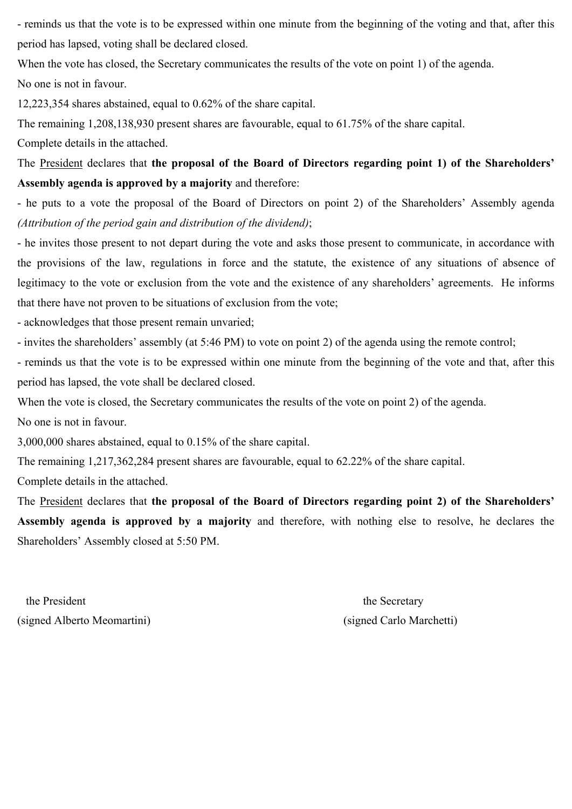- reminds us that the vote is to be expressed within one minute from the beginning of the voting and that, after this period has lapsed, voting shall be declared closed.

When the vote has closed, the Secretary communicates the results of the vote on point 1) of the agenda.

No one is not in favour.

12,223,354 shares abstained, equal to 0.62% of the share capital.

The remaining 1,208,138,930 present shares are favourable, equal to 61.75% of the share capital. Complete details in the attached.

The President declares that **the proposal of the Board of Directors regarding point 1) of the Shareholders' Assembly agenda is approved by a majority** and therefore:

- he puts to a vote the proposal of the Board of Directors on point 2) of the Shareholders' Assembly agenda *(Attribution of the period gain and distribution of the dividend)*;

- he invites those present to not depart during the vote and asks those present to communicate, in accordance with the provisions of the law, regulations in force and the statute, the existence of any situations of absence of legitimacy to the vote or exclusion from the vote and the existence of any shareholders' agreements. He informs that there have not proven to be situations of exclusion from the vote;

- acknowledges that those present remain unvaried;

- invites the shareholders' assembly (at 5:46 PM) to vote on point 2) of the agenda using the remote control;

- reminds us that the vote is to be expressed within one minute from the beginning of the vote and that, after this period has lapsed, the vote shall be declared closed.

When the vote is closed, the Secretary communicates the results of the vote on point 2) of the agenda.

No one is not in favour.

3,000,000 shares abstained, equal to 0.15% of the share capital.

The remaining 1,217,362,284 present shares are favourable, equal to 62.22% of the share capital.

Complete details in the attached.

The President declares that **the proposal of the Board of Directors regarding point 2) of the Shareholders' Assembly agenda is approved by a majority** and therefore, with nothing else to resolve, he declares the Shareholders' Assembly closed at 5:50 PM.

the President the Secretary (signed Alberto Meomartini)(signed Carlo Marchetti)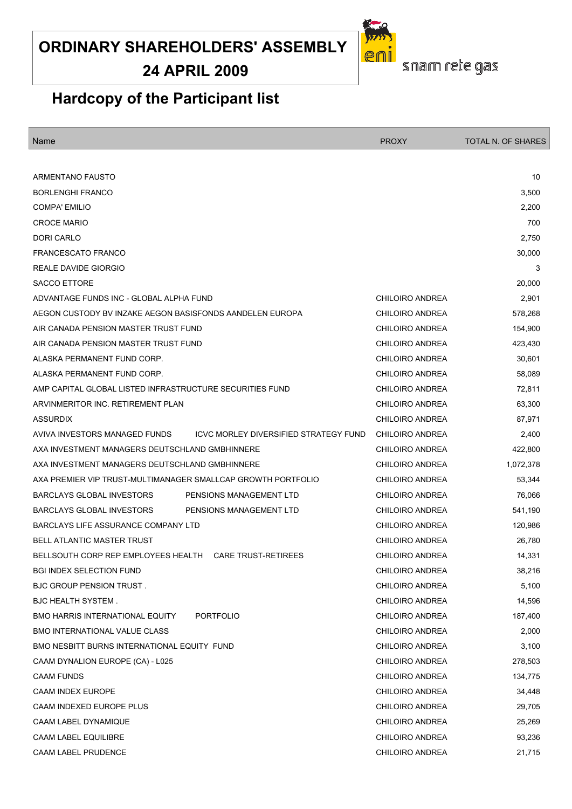# **24 APRIL 2009**



snam rete gas

# **Hardcopy of the Participant list**

| Name                                                                          | <b>PROXY</b>           | <b>TOTAL N. OF SHARES</b> |
|-------------------------------------------------------------------------------|------------------------|---------------------------|
|                                                                               |                        |                           |
| <b>ARMENTANO FAUSTO</b>                                                       |                        | 10                        |
| <b>BORLENGHI FRANCO</b>                                                       |                        | 3,500                     |
| <b>COMPA' EMILIO</b>                                                          |                        | 2,200                     |
| <b>CROCE MARIO</b>                                                            |                        | 700                       |
| DORI CARLO                                                                    |                        | 2,750                     |
| <b>FRANCESCATO FRANCO</b>                                                     |                        | 30,000                    |
| REALE DAVIDE GIORGIO                                                          |                        | 3                         |
| <b>SACCO ETTORE</b>                                                           |                        | 20,000                    |
| ADVANTAGE FUNDS INC - GLOBAL ALPHA FUND                                       | CHILOIRO ANDREA        | 2,901                     |
| AEGON CUSTODY BV INZAKE AEGON BASISFONDS AANDELEN EUROPA                      | <b>CHILOIRO ANDREA</b> | 578,268                   |
| AIR CANADA PENSION MASTER TRUST FUND                                          | <b>CHILOIRO ANDREA</b> | 154,900                   |
| AIR CANADA PENSION MASTER TRUST FUND                                          | <b>CHILOIRO ANDREA</b> | 423,430                   |
| ALASKA PERMANENT FUND CORP.                                                   | <b>CHILOIRO ANDREA</b> | 30,601                    |
| ALASKA PERMANENT FUND CORP.                                                   | <b>CHILOIRO ANDREA</b> | 58,089                    |
| AMP CAPITAL GLOBAL LISTED INFRASTRUCTURE SECURITIES FUND                      | <b>CHILOIRO ANDREA</b> | 72,811                    |
| ARVINMERITOR INC. RETIREMENT PLAN                                             | <b>CHILOIRO ANDREA</b> | 63,300                    |
| <b>ASSURDIX</b>                                                               | <b>CHILOIRO ANDREA</b> | 87,971                    |
| AVIVA INVESTORS MANAGED FUNDS<br><b>ICVC MORLEY DIVERSIFIED STRATEGY FUND</b> | <b>CHILOIRO ANDREA</b> | 2,400                     |
| AXA INVESTMENT MANAGERS DEUTSCHLAND GMBHINNERE                                | <b>CHILOIRO ANDREA</b> | 422,800                   |
| AXA INVESTMENT MANAGERS DEUTSCHLAND GMBHINNERE                                | <b>CHILOIRO ANDREA</b> | 1,072,378                 |
| AXA PREMIER VIP TRUST-MULTIMANAGER SMALLCAP GROWTH PORTFOLIO                  | <b>CHILOIRO ANDREA</b> | 53,344                    |
| <b>BARCLAYS GLOBAL INVESTORS</b><br>PENSIONS MANAGEMENT LTD                   | <b>CHILOIRO ANDREA</b> | 76,066                    |
| <b>BARCLAYS GLOBAL INVESTORS</b><br>PENSIONS MANAGEMENT LTD                   | <b>CHILOIRO ANDREA</b> | 541,190                   |
| BARCLAYS LIFE ASSURANCE COMPANY LTD                                           | <b>CHILOIRO ANDREA</b> | 120,986                   |
| <b>BELL ATLANTIC MASTER TRUST</b>                                             | <b>CHILOIRO ANDREA</b> | 26,780                    |
| BELLSOUTH CORP REP EMPLOYEES HEALTH<br><b>CARE TRUST-RETIREES</b>             | <b>CHILOIRO ANDREA</b> | 14,331                    |
| <b>BGI INDEX SELECTION FUND</b>                                               | <b>CHILOIRO ANDREA</b> | 38,216                    |
| BJC GROUP PENSION TRUST.                                                      | <b>CHILOIRO ANDREA</b> | 5,100                     |
| <b>BJC HEALTH SYSTEM.</b>                                                     | CHILOIRO ANDREA        | 14,596                    |
| <b>BMO HARRIS INTERNATIONAL EQUITY</b><br><b>PORTFOLIO</b>                    | <b>CHILOIRO ANDREA</b> | 187,400                   |
| <b>BMO INTERNATIONAL VALUE CLASS</b>                                          | <b>CHILOIRO ANDREA</b> | 2,000                     |
| BMO NESBITT BURNS INTERNATIONAL EQUITY FUND                                   | CHILOIRO ANDREA        | 3,100                     |
| CAAM DYNALION EUROPE (CA) - L025                                              | <b>CHILOIRO ANDREA</b> | 278,503                   |
| <b>CAAM FUNDS</b>                                                             | <b>CHILOIRO ANDREA</b> | 134,775                   |
| <b>CAAM INDEX EUROPE</b>                                                      | <b>CHILOIRO ANDREA</b> | 34,448                    |
| CAAM INDEXED EUROPE PLUS                                                      | <b>CHILOIRO ANDREA</b> | 29,705                    |
| CAAM LABEL DYNAMIQUE                                                          | <b>CHILOIRO ANDREA</b> | 25,269                    |
| <b>CAAM LABEL EQUILIBRE</b>                                                   | <b>CHILOIRO ANDREA</b> | 93,236                    |
| CAAM LABEL PRUDENCE                                                           | <b>CHILOIRO ANDREA</b> | 21,715                    |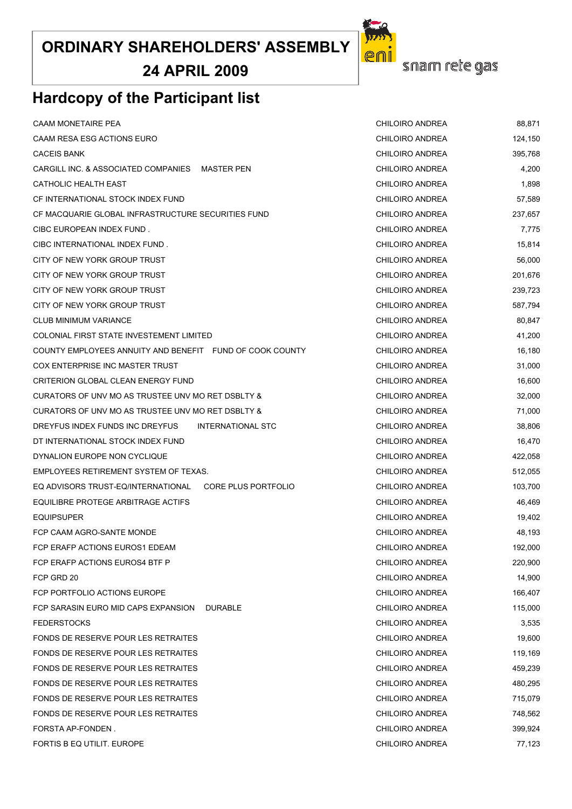**24 APRIL 2009**

# **Hardcopy of the Participant list**

| <b>CAAM MONETAIRE PEA</b>                                 | CHILOIRO ANDREA        | 88,871  |
|-----------------------------------------------------------|------------------------|---------|
| CAAM RESA ESG ACTIONS EURO                                | CHILOIRO ANDREA        | 124,150 |
| <b>CACEIS BANK</b>                                        | CHILOIRO ANDREA        | 395,768 |
| CARGILL INC. & ASSOCIATED COMPANIES MASTER PEN            | CHILOIRO ANDREA        | 4,200   |
| CATHOLIC HEALTH EAST                                      | CHILOIRO ANDREA        | 1,898   |
| CF INTERNATIONAL STOCK INDEX FUND                         | CHILOIRO ANDREA        | 57,589  |
| CF MACQUARIE GLOBAL INFRASTRUCTURE SECURITIES FUND        | CHILOIRO ANDREA        | 237,657 |
| CIBC EUROPEAN INDEX FUND.                                 | CHILOIRO ANDREA        | 7,775   |
| CIBC INTERNATIONAL INDEX FUND.                            | CHILOIRO ANDREA        | 15,814  |
| CITY OF NEW YORK GROUP TRUST                              | CHILOIRO ANDREA        | 56,000  |
| CITY OF NEW YORK GROUP TRUST                              | CHILOIRO ANDREA        | 201,676 |
| CITY OF NEW YORK GROUP TRUST                              | CHILOIRO ANDREA        | 239,723 |
| CITY OF NEW YORK GROUP TRUST                              | CHILOIRO ANDREA        | 587,794 |
| <b>CLUB MINIMUM VARIANCE</b>                              | CHILOIRO ANDREA        | 80,847  |
| COLONIAL FIRST STATE INVESTEMENT LIMITED                  | CHILOIRO ANDREA        | 41,200  |
| COUNTY EMPLOYEES ANNUITY AND BENEFIT FUND OF COOK COUNTY  | CHILOIRO ANDREA        | 16,180  |
| COX ENTERPRISE INC MASTER TRUST                           | CHILOIRO ANDREA        | 31,000  |
| <b>CRITERION GLOBAL CLEAN ENERGY FUND</b>                 | CHILOIRO ANDREA        | 16,600  |
| CURATORS OF UNV MO AS TRUSTEE UNV MO RET DSBLTY &         | CHILOIRO ANDREA        | 32,000  |
| CURATORS OF UNV MO AS TRUSTEE UNV MO RET DSBLTY &         | CHILOIRO ANDREA        | 71,000  |
| DREYFUS INDEX FUNDS INC DREYFUS<br>INTERNATIONAL STC      | <b>CHILOIRO ANDREA</b> | 38,806  |
| DT INTERNATIONAL STOCK INDEX FUND                         | CHILOIRO ANDREA        | 16,470  |
| DYNALION EUROPE NON CYCLIQUE                              | CHILOIRO ANDREA        | 422,058 |
| EMPLOYEES RETIREMENT SYSTEM OF TEXAS.                     | CHILOIRO ANDREA        | 512,055 |
| EQ ADVISORS TRUST-EQ/INTERNATIONAL<br>CORE PLUS PORTFOLIO | CHILOIRO ANDREA        | 103,700 |
| EQUILIBRE PROTEGE ARBITRAGE ACTIFS                        | CHILOIRO ANDREA        | 46,469  |
| <b>EQUIPSUPER</b>                                         | CHILOIRO ANDREA        | 19,402  |
| FCP CAAM AGRO-SANTE MONDE                                 | CHILOIRO ANDREA        | 48,193  |
| FCP ERAFP ACTIONS EUROS1 EDEAM                            | <b>CHILOIRO ANDREA</b> | 192,000 |
| FCP ERAFP ACTIONS EUROS4 BTF P                            | <b>CHILOIRO ANDREA</b> | 220,900 |
| FCP GRD 20                                                | CHILOIRO ANDREA        | 14,900  |
| FCP PORTFOLIO ACTIONS EUROPE                              | CHILOIRO ANDREA        | 166,407 |
| FCP SARASIN EURO MID CAPS EXPANSION<br><b>DURABLE</b>     | <b>CHILOIRO ANDREA</b> | 115,000 |
| <b>FEDERSTOCKS</b>                                        | CHILOIRO ANDREA        | 3,535   |
| <b>FONDS DE RESERVE POUR LES RETRAITES</b>                | CHILOIRO ANDREA        | 19,600  |
| FONDS DE RESERVE POUR LES RETRAITES                       | CHILOIRO ANDREA        | 119,169 |
| FONDS DE RESERVE POUR LES RETRAITES                       | <b>CHILOIRO ANDREA</b> | 459,239 |
| FONDS DE RESERVE POUR LES RETRAITES                       | CHILOIRO ANDREA        | 480,295 |
| FONDS DE RESERVE POUR LES RETRAITES                       | CHILOIRO ANDREA        | 715,079 |
| FONDS DE RESERVE POUR LES RETRAITES                       | CHILOIRO ANDREA        | 748,562 |
| FORSTA AP-FONDEN.                                         | <b>CHILOIRO ANDREA</b> | 399,924 |
| FORTIS B EQ UTILIT. EUROPE                                | <b>CHILOIRO ANDREA</b> | 77,123  |

snam rete gas

eni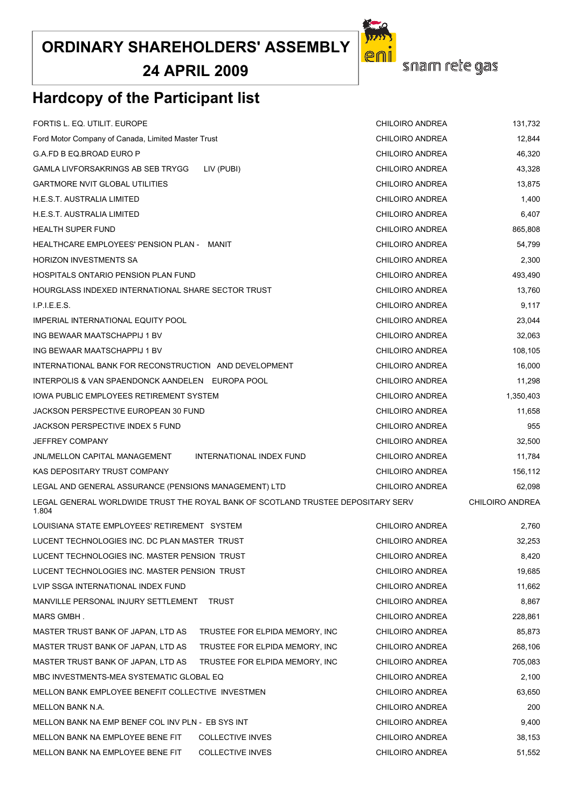**24 APRIL 2009**

# **Hardcopy of the Participant list**

| Ford Motor Company of Canada, Limited Master Trust                                        | CHILOIRO ANDREA                | 12,844                 |                        |
|-------------------------------------------------------------------------------------------|--------------------------------|------------------------|------------------------|
| G.A.FD B EQ.BROAD EURO P                                                                  | CHILOIRO ANDREA                | 46,320                 |                        |
| GAMLA LIVFORSAKRINGS AB SEB TRYGG                                                         | CHILOIRO ANDREA                | 43,328                 |                        |
| GARTMORE NVIT GLOBAL UTILITIES                                                            | CHILOIRO ANDREA                | 13,875                 |                        |
| H.E.S.T. AUSTRALIA LIMITED                                                                |                                | <b>CHILOIRO ANDREA</b> | 1,400                  |
| H.E.S.T. AUSTRALIA LIMITED                                                                |                                | CHILOIRO ANDREA        | 6,407                  |
| HEALTH SUPER FUND                                                                         | CHILOIRO ANDREA                | 865,808                |                        |
| HEALTHCARE EMPLOYEES' PENSION PLAN -    MANIT                                             | CHILOIRO ANDREA                | 54,799                 |                        |
| HORIZON INVESTMENTS SA                                                                    |                                | CHILOIRO ANDREA        | 2,300                  |
| HOSPITALS ONTARIO PENSION PLAN FUND                                                       |                                | CHILOIRO ANDREA        | 493,490                |
| HOURGLASS INDEXED INTERNATIONAL SHARE SECTOR TRUST                                        |                                | CHILOIRO ANDREA        | 13,760                 |
| I.P.I.E.E.S.                                                                              |                                | CHILOIRO ANDREA        | 9,117                  |
| IMPERIAL INTERNATIONAL EQUITY POOL                                                        |                                | CHILOIRO ANDREA        | 23,044                 |
| ING BEWAAR MAATSCHAPPIJ 1 BV                                                              |                                | CHILOIRO ANDREA        | 32,063                 |
| ING BEWAAR MAATSCHAPPIJ 1 BV                                                              |                                | CHILOIRO ANDREA        | 108,105                |
| INTERNATIONAL BANK FOR RECONSTRUCTION AND DEVELOPMENT                                     |                                | CHILOIRO ANDREA        | 16,000                 |
| INTERPOLIS & VAN SPAENDONCK AANDELEN EUROPA POOL                                          |                                | CHILOIRO ANDREA        | 11,298                 |
| IOWA PUBLIC EMPLOYEES RETIREMENT SYSTEM                                                   |                                | CHILOIRO ANDREA        | 1,350,403              |
| JACKSON PERSPECTIVE EUROPEAN 30 FUND                                                      |                                | CHILOIRO ANDREA        | 11,658                 |
| JACKSON PERSPECTIVE INDEX 5 FUND                                                          |                                | CHILOIRO ANDREA        | 955                    |
| JEFFREY COMPANY                                                                           |                                | CHILOIRO ANDREA        | 32,500                 |
| JNL/MELLON CAPITAL MANAGEMENT                                                             | INTERNATIONAL INDEX FUND       | CHILOIRO ANDREA        | 11,784                 |
| KAS DEPOSITARY TRUST COMPANY                                                              |                                | CHILOIRO ANDREA        | 156,112                |
| LEGAL AND GENERAL ASSURANCE (PENSIONS MANAGEMENT) LTD                                     |                                | CHILOIRO ANDREA        | 62,098                 |
| LEGAL GENERAL WORLDWIDE TRUST THE ROYAL BANK OF SCOTLAND TRUSTEE DEPOSITARY SERV<br>1.804 |                                |                        | <b>CHILOIRO ANDREA</b> |
| LOUISIANA STATE EMPLOYEES' RETIREMENT   SYSTEM                                            |                                | CHILOIRO ANDREA        | 2,760                  |
| LUCENT TECHNOLOGIES INC. DC PLAN MASTER TRUST                                             |                                | CHILOIRO ANDREA        | 32,253                 |
| LUCENT TECHNOLOGIES INC. MASTER PENSION  TRUST                                            |                                | CHILOIRO ANDREA        | 8,420                  |
| LUCENT TECHNOLOGIES INC. MASTER PENSION  TRUST                                            |                                | CHILOIRO ANDREA        | 19,685                 |
| LVIP SSGA INTERNATIONAL INDEX FUND                                                        |                                | CHILOIRO ANDREA        | 11,662                 |
| MANVILLE PERSONAL INJURY SETTLEMENT                                                       | TRUST                          | CHILOIRO ANDREA        | 8,867                  |
| MARS GMBH .                                                                               |                                | CHILOIRO ANDREA        | 228,861                |
| MASTER TRUST BANK OF JAPAN, LTD AS                                                        | TRUSTEE FOR ELPIDA MEMORY, INC | CHILOIRO ANDREA        | 85,873                 |
| MASTER TRUST BANK OF JAPAN, LTD AS                                                        | TRUSTEE FOR ELPIDA MEMORY, INC | CHILOIRO ANDREA        | 268,106                |
| MASTER TRUST BANK OF JAPAN, LTD AS                                                        | TRUSTEE FOR ELPIDA MEMORY, INC | CHILOIRO ANDREA        | 705,083                |
| MBC INVESTMENTS-MEA SYSTEMATIC GLOBAL EQ                                                  | CHILOIRO ANDREA                | 2,100                  |                        |
| MELLON BANK EMPLOYEE BENEFIT COLLECTIVE INVESTMEN                                         | CHILOIRO ANDREA                | 63,650                 |                        |
| MELLON BANK N.A.                                                                          | CHILOIRO ANDREA                | 200                    |                        |
| MELLON BANK NA EMP BENEF COL INV PLN - EB SYS INT                                         | CHILOIRO ANDREA                | 9,400                  |                        |
| MELLON BANK NA EMPLOYEE BENE FIT                                                          | <b>CHILOIRO ANDREA</b>         | 38,153                 |                        |
| MELLON BANK NA EMPLOYEE BENE FIT                                                          | CHILOIRO ANDREA                | 51,552                 |                        |

FORTIS L. EQ. UTILIT. EUROPE CHILOIRO ANDREA 131,732

snam rete gas

eni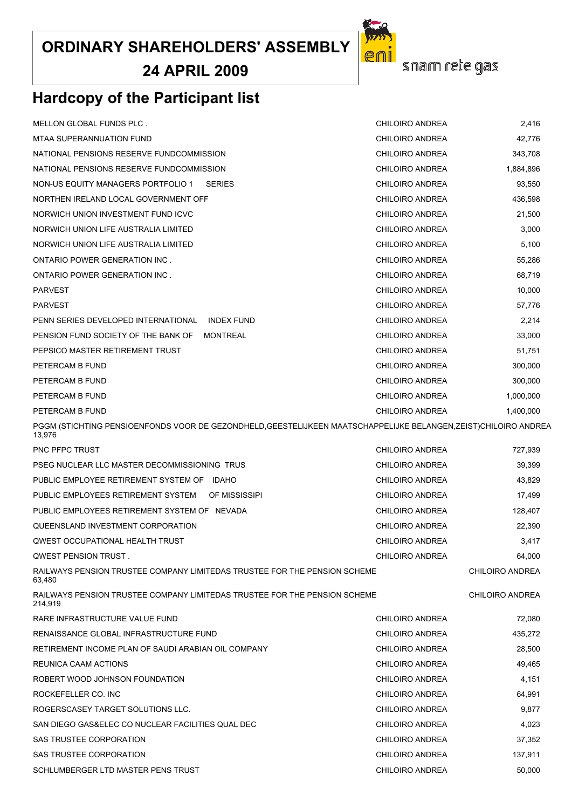**24 APRIL 2009**

# er snam rete gas

# **Hardcopy of the Participant list**

| MELLON GLOBAL FUNDS PLC.                                                                                                   | <b>CHILOIRO ANDREA</b> | 2,416                  |
|----------------------------------------------------------------------------------------------------------------------------|------------------------|------------------------|
| <b>MTAA SUPERANNUATION FUND</b>                                                                                            | CHILOIRO ANDREA        | 42,776                 |
| NATIONAL PENSIONS RESERVE FUNDCOMMISSION                                                                                   | CHILOIRO ANDREA        | 343,708                |
| NATIONAL PENSIONS RESERVE FUNDCOMMISSION                                                                                   | CHILOIRO ANDREA        | 1,884,896              |
| NON-US EQUITY MANAGERS PORTFOLIO 1<br><b>SERIES</b>                                                                        | CHILOIRO ANDREA        | 93,550                 |
| NORTHEN IRELAND LOCAL GOVERNMENT OFF                                                                                       | CHILOIRO ANDREA        | 436,598                |
| NORWICH UNION INVESTMENT FUND ICVC                                                                                         | <b>CHILOIRO ANDREA</b> | 21,500                 |
| NORWICH UNION LIFE AUSTRALIA LIMITED                                                                                       | CHILOIRO ANDREA        | 3,000                  |
| NORWICH UNION LIFE AUSTRALIA LIMITED                                                                                       | CHILOIRO ANDREA        | 5,100                  |
| ONTARIO POWER GENERATION INC.                                                                                              | CHILOIRO ANDREA        | 55,286                 |
| ONTARIO POWER GENERATION INC.                                                                                              | CHILOIRO ANDREA        | 68,719                 |
| <b>PARVEST</b>                                                                                                             | CHILOIRO ANDREA        | 10,000                 |
| <b>PARVEST</b>                                                                                                             | CHILOIRO ANDREA        | 57,776                 |
| PENN SERIES DEVELOPED INTERNATIONAL<br><b>INDEX FUND</b>                                                                   | <b>CHILOIRO ANDREA</b> | 2,214                  |
| PENSION FUND SOCIETY OF THE BANK OF<br><b>MONTREAL</b>                                                                     | CHILOIRO ANDREA        | 33,000                 |
| PEPSICO MASTER RETIREMENT TRUST                                                                                            | CHILOIRO ANDREA        | 51,751                 |
| PETERCAM B FUND                                                                                                            | CHILOIRO ANDREA        | 300,000                |
| PETERCAM B FUND                                                                                                            | CHILOIRO ANDREA        | 300,000                |
| PETERCAM B FUND                                                                                                            | CHILOIRO ANDREA        | 1,000,000              |
| PETERCAM B FUND                                                                                                            | CHILOIRO ANDREA        | 1,400,000              |
| PGGM (STICHTING PENSIOENFONDS VOOR DE GEZONDHELD, GEESTELIJKEEN MAATSCHAPPELIJKE BELANGEN, ZEIST)CHILOIRO ANDREA<br>13,976 |                        |                        |
| PNC PFPC TRUST                                                                                                             | CHILOIRO ANDREA        | 727,939                |
| PSEG NUCLEAR LLC MASTER DECOMMISSIONING TRUS                                                                               | CHILOIRO ANDREA        | 39,399                 |
| PUBLIC EMPLOYEE RETIREMENT SYSTEM OF IDAHO                                                                                 | CHILOIRO ANDREA        | 43,829                 |
| PUBLIC EMPLOYEES RETIREMENT SYSTEM<br>OF MISSISSIPI                                                                        | CHILOIRO ANDREA        | 17,499                 |
| PUBLIC EMPLOYEES RETIREMENT SYSTEM OF NEVADA                                                                               | CHILOIRO ANDREA        | 128,407                |
| QUEENSLAND INVESTMENT CORPORATION                                                                                          | CHILOIRO ANDREA        | 22,390                 |
| <b>QWEST OCCUPATIONAL HEALTH TRUST</b>                                                                                     | CHILOIRO ANDREA        | 3,417                  |
| QWEST PENSION TRUST.                                                                                                       | CHILOIRO ANDREA        | 64,000                 |
| RAILWAYS PENSION TRUSTEE COMPANY LIMITEDAS TRUSTEE FOR THE PENSION SCHEME<br>63,480                                        |                        | CHILOIRO ANDREA        |
| RAILWAYS PENSION TRUSTEE COMPANY LIMITEDAS TRUSTEE FOR THE PENSION SCHEME<br>214,919                                       |                        | <b>CHILOIRO ANDREA</b> |
| RARE INFRASTRUCTURE VALUE FUND                                                                                             | CHILOIRO ANDREA        | 72,080                 |
| RENAISSANCE GLOBAL INFRASTRUCTURE FUND                                                                                     | CHILOIRO ANDREA        | 435,272                |
| RETIREMENT INCOME PLAN OF SAUDI ARABIAN OIL COMPANY                                                                        | <b>CHILOIRO ANDREA</b> | 28,500                 |
| REUNICA CAAM ACTIONS                                                                                                       | CHILOIRO ANDREA        | 49,465                 |
| ROBERT WOOD JOHNSON FOUNDATION                                                                                             | CHILOIRO ANDREA        | 4,151                  |
| ROCKEFELLER CO. INC                                                                                                        | <b>CHILOIRO ANDREA</b> | 64,991                 |
| ROGERSCASEY TARGET SOLUTIONS LLC.                                                                                          | <b>CHILOIRO ANDREA</b> | 9,877                  |
| SAN DIEGO GAS&ELEC CO NUCLEAR FACILITIES QUAL DEC                                                                          | CHILOIRO ANDREA        | 4,023                  |
| SAS TRUSTEE CORPORATION                                                                                                    | <b>CHILOIRO ANDREA</b> | 37,352                 |
| SAS TRUSTEE CORPORATION                                                                                                    | <b>CHILOIRO ANDREA</b> | 137,911                |
| SCHLUMBERGER LTD MASTER PENS TRUST                                                                                         | <b>CHILOIRO ANDREA</b> | 50,000                 |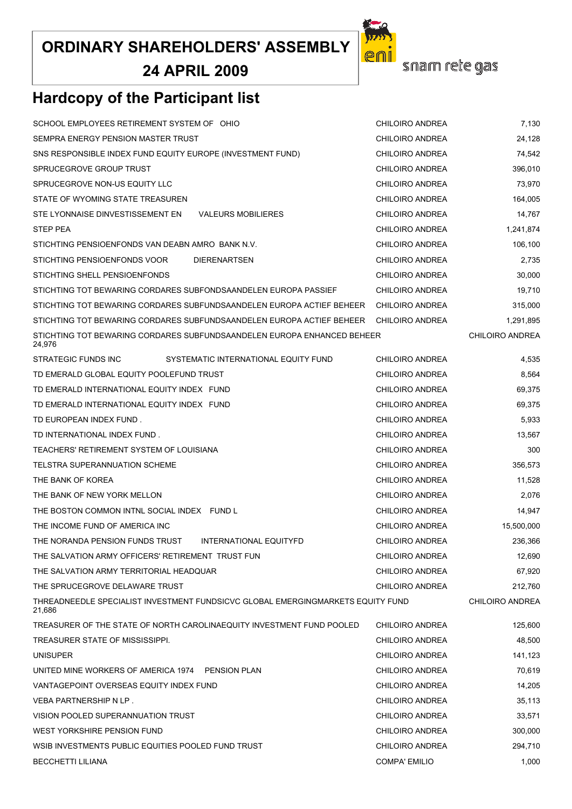**24 APRIL 2009**



snam rete gas

# **Hardcopy of the Participant list**

| SCHOOL EMPLOYEES RETIREMENT SYSTEM OF OHIO                                                | <b>CHILOIRO ANDREA</b> | 7,130                  |
|-------------------------------------------------------------------------------------------|------------------------|------------------------|
| SEMPRA ENERGY PENSION MASTER TRUST                                                        | CHILOIRO ANDREA        | 24,128                 |
| SNS RESPONSIBLE INDEX FUND EQUITY EUROPE (INVESTMENT FUND)                                | <b>CHILOIRO ANDREA</b> | 74,542                 |
| SPRUCEGROVE GROUP TRUST                                                                   | CHILOIRO ANDREA        | 396,010                |
| SPRUCEGROVE NON-US EQUITY LLC                                                             | <b>CHILOIRO ANDREA</b> | 73,970                 |
| STATE OF WYOMING STATE TREASUREN                                                          | CHILOIRO ANDREA        | 164,005                |
| STE LYONNAISE DINVESTISSEMENT EN<br><b>VALEURS MOBILIERES</b>                             | CHILOIRO ANDREA        | 14,767                 |
| <b>STEP PEA</b>                                                                           | CHILOIRO ANDREA        | 1,241,874              |
| STICHTING PENSIOENFONDS VAN DEABN AMRO BANK N.V.                                          | CHILOIRO ANDREA        | 106,100                |
| STICHTING PENSIOENFONDS VOOR<br><b>DIERENARTSEN</b>                                       | CHILOIRO ANDREA        | 2,735                  |
| STICHTING SHELL PENSIOENFONDS                                                             | CHILOIRO ANDREA        | 30,000                 |
| STICHTING TOT BEWARING CORDARES SUBFONDSAANDELEN EUROPA PASSIEF                           | CHILOIRO ANDREA        | 19,710                 |
| STICHTING TOT BEWARING CORDARES SUBFUNDSAANDELEN EUROPA ACTIEF BEHEER                     | CHILOIRO ANDREA        | 315,000                |
| STICHTING TOT BEWARING CORDARES SUBFUNDSAANDELEN EUROPA ACTIEF BEHEER                     | CHILOIRO ANDREA        | 1,291,895              |
| STICHTING TOT BEWARING CORDARES SUBFUNDSAANDELEN EUROPA ENHANCED BEHEER<br>24,976         |                        | <b>CHILOIRO ANDREA</b> |
| STRATEGIC FUNDS INC<br>SYSTEMATIC INTERNATIONAL EQUITY FUND                               | CHILOIRO ANDREA        | 4,535                  |
| TD EMERALD GLOBAL EQUITY POOLEFUND TRUST                                                  | CHILOIRO ANDREA        | 8,564                  |
| TD EMERALD INTERNATIONAL EQUITY INDEX FUND                                                | CHILOIRO ANDREA        | 69,375                 |
| TD EMERALD INTERNATIONAL EQUITY INDEX FUND                                                | CHILOIRO ANDREA        | 69,375                 |
| TD EUROPEAN INDEX FUND.                                                                   | CHILOIRO ANDREA        | 5,933                  |
| TD INTERNATIONAL INDEX FUND.                                                              | CHILOIRO ANDREA        | 13,567                 |
| TEACHERS' RETIREMENT SYSTEM OF LOUISIANA                                                  | CHILOIRO ANDREA        | 300                    |
| TELSTRA SUPERANNUATION SCHEME                                                             | CHILOIRO ANDREA        | 356,573                |
| THE BANK OF KOREA                                                                         | CHILOIRO ANDREA        | 11,528                 |
| THE BANK OF NEW YORK MELLON                                                               | CHILOIRO ANDREA        | 2,076                  |
| THE BOSTON COMMON INTNL SOCIAL INDEX FUND L                                               | CHILOIRO ANDREA        | 14,947                 |
| THE INCOME FUND OF AMERICA INC                                                            | CHILOIRO ANDREA        | 15,500,000             |
| THE NORANDA PENSION FUNDS TRUST<br>INTERNATIONAL EQUITYFD                                 | <b>CHILOIRO ANDREA</b> | 236,366                |
| THE SALVATION ARMY OFFICERS' RETIREMENT TRUST FUN                                         | CHILOIRO ANDREA        | 12,690                 |
| THE SALVATION ARMY TERRITORIAL HEADQUAR                                                   | CHILOIRO ANDREA        | 67,920                 |
| THE SPRUCEGROVE DELAWARE TRUST                                                            | CHILOIRO ANDREA        | 212,760                |
| THREADNEEDLE SPECIALIST INVESTMENT FUNDSICVC GLOBAL EMERGINGMARKETS EQUITY FUND<br>21,686 |                        | <b>CHILOIRO ANDREA</b> |
| TREASURER OF THE STATE OF NORTH CAROLINAEQUITY INVESTMENT FUND POOLED                     | CHILOIRO ANDREA        | 125,600                |
| TREASURER STATE OF MISSISSIPPI.                                                           | CHILOIRO ANDREA        | 48,500                 |
| <b>UNISUPER</b>                                                                           | CHILOIRO ANDREA        | 141,123                |
| UNITED MINE WORKERS OF AMERICA 1974 PENSION PLAN                                          | CHILOIRO ANDREA        | 70,619                 |
| VANTAGEPOINT OVERSEAS EQUITY INDEX FUND                                                   | CHILOIRO ANDREA        | 14,205                 |
| VEBA PARTNERSHIP N LP.                                                                    | CHILOIRO ANDREA        | 35,113                 |
| VISION POOLED SUPERANNUATION TRUST                                                        | CHILOIRO ANDREA        | 33,571                 |
| WEST YORKSHIRE PENSION FUND                                                               | CHILOIRO ANDREA        | 300,000                |
| WSIB INVESTMENTS PUBLIC EQUITIES POOLED FUND TRUST                                        | <b>CHILOIRO ANDREA</b> | 294,710                |
| <b>BECCHETTI LILIANA</b>                                                                  | <b>COMPA' EMILIO</b>   | 1,000                  |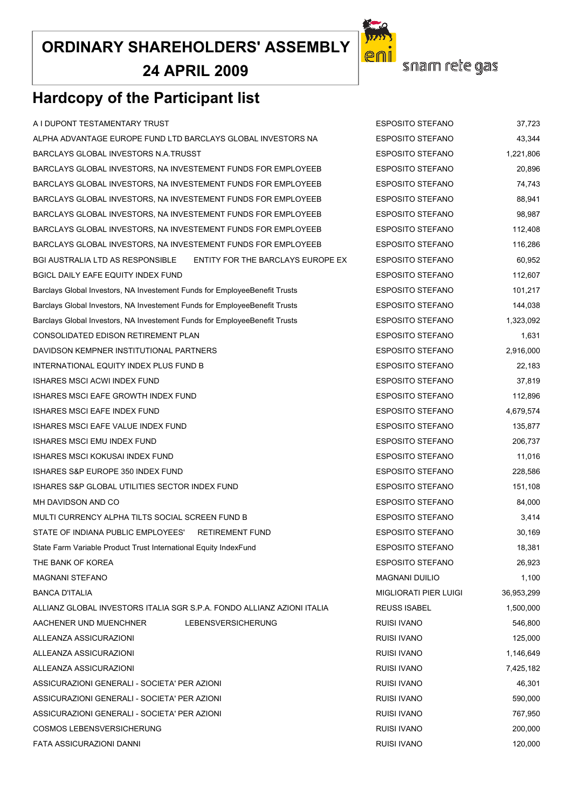**24 APRIL 2009**



# **Hardcopy of the Participant list**

ALPHA ADVANTAGE EUROPE FUND LTD BARCLAYS GLOBAL INVESTORS NA ESPOSITO STEFANO 43,344 BARCLAYS GLOBAL INVESTORS N.A.TRUSST **ESPOSITO STEFANO** 1,221,806 BARCLAYS GLOBAL INVESTORS, NA INVESTEMENT FUNDS FOR EMPLOYEEB ESPOSITO STEFANO 20,896 BARCLAYS GLOBAL INVESTORS, NA INVESTEMENT FUNDS FOR EMPLOYEEB ESPOSITO STEFANO 6 24.743 BARCLAYS GLOBAL INVESTORS, NA INVESTEMENT FUNDS FOR EMPLOYEEB ESPOSITO STEFANO 88.941 BARCLAYS GLOBAL INVESTORS, NA INVESTEMENT FUNDS FOR EMPLOYEEB ESPOSITO STEFANO 98,987 BARCLAYS GLOBAL INVESTORS, NA INVESTEMENT FUNDS FOR EMPLOYEEB ESPOSITO STEFANO 112.408 BARCLAYS GLOBAL INVESTORS, NA INVESTEMENT FUNDS FOR EMPLOYEEB ESPOSITO STEFANO 116,286 BGI AUSTRALIA LTD AS RESPONSIBLE ENTITY FOR THE BARCLAYS EUROPE EX ESPOSITO STEFANO 60.952 BGICL DAILY EAFE EQUITY INDEX FUND **EXPOSITO STEFANO** ESPOSITO STEFANO 112,607 Barclays Global Investors, NA Investement Funds for EmployeeBenefit Trusts ESPOSITO STEFANO 101,217 Barclays Global Investors, NA Investement Funds for EmployeeBenefit Trusts ESPOSITO STEFANO 144,038 Barclays Global Investors, NA Investement Funds for EmployeeBenefit Trusts ESPOSITO STEFANO 1,323,092 CONSOLIDATED EDISON RETIREMENT PLAN EXPOSITO STEFANO AND TURNELLO STEFANO AND TURNELLO AND TURNELLO AND TURNEL DAVIDSON KEMPNER INSTITUTIONAL PARTNERS ESPOSITO STEFANO 2,916,000 INTERNATIONAL EQUITY INDEX PLUS FUND B ESPOSITO STEFANO 22.183 ISHARES MSCI ACWI INDEX FUND ESPOSITO STEFANO 37,819 ISHARES MSCI EAFE GROWTH INDEX FUND **EXAMPLE 2008** ESPOSITO STEFANO 112.896 ISHARES MSCI EAFE INDEX FUND ESPOSITO STEFANO 4,679,574 ISHARES MSCI EAFE VALUE INDEX FUND **ESPOSITO STEFANO** ESPOSITO STEFANO ISHARES MSCI EMU INDEX FUND ESPOSITO STEFANO 206,737 ISHARES MSCI KOKUSAI INDEX FUND ESPOSITO STEFANO 11,016 ISHARES S&P EUROPE 350 INDEX FUND EXPOSITO STEFANO ESPOSITO STEFANO 228.586 ISHARES S&P GLOBAL UTILITIES SECTOR INDEX FUND **ESPOSITO STEFANO** ESPOSITO STEFANO MH DAVIDSON AND CO AND THE SPOSITO STEFANO B4.000 MULTI CURRENCY ALPHA TILTS SOCIAL SCREEN FUND B ESPOSITO STEFANO 3,414 STATE OF INDIANA PUBLIC EMPLOYEES' RETIREMENT FUND ESPOSITO STEFANO 30.169 State Farm Variable Product Trust International Equity IndexFund ESPOSITO STEFANO 18,381 THE BANK OF KOREA ESPOSITO STEFANO 26,923 MAGNANI STEFANO 1.100 BANCA D'ITALIA MIGLIORATI PIER LUIGI 36,953,299 ALLIANZ GLOBAL INVESTORS ITALIA SGR S.P.A. FONDO ALLIANZ AZIONI ITALIA REUSS ISABEL 1,500,000 AACHENER UND MUENCHNER LEBENSVERSICHERUNG RUISI IVANO 546,800 ALLEANZA ASSICURAZIONI RUISI IVANO 125,000 ALLEANZA ASSICURAZIONI RUISI IVANO 1,146,649 ALLEANZA ASSICURAZIONI RUISI IVANO 7,425,182 ASSICURAZIONI GENERALI - SOCIETA' PER AZIONI RUISI IVANO 46,301 ASSICURAZIONI GENERALI - SOCIETA' PER AZIONI RUISI IVANO 590,000 ASSICURAZIONI GENERALI - SOCIETA' PER AZIONI RUISI IVANO 767,950 COSMOS LEBENSVERSICHERUNG RUISI IVANO 200,000 FATA ASSICURAZIONI DANNI RUISI IVANO 120,000

A I DUPONT TESTAMENTARY TRUST TERM AND THE SPOSITO STEFANO AND TESPOSITO STEFANO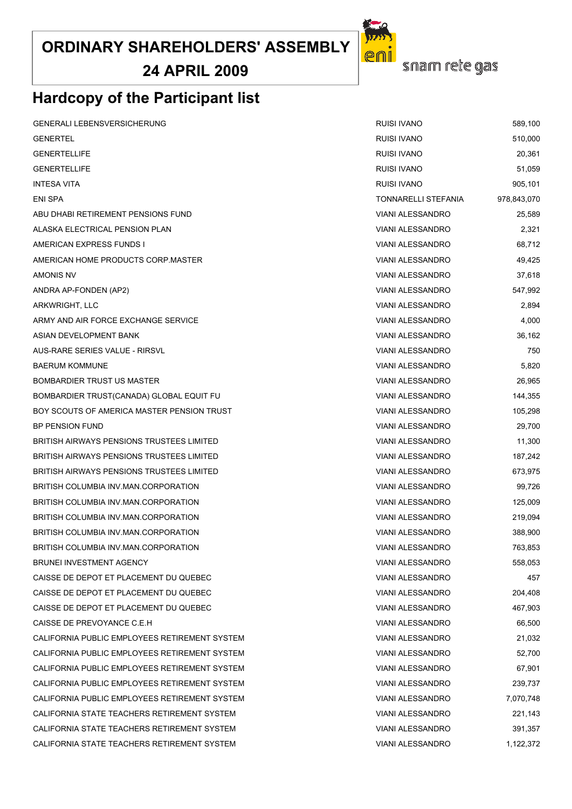**24 APRIL 2009**

## **Hardcopy of the Participant list**

| <b>GENERALI LEBENSVERSICHERUNG</b>               | <b>RUISI IVANO</b>      | 589,100     |
|--------------------------------------------------|-------------------------|-------------|
| <b>GENERTEL</b>                                  | RUISI IVANO             | 510,000     |
| <b>GENERTELLIFE</b>                              | RUISI IVANO             | 20,361      |
| <b>GENERTELLIFE</b>                              | <b>RUISI IVANO</b>      | 51,059      |
| <b>INTESA VITA</b>                               | <b>RUISI IVANO</b>      | 905,101     |
| ENI SPA                                          | TONNARELLI STEFANIA     | 978,843,070 |
| ABU DHABI RETIREMENT PENSIONS FUND               | <b>VIANI ALESSANDRO</b> | 25,589      |
| ALASKA ELECTRICAL PENSION PLAN                   | <b>VIANI ALESSANDRO</b> | 2,321       |
| AMERICAN EXPRESS FUNDS I                         | <b>VIANI ALESSANDRO</b> | 68,712      |
| AMERICAN HOME PRODUCTS CORP.MASTER               | <b>VIANI ALESSANDRO</b> | 49,425      |
| AMONIS NV                                        | <b>VIANI ALESSANDRO</b> | 37,618      |
| ANDRA AP-FONDEN (AP2)                            | <b>VIANI ALESSANDRO</b> | 547,992     |
| ARKWRIGHT, LLC                                   | <b>VIANI ALESSANDRO</b> | 2,894       |
| ARMY AND AIR FORCE EXCHANGE SERVICE              | <b>VIANI ALESSANDRO</b> | 4,000       |
| ASIAN DEVELOPMENT BANK                           | <b>VIANI ALESSANDRO</b> | 36,162      |
| AUS-RARE SERIES VALUE - RIRSVL                   | <b>VIANI ALESSANDRO</b> | 750         |
| <b>BAERUM KOMMUNE</b>                            | <b>VIANI ALESSANDRO</b> | 5,820       |
| <b>BOMBARDIER TRUST US MASTER</b>                | <b>VIANI ALESSANDRO</b> | 26,965      |
| BOMBARDIER TRUST(CANADA) GLOBAL EQUIT FU         | <b>VIANI ALESSANDRO</b> | 144,355     |
| BOY SCOUTS OF AMERICA MASTER PENSION TRUST       | <b>VIANI ALESSANDRO</b> | 105,298     |
| BP PENSION FUND                                  | <b>VIANI ALESSANDRO</b> | 29,700      |
| BRITISH AIRWAYS PENSIONS TRUSTEES LIMITED        | <b>VIANI ALESSANDRO</b> | 11,300      |
| <b>BRITISH AIRWAYS PENSIONS TRUSTEES LIMITED</b> | <b>VIANI ALESSANDRO</b> | 187,242     |
| <b>BRITISH AIRWAYS PENSIONS TRUSTEES LIMITED</b> | <b>VIANI ALESSANDRO</b> | 673,975     |
| BRITISH COLUMBIA INV.MAN.CORPORATION             | <b>VIANI ALESSANDRO</b> | 99,726      |
| BRITISH COLUMBIA INV MAN CORPORATION             | <b>VIANI ALESSANDRO</b> | 125,009     |
| BRITISH COLUMBIA INV MAN CORPORATION             | <b>VIANI ALESSANDRO</b> | 219,094     |
| BRITISH COLUMBIA INV MAN CORPORATION             | <b>VIANI ALESSANDRO</b> | 388,900     |
| BRITISH COLUMBIA INV.MAN.CORPORATION             | <b>VIANI ALESSANDRO</b> | 763,853     |
| <b>BRUNEI INVESTMENT AGENCY</b>                  | <b>VIANI ALESSANDRO</b> | 558,053     |
| CAISSE DE DEPOT ET PLACEMENT DU QUEBEC           | <b>VIANI ALESSANDRO</b> | 457         |
| CAISSE DE DEPOT ET PLACEMENT DU QUEBEC           | <b>VIANI ALESSANDRO</b> | 204,408     |
| CAISSE DE DEPOT ET PLACEMENT DU QUEBEC           | <b>VIANI ALESSANDRO</b> | 467,903     |
| CAISSE DE PREVOYANCE C.E.H                       | <b>VIANI ALESSANDRO</b> | 66.500      |
| CALIFORNIA PUBLIC EMPLOYEES RETIREMENT SYSTEM    | <b>VIANI ALESSANDRO</b> | 21,032      |
| CALIFORNIA PUBLIC EMPLOYEES RETIREMENT SYSTEM    | <b>VIANI ALESSANDRO</b> | 52,700      |
| CALIFORNIA PUBLIC EMPLOYEES RETIREMENT SYSTEM    | <b>VIANI ALESSANDRO</b> | 67,901      |
| CALIFORNIA PUBLIC EMPLOYEES RETIREMENT SYSTEM    | <b>VIANI ALESSANDRO</b> | 239,737     |
| CALIFORNIA PUBLIC EMPLOYEES RETIREMENT SYSTEM    | <b>VIANI ALESSANDRO</b> | 7,070,748   |
| CALIFORNIA STATE TEACHERS RETIREMENT SYSTEM      | <b>VIANI ALESSANDRO</b> | 221,143     |
| CALIFORNIA STATE TEACHERS RETIREMENT SYSTEM      | <b>VIANI ALESSANDRO</b> | 391,357     |
| CALIFORNIA STATE TEACHERS RETIREMENT SYSTEM      | VIANI ALESSANDRO        | 1.122.372   |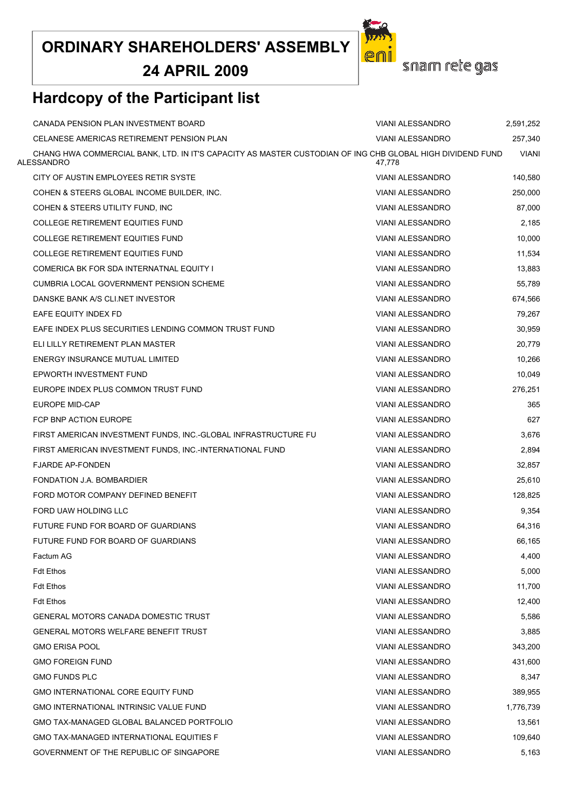**24 APRIL 2009**

![](_page_21_Picture_2.jpeg)

# **Hardcopy of the Participant list**

| CANADA PENSION PLAN INVESTMENT BOARD                                                                                    | <b>VIANI ALESSANDRO</b> | 2,591,252    |
|-------------------------------------------------------------------------------------------------------------------------|-------------------------|--------------|
| CELANESE AMERICAS RETIREMENT PENSION PLAN                                                                               | <b>VIANI ALESSANDRO</b> | 257,340      |
| CHANG HWA COMMERCIAL BANK, LTD. IN IT'S CAPACITY AS MASTER CUSTODIAN OF ING CHB GLOBAL HIGH DIVIDEND FUND<br>ALESSANDRO | 47,778                  | <b>VIANI</b> |
| CITY OF AUSTIN EMPLOYEES RETIR SYSTE                                                                                    | <b>VIANI ALESSANDRO</b> | 140,580      |
| COHEN & STEERS GLOBAL INCOME BUILDER, INC.                                                                              | <b>VIANI ALESSANDRO</b> | 250,000      |
| COHEN & STEERS UTILITY FUND, INC                                                                                        | <b>VIANI ALESSANDRO</b> | 87,000       |
| <b>COLLEGE RETIREMENT EQUITIES FUND</b>                                                                                 | <b>VIANI ALESSANDRO</b> | 2,185        |
| <b>COLLEGE RETIREMENT EQUITIES FUND</b>                                                                                 | <b>VIANI ALESSANDRO</b> | 10,000       |
| COLLEGE RETIREMENT EQUITIES FUND                                                                                        | <b>VIANI ALESSANDRO</b> | 11,534       |
| COMERICA BK FOR SDA INTERNATNAL EQUITY I                                                                                | <b>VIANI ALESSANDRO</b> | 13,883       |
| <b>CUMBRIA LOCAL GOVERNMENT PENSION SCHEME</b>                                                                          | <b>VIANI ALESSANDRO</b> | 55,789       |
| DANSKE BANK A/S CLI.NET INVESTOR                                                                                        | <b>VIANI ALESSANDRO</b> | 674,566      |
| EAFE EQUITY INDEX FD                                                                                                    | <b>VIANI ALESSANDRO</b> | 79,267       |
| EAFE INDEX PLUS SECURITIES LENDING COMMON TRUST FUND                                                                    | <b>VIANI ALESSANDRO</b> | 30,959       |
| ELI LILLY RETIREMENT PLAN MASTER                                                                                        | <b>VIANI ALESSANDRO</b> | 20,779       |
| ENERGY INSURANCE MUTUAL LIMITED                                                                                         | <b>VIANI ALESSANDRO</b> | 10,266       |
| EPWORTH INVESTMENT FUND                                                                                                 | <b>VIANI ALESSANDRO</b> | 10,049       |
| EUROPE INDEX PLUS COMMON TRUST FUND                                                                                     | VIANI ALESSANDRO        | 276,251      |
| EUROPE MID-CAP                                                                                                          | <b>VIANI ALESSANDRO</b> | 365          |
| FCP BNP ACTION EUROPE                                                                                                   | <b>VIANI ALESSANDRO</b> | 627          |
| FIRST AMERICAN INVESTMENT FUNDS, INC.-GLOBAL INFRASTRUCTURE FU                                                          | <b>VIANI ALESSANDRO</b> | 3,676        |
| FIRST AMERICAN INVESTMENT FUNDS, INC.-INTERNATIONAL FUND                                                                | <b>VIANI ALESSANDRO</b> | 2,894        |
| <b>FJARDE AP-FONDEN</b>                                                                                                 | <b>VIANI ALESSANDRO</b> | 32,857       |
| FONDATION J.A. BOMBARDIER                                                                                               | <b>VIANI ALESSANDRO</b> | 25,610       |
| FORD MOTOR COMPANY DEFINED BENEFIT                                                                                      | <b>VIANI ALESSANDRO</b> | 128,825      |
| FORD UAW HOLDING LLC                                                                                                    | <b>VIANI ALESSANDRO</b> | 9,354        |
| FUTURE FUND FOR BOARD OF GUARDIANS                                                                                      | <b>VIANI ALESSANDRO</b> | 64,316       |
| FUTURE FUND FOR BOARD OF GUARDIANS                                                                                      | <b>VIANI ALESSANDRO</b> | 66,165       |
| Factum AG                                                                                                               | <b>VIANI ALESSANDRO</b> | 4,400        |
| <b>Fdt Ethos</b>                                                                                                        | <b>VIANI ALESSANDRO</b> | 5,000        |
| <b>Fdt Ethos</b>                                                                                                        | <b>VIANI ALESSANDRO</b> | 11,700       |
| <b>Fdt Ethos</b>                                                                                                        | <b>VIANI ALESSANDRO</b> | 12,400       |
| GENERAL MOTORS CANADA DOMESTIC TRUST                                                                                    | <b>VIANI ALESSANDRO</b> | 5,586        |
| <b>GENERAL MOTORS WELFARE BENEFIT TRUST</b>                                                                             | <b>VIANI ALESSANDRO</b> | 3,885        |
| <b>GMO ERISA POOL</b>                                                                                                   | <b>VIANI ALESSANDRO</b> | 343,200      |
| <b>GMO FOREIGN FUND</b>                                                                                                 | <b>VIANI ALESSANDRO</b> | 431,600      |
| <b>GMO FUNDS PLC</b>                                                                                                    | <b>VIANI ALESSANDRO</b> | 8,347        |
| <b>GMO INTERNATIONAL CORE EQUITY FUND</b>                                                                               | <b>VIANI ALESSANDRO</b> | 389,955      |
| GMO INTERNATIONAL INTRINSIC VALUE FUND                                                                                  | <b>VIANI ALESSANDRO</b> | 1,776,739    |
| GMO TAX-MANAGED GLOBAL BALANCED PORTFOLIO                                                                               | <b>VIANI ALESSANDRO</b> | 13,561       |
| <b>GMO TAX-MANAGED INTERNATIONAL EQUITIES F</b>                                                                         | <b>VIANI ALESSANDRO</b> | 109,640      |
| GOVERNMENT OF THE REPUBLIC OF SINGAPORE                                                                                 | <b>VIANI ALESSANDRO</b> | 5,163        |
|                                                                                                                         |                         |              |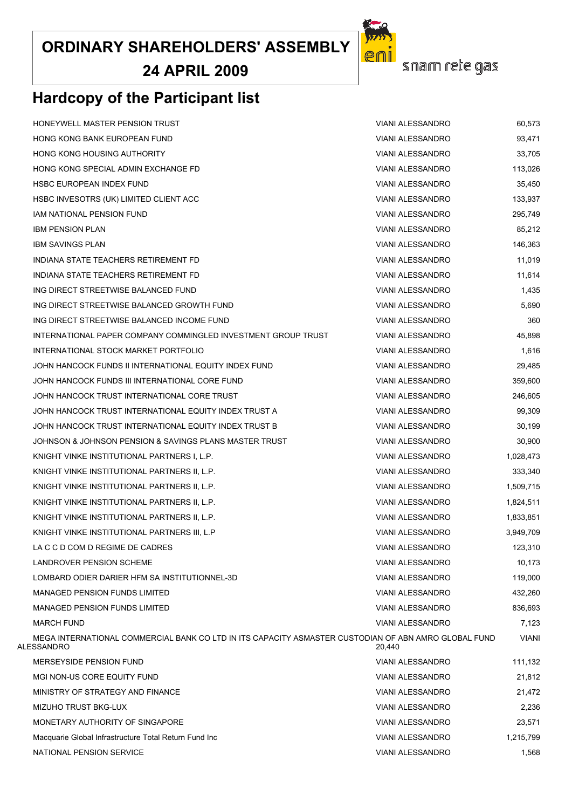**24 APRIL 2009**

# **Hardcopy of the Participant list**

snam rete gas

pr

| HONEYWELL MASTER PENSION TRUST                                                                                     | <b>VIANI ALESSANDRO</b> | 60,573    |
|--------------------------------------------------------------------------------------------------------------------|-------------------------|-----------|
| HONG KONG BANK EUROPEAN FUND                                                                                       | VIANI ALESSANDRO        | 93,471    |
| <b>HONG KONG HOUSING AUTHORITY</b>                                                                                 | <b>VIANI ALESSANDRO</b> | 33,705    |
| HONG KONG SPECIAL ADMIN EXCHANGE FD                                                                                | VIANI ALESSANDRO        | 113,026   |
| HSBC EUROPEAN INDEX FUND                                                                                           | <b>VIANI ALESSANDRO</b> | 35,450    |
| HSBC INVESOTRS (UK) LIMITED CLIENT ACC                                                                             | <b>VIANI ALESSANDRO</b> | 133,937   |
| IAM NATIONAL PENSION FUND                                                                                          | <b>VIANI ALESSANDRO</b> | 295,749   |
| <b>IBM PENSION PLAN</b>                                                                                            | <b>VIANI ALESSANDRO</b> | 85,212    |
| <b>IBM SAVINGS PLAN</b>                                                                                            | <b>VIANI ALESSANDRO</b> | 146,363   |
| INDIANA STATE TEACHERS RETIREMENT FD                                                                               | VIANI ALESSANDRO        | 11,019    |
| INDIANA STATE TEACHERS RETIREMENT FD                                                                               | <b>VIANI ALESSANDRO</b> | 11,614    |
| ING DIRECT STREETWISE BALANCED FUND                                                                                | VIANI ALESSANDRO        | 1,435     |
| ING DIRECT STREETWISE BALANCED GROWTH FUND                                                                         | <b>VIANI ALESSANDRO</b> | 5,690     |
| ING DIRECT STREETWISE BALANCED INCOME FUND                                                                         | <b>VIANI ALESSANDRO</b> | 360       |
| INTERNATIONAL PAPER COMPANY COMMINGLED INVESTMENT GROUP TRUST                                                      | <b>VIANI ALESSANDRO</b> | 45,898    |
| INTERNATIONAL STOCK MARKET PORTFOLIO                                                                               | <b>VIANI ALESSANDRO</b> | 1,616     |
| JOHN HANCOCK FUNDS II INTERNATIONAL EQUITY INDEX FUND                                                              | <b>VIANI ALESSANDRO</b> | 29,485    |
| JOHN HANCOCK FUNDS III INTERNATIONAL CORE FUND                                                                     | <b>VIANI ALESSANDRO</b> | 359,600   |
| JOHN HANCOCK TRUST INTERNATIONAL CORE TRUST                                                                        | <b>VIANI ALESSANDRO</b> | 246,605   |
| JOHN HANCOCK TRUST INTERNATIONAL EQUITY INDEX TRUST A                                                              | VIANI ALESSANDRO        | 99,309    |
| JOHN HANCOCK TRUST INTERNATIONAL EQUITY INDEX TRUST B                                                              | <b>VIANI ALESSANDRO</b> | 30,199    |
| JOHNSON & JOHNSON PENSION & SAVINGS PLANS MASTER TRUST                                                             | <b>VIANI ALESSANDRO</b> | 30,900    |
| KNIGHT VINKE INSTITUTIONAL PARTNERS I, L.P.                                                                        | VIANI ALESSANDRO        | 1,028,473 |
| KNIGHT VINKE INSTITUTIONAL PARTNERS II, L.P.                                                                       | <b>VIANI ALESSANDRO</b> | 333,340   |
| KNIGHT VINKE INSTITUTIONAL PARTNERS II, L.P.                                                                       | VIANI ALESSANDRO        | 1,509,715 |
| KNIGHT VINKE INSTITUTIONAL PARTNERS II, L.P.                                                                       | <b>VIANI ALESSANDRO</b> | 1,824,511 |
| KNIGHT VINKE INSTITUTIONAL PARTNERS II, L.P.                                                                       | <b>VIANI ALESSANDRO</b> | 1,833,851 |
| KNIGHT VINKE INSTITUTIONAL PARTNERS III, L.P                                                                       | <b>VIANI ALESSANDRO</b> | 3,949,709 |
| LA C C D COM D REGIME DE CADRES                                                                                    | <b>VIANI ALESSANDRO</b> | 123,310   |
| LANDROVER PENSION SCHEME                                                                                           | <b>VIANI ALESSANDRO</b> | 10,173    |
| LOMBARD ODIER DARIER HFM SA INSTITUTIONNEL-3D                                                                      | VIANI ALESSANDRO        | 119,000   |
| <b>MANAGED PENSION FUNDS LIMITED</b>                                                                               | <b>VIANI ALESSANDRO</b> | 432,260   |
| <b>MANAGED PENSION FUNDS LIMITED</b>                                                                               | <b>VIANI ALESSANDRO</b> | 836,693   |
| <b>MARCH FUND</b>                                                                                                  | <b>VIANI ALESSANDRO</b> | 7,123     |
| MEGA INTERNATIONAL COMMERCIAL BANK CO LTD IN ITS CAPACITY ASMASTER CUSTODIAN OF ABN AMRO GLOBAL FUND<br>ALESSANDRO | 20,440                  | VIANI     |
| <b>MERSEYSIDE PENSION FUND</b>                                                                                     | <b>VIANI ALESSANDRO</b> | 111,132   |
| MGI NON-US CORE EQUITY FUND                                                                                        | <b>VIANI ALESSANDRO</b> | 21,812    |
| MINISTRY OF STRATEGY AND FINANCE                                                                                   | <b>VIANI ALESSANDRO</b> | 21,472    |
| MIZUHO TRUST BKG-LUX                                                                                               | <b>VIANI ALESSANDRO</b> | 2,236     |
| MONETARY AUTHORITY OF SINGAPORE                                                                                    | <b>VIANI ALESSANDRO</b> | 23,571    |
| Macquarie Global Infrastructure Total Return Fund Inc                                                              | <b>VIANI ALESSANDRO</b> | 1,215,799 |
| NATIONAL PENSION SERVICE                                                                                           | <b>VIANI ALESSANDRO</b> | 1,568     |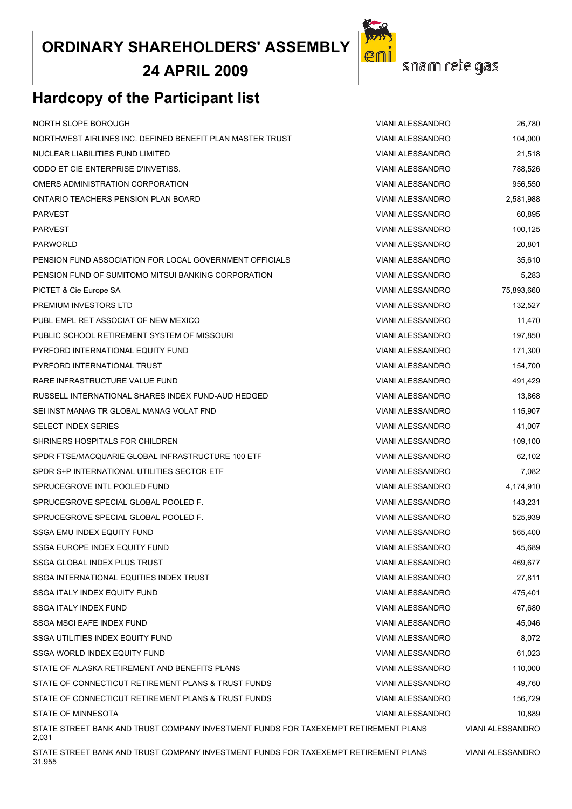**24 APRIL 2009**

# **Hardcopy of the Participant list**

| NORTH SLOPE BOROUGH                                                                          | <b>VIANI ALESSANDRO</b> | 26,780                  |
|----------------------------------------------------------------------------------------------|-------------------------|-------------------------|
| NORTHWEST AIRLINES INC. DEFINED BENEFIT PLAN MASTER TRUST                                    | <b>VIANI ALESSANDRO</b> | 104,000                 |
| NUCLEAR LIABILITIES FUND LIMITED                                                             | <b>VIANI ALESSANDRO</b> | 21,518                  |
| ODDO ET CIE ENTERPRISE D'INVETISS.                                                           | <b>VIANI ALESSANDRO</b> | 788,526                 |
| OMERS ADMINISTRATION CORPORATION                                                             | <b>VIANI ALESSANDRO</b> | 956,550                 |
| ONTARIO TEACHERS PENSION PLAN BOARD                                                          | <b>VIANI ALESSANDRO</b> | 2,581,988               |
| <b>PARVEST</b>                                                                               | <b>VIANI ALESSANDRO</b> | 60,895                  |
| <b>PARVEST</b>                                                                               | <b>VIANI ALESSANDRO</b> | 100,125                 |
| <b>PARWORLD</b>                                                                              | VIANI ALESSANDRO        | 20,801                  |
| PENSION FUND ASSOCIATION FOR LOCAL GOVERNMENT OFFICIALS                                      | <b>VIANI ALESSANDRO</b> | 35,610                  |
| PENSION FUND OF SUMITOMO MITSUI BANKING CORPORATION                                          | <b>VIANI ALESSANDRO</b> | 5,283                   |
| PICTET & Cie Europe SA                                                                       | <b>VIANI ALESSANDRO</b> | 75,893,660              |
| PREMIUM INVESTORS LTD                                                                        | <b>VIANI ALESSANDRO</b> | 132,527                 |
| PUBL EMPL RET ASSOCIAT OF NEW MEXICO                                                         | <b>VIANI ALESSANDRO</b> | 11,470                  |
| PUBLIC SCHOOL RETIREMENT SYSTEM OF MISSOURI                                                  | <b>VIANI ALESSANDRO</b> | 197,850                 |
| PYRFORD INTERNATIONAL EQUITY FUND                                                            | <b>VIANI ALESSANDRO</b> | 171,300                 |
| PYRFORD INTERNATIONAL TRUST                                                                  | <b>VIANI ALESSANDRO</b> | 154,700                 |
| RARE INFRASTRUCTURE VALUE FUND                                                               | <b>VIANI ALESSANDRO</b> | 491,429                 |
| RUSSELL INTERNATIONAL SHARES INDEX FUND-AUD HEDGED                                           | <b>VIANI ALESSANDRO</b> | 13,868                  |
| SEI INST MANAG TR GLOBAL MANAG VOLAT FND                                                     | <b>VIANI ALESSANDRO</b> | 115,907                 |
| <b>SELECT INDEX SERIES</b>                                                                   | VIANI ALESSANDRO        | 41,007                  |
| SHRINERS HOSPITALS FOR CHILDREN                                                              | <b>VIANI ALESSANDRO</b> | 109,100                 |
| SPDR FTSE/MACQUARIE GLOBAL INFRASTRUCTURE 100 ETF                                            | <b>VIANI ALESSANDRO</b> | 62,102                  |
| SPDR S+P INTERNATIONAL UTILITIES SECTOR ETF                                                  | VIANI ALESSANDRO        | 7,082                   |
| SPRUCEGROVE INTL POOLED FUND                                                                 | <b>VIANI ALESSANDRO</b> | 4,174,910               |
| SPRUCEGROVE SPECIAL GLOBAL POOLED F.                                                         | <b>VIANI ALESSANDRO</b> | 143,231                 |
| SPRUCEGROVE SPECIAL GLOBAL POOLED F.                                                         | <b>VIANI ALESSANDRO</b> | 525,939                 |
| SSGA EMU INDEX EQUITY FUND                                                                   | VIANI ALESSANDRO        | 565,400                 |
| SSGA EUROPE INDEX EQUITY FUND                                                                | VIANI ALESSANDRO        | 45.689                  |
| SSGA GLOBAL INDEX PLUS TRUST                                                                 | <b>VIANI ALESSANDRO</b> | 469,677                 |
| SSGA INTERNATIONAL EQUITIES INDEX TRUST                                                      | <b>VIANI ALESSANDRO</b> | 27,811                  |
| SSGA ITALY INDEX EQUITY FUND                                                                 | <b>VIANI ALESSANDRO</b> | 475,401                 |
| <b>SSGA ITALY INDEX FUND</b>                                                                 | <b>VIANI ALESSANDRO</b> | 67,680                  |
| SSGA MSCI EAFE INDEX FUND                                                                    | <b>VIANI ALESSANDRO</b> | 45,046                  |
| SSGA UTILITIES INDEX EQUITY FUND                                                             | <b>VIANI ALESSANDRO</b> | 8,072                   |
| SSGA WORLD INDEX EQUITY FUND                                                                 | <b>VIANI ALESSANDRO</b> | 61,023                  |
| STATE OF ALASKA RETIREMENT AND BENEFITS PLANS                                                | <b>VIANI ALESSANDRO</b> | 110,000                 |
| STATE OF CONNECTICUT RETIREMENT PLANS & TRUST FUNDS                                          | <b>VIANI ALESSANDRO</b> | 49,760                  |
| STATE OF CONNECTICUT RETIREMENT PLANS & TRUST FUNDS                                          | <b>VIANI ALESSANDRO</b> | 156,729                 |
| STATE OF MINNESOTA                                                                           | <b>VIANI ALESSANDRO</b> | 10,889                  |
| STATE STREET BANK AND TRUST COMPANY INVESTMENT FUNDS FOR TAXEXEMPT RETIREMENT PLANS<br>2,031 |                         | <b>VIANI ALESSANDRO</b> |
| STATE STREET BANK AND TRUST COMPANY INVESTMENT FUNDS FOR TAXEXEMPT RETIREMENT PLANS          | <b>VIANI ALESSANDRO</b> |                         |

![](_page_23_Picture_4.jpeg)

31,955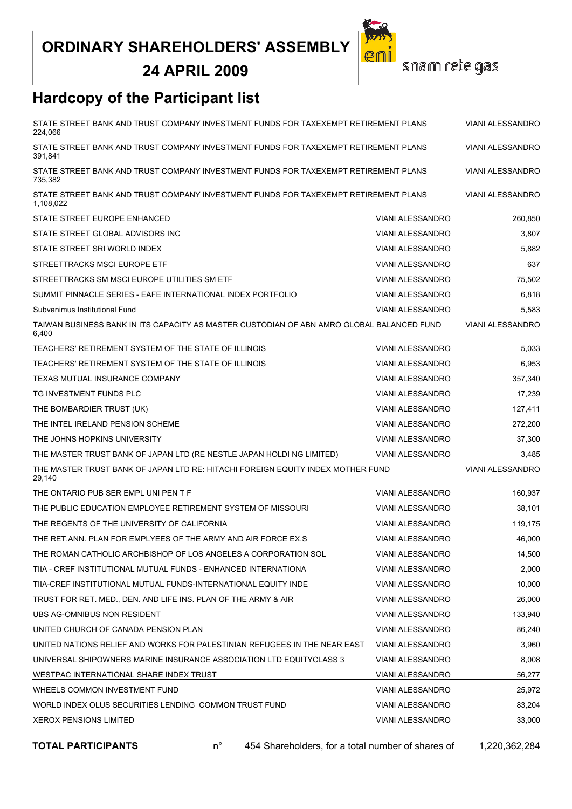**24 APRIL 2009**

![](_page_24_Picture_2.jpeg)

snam rete gas

# **Hardcopy of the Participant list**

| STATE STREET BANK AND TRUST COMPANY INVESTMENT FUNDS FOR TAXEXEMPT RETIREMENT PLANS<br>224.066     | <b>VIANI ALESSANDRO</b> |                         |
|----------------------------------------------------------------------------------------------------|-------------------------|-------------------------|
| STATE STREET BANK AND TRUST COMPANY INVESTMENT FUNDS FOR TAXEXEMPT RETIREMENT PLANS<br>391,841     | <b>VIANI ALESSANDRO</b> |                         |
| STATE STREET BANK AND TRUST COMPANY INVESTMENT FUNDS FOR TAXEXEMPT RETIREMENT PLANS<br>735,382     | <b>VIANI ALESSANDRO</b> |                         |
| STATE STREET BANK AND TRUST COMPANY INVESTMENT FUNDS FOR TAXEXEMPT RETIREMENT PLANS<br>1,108,022   |                         | VIANI ALESSANDRO        |
| STATE STREET EUROPE ENHANCED                                                                       | <b>VIANI ALESSANDRO</b> | 260,850                 |
| STATE STREET GLOBAL ADVISORS INC                                                                   | VIANI ALESSANDRO        | 3,807                   |
| STATE STREET SRI WORLD INDEX                                                                       | <b>VIANI ALESSANDRO</b> | 5,882                   |
| STREETTRACKS MSCI EUROPE ETF                                                                       | VIANI ALESSANDRO        | 637                     |
| STREETTRACKS SM MSCI EUROPE UTILITIES SM ETF                                                       | <b>VIANI ALESSANDRO</b> | 75,502                  |
| SUMMIT PINNACLE SERIES - EAFE INTERNATIONAL INDEX PORTFOLIO                                        | VIANI ALESSANDRO        | 6,818                   |
| Subvenimus Institutional Fund                                                                      | <b>VIANI ALESSANDRO</b> | 5,583                   |
| TAIWAN BUSINESS BANK IN ITS CAPACITY AS MASTER CUSTODIAN OF ABN AMRO GLOBAL BALANCED FUND<br>6,400 |                         | VIANI ALESSANDRO        |
| TEACHERS' RETIREMENT SYSTEM OF THE STATE OF ILLINOIS                                               | <b>VIANI ALESSANDRO</b> | 5,033                   |
| TEACHERS' RETIREMENT SYSTEM OF THE STATE OF ILLINOIS                                               | VIANI ALESSANDRO        | 6,953                   |
| TEXAS MUTUAL INSURANCE COMPANY                                                                     | <b>VIANI ALESSANDRO</b> | 357.340                 |
| TG INVESTMENT FUNDS PLC                                                                            | VIANI ALESSANDRO        | 17,239                  |
| THE BOMBARDIER TRUST (UK)                                                                          | <b>VIANI ALESSANDRO</b> | 127,411                 |
| THE INTEL IRELAND PENSION SCHEME                                                                   | VIANI ALESSANDRO        | 272,200                 |
| THE JOHNS HOPKINS UNIVERSITY                                                                       | <b>VIANI ALESSANDRO</b> | 37,300                  |
| THE MASTER TRUST BANK OF JAPAN LTD (RE NESTLE JAPAN HOLDI NG LIMITED)                              | <b>VIANI ALESSANDRO</b> | 3,485                   |
| THE MASTER TRUST BANK OF JAPAN LTD RE: HITACHI FOREIGN EQUITY INDEX MOTHER FUND<br>29,140          |                         | <b>VIANI ALESSANDRO</b> |
| THE ONTARIO PUB SER EMPL UNI PEN T F                                                               | <b>VIANI ALESSANDRO</b> | 160,937                 |
| THE PUBLIC EDUCATION EMPLOYEE RETIREMENT SYSTEM OF MISSOURI                                        | <b>VIANI ALESSANDRO</b> | 38,101                  |
| THE REGENTS OF THE UNIVERSITY OF CALIFORNIA                                                        | VIANI ALESSANDRO        | 119,175                 |
| THE RET ANN. PLAN FOR EMPLYEES OF THE ARMY AND AIR FORCE EX.S                                      | <b>VIANI ALESSANDRO</b> | 46,000                  |
| THE ROMAN CATHOLIC ARCHBISHOP OF LOS ANGELES A CORPORATION SOL                                     | VIANI ALESSANDRO        | 14,500                  |
| TIIA - CREF INSTITUTIONAL MUTUAL FUNDS - ENHANCED INTERNATIONA                                     | VIANI ALESSANDRO        | 2,000                   |
| TIIA-CREF INSTITUTIONAL MUTUAL FUNDS-INTERNATIONAL EQUITY INDE                                     | <b>VIANI ALESSANDRO</b> | 10,000                  |
| TRUST FOR RET. MED., DEN. AND LIFE INS. PLAN OF THE ARMY & AIR                                     | VIANI ALESSANDRO        | 26,000                  |
| UBS AG-OMNIBUS NON RESIDENT                                                                        | <b>VIANI ALESSANDRO</b> | 133,940                 |
| UNITED CHURCH OF CANADA PENSION PLAN                                                               | <b>VIANI ALESSANDRO</b> | 86,240                  |
| UNITED NATIONS RELIEF AND WORKS FOR PALESTINIAN REFUGEES IN THE NEAR EAST                          | VIANI ALESSANDRO        | 3,960                   |
| UNIVERSAL SHIPOWNERS MARINE INSURANCE ASSOCIATION LTD EQUITYCLASS 3                                | VIANI ALESSANDRO        | 8,008                   |
| WESTPAC INTERNATIONAL SHARE INDEX TRUST                                                            | VIANI ALESSANDRO        | 56,277                  |
| WHEELS COMMON INVESTMENT FUND                                                                      | VIANI ALESSANDRO        | 25,972                  |
| WORLD INDEX OLUS SECURITIES LENDING COMMON TRUST FUND                                              | VIANI ALESSANDRO        | 83,204                  |
| <b>XEROX PENSIONS LIMITED</b>                                                                      | VIANI ALESSANDRO        | 33,000                  |

**TOTAL PARTICIPANTS** n° 454 Shareholders, for a total number of shares of 1,220,362,284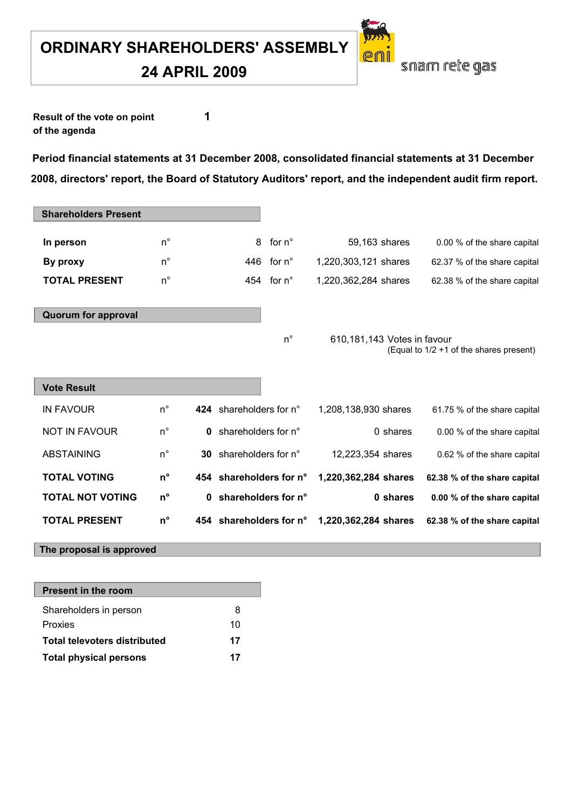**24 APRIL 2009**

snam rete gas

**Result of the vote on point 1 of the agenda**

**Period financial statements at 31 December 2008, consolidated financial statements at 31 December 2008, directors' report, the Board of Statutory Auditors' report, and the independent audit firm report.** 

| <b>Shareholders Present</b> |             |                               |                     |                             |          |                                         |
|-----------------------------|-------------|-------------------------------|---------------------|-----------------------------|----------|-----------------------------------------|
| In person                   | $n^{\circ}$ | 8                             | for $n^{\circ}$     | 59,163 shares               |          | 0.00 % of the share capital             |
| By proxy                    | $n^{\circ}$ |                               | 446 for $n^{\circ}$ | 1,220,303,121 shares        |          | 62.37 % of the share capital            |
| <b>TOTAL PRESENT</b>        | $n^{\circ}$ |                               | 454 for $n^{\circ}$ | 1,220,362,284 shares        |          | 62.38 % of the share capital            |
|                             |             |                               |                     |                             |          |                                         |
| <b>Quorum for approval</b>  |             |                               |                     |                             |          |                                         |
|                             |             |                               | $n^{\circ}$         | 610,181,143 Votes in favour |          |                                         |
|                             |             |                               |                     |                             |          | (Equal to 1/2 +1 of the shares present) |
|                             |             |                               |                     |                             |          |                                         |
| <b>Vote Result</b>          |             |                               |                     |                             |          |                                         |
| <b>IN FAVOUR</b>            | $n^{\circ}$ | 424 shareholders for n°       |                     | 1,208,138,930 shares        |          | 61.75 % of the share capital            |
| <b>NOT IN FAVOUR</b>        | $n^{\circ}$ | <b>0</b> shareholders for n°  |                     |                             | 0 shares | 0.00 % of the share capital             |
| <b>ABSTAINING</b>           | $n^{\circ}$ | <b>30</b> shareholders for n° |                     | 12,223,354 shares           |          | 0.62 % of the share capital             |
| <b>TOTAL VOTING</b>         | $n^{\circ}$ | 454 shareholders for n°       |                     | 1,220,362,284 shares        |          | 62.38 % of the share capital            |
| <b>TOTAL NOT VOTING</b>     | $n^{\circ}$ | 0 shareholders for n°         |                     |                             | 0 shares | 0.00 % of the share capital             |
| <b>TOTAL PRESENT</b>        | $n^{\circ}$ | 454 shareholders for n°       |                     | 1,220,362,284 shares        |          | 62.38 % of the share capital            |
| The proposal is approved    |             |                               |                     |                             |          |                                         |

| <b>Present in the room</b>          |    |
|-------------------------------------|----|
| Shareholders in person              | 8  |
| Proxies                             | 10 |
| <b>Total televoters distributed</b> | 17 |
| <b>Total physical persons</b>       | 17 |
|                                     |    |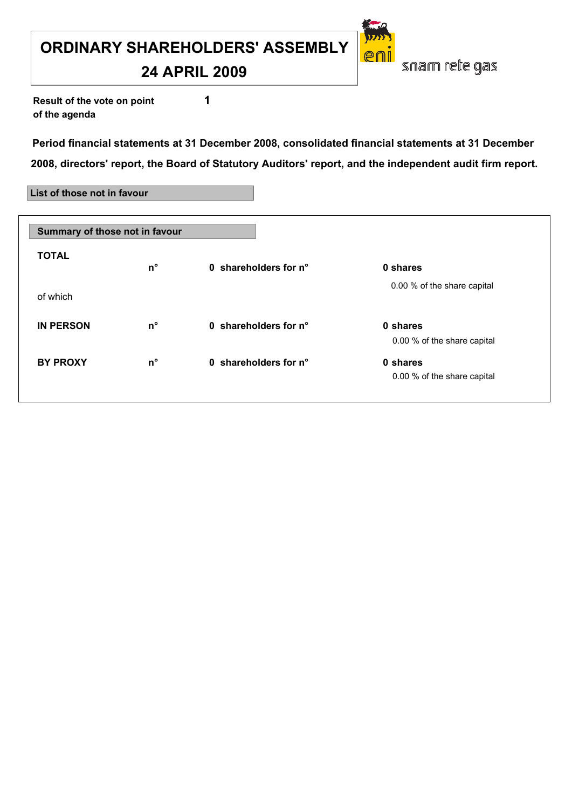#### **24 APRIL 2009**

**Result of the vote on point 1 of the agenda**

**Period financial statements at 31 December 2008, consolidated financial statements at 31 December 2008, directors' report, the Board of Statutory Auditors' report, and the independent audit firm report.**

snam rete gas

#### **List of those not in favour**

| Summary of those not in favour |             |                       |                                         |
|--------------------------------|-------------|-----------------------|-----------------------------------------|
| <b>TOTAL</b>                   | $n^{\circ}$ | 0 shareholders for n° | 0 shares                                |
| of which                       |             |                       | 0.00 % of the share capital             |
| <b>IN PERSON</b>               | $n^{\circ}$ | 0 shareholders for n° | 0 shares<br>0.00 % of the share capital |
| <b>BY PROXY</b>                | n°          | 0 shareholders for n° | 0 shares<br>0.00 % of the share capital |
|                                |             |                       |                                         |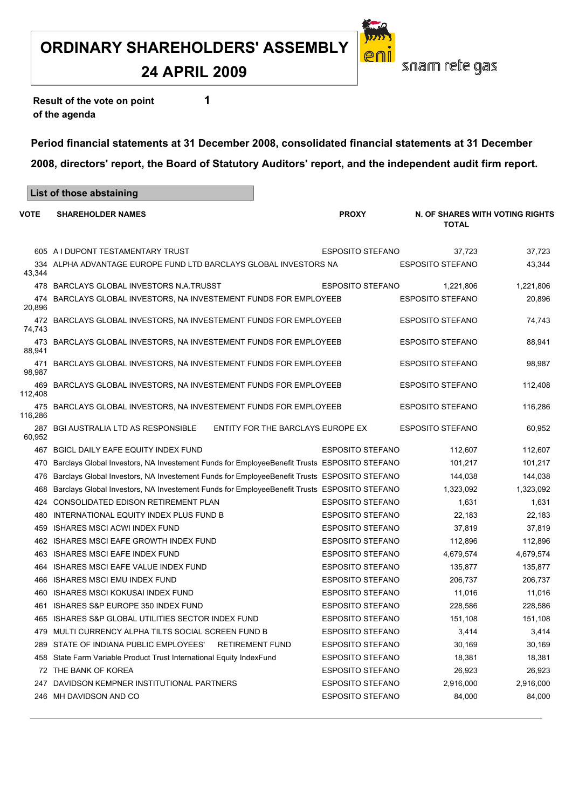#### **24 APRIL 2009**

**Result of the vote on point 1 of the agenda**

**List of those abstaining**

**Period financial statements at 31 December 2008, consolidated financial statements at 31 December 2008, directors' report, the Board of Statutory Auditors' report, and the independent audit firm report.**

| VOTE           | <b>SHAREHOLDER NAMES</b>                                                                    | <b>PROXY</b>            | N. OF SHARES WITH VOTING RIGHTS<br><b>TOTAL</b> |           |
|----------------|---------------------------------------------------------------------------------------------|-------------------------|-------------------------------------------------|-----------|
|                | 605 A I DUPONT TESTAMENTARY TRUST                                                           | <b>ESPOSITO STEFANO</b> | 37,723                                          | 37,723    |
| 43,344         | 334 ALPHA ADVANTAGE EUROPE FUND LTD BARCLAYS GLOBAL INVESTORS NA                            |                         | <b>ESPOSITO STEFANO</b>                         | 43,344    |
|                | 478 BARCLAYS GLOBAL INVESTORS N.A.TRUSST                                                    | <b>ESPOSITO STEFANO</b> | 1,221,806                                       | 1,221,806 |
| 474<br>20,896  | BARCLAYS GLOBAL INVESTORS, NA INVESTEMENT FUNDS FOR EMPLOYEEB                               |                         | <b>ESPOSITO STEFANO</b>                         | 20,896    |
| 472<br>74,743  | BARCLAYS GLOBAL INVESTORS, NA INVESTEMENT FUNDS FOR EMPLOYEEB                               |                         | <b>ESPOSITO STEFANO</b>                         | 74,743    |
| 473<br>88,941  | BARCLAYS GLOBAL INVESTORS, NA INVESTEMENT FUNDS FOR EMPLOYEEB                               |                         | <b>ESPOSITO STEFANO</b>                         | 88,941    |
| 471<br>98,987  | BARCLAYS GLOBAL INVESTORS, NA INVESTEMENT FUNDS FOR EMPLOYEEB                               |                         | <b>ESPOSITO STEFANO</b>                         | 98,987    |
| 469<br>112,408 | BARCLAYS GLOBAL INVESTORS, NA INVESTEMENT FUNDS FOR EMPLOYEEB                               |                         | <b>ESPOSITO STEFANO</b>                         | 112,408   |
| 475<br>116,286 | BARCLAYS GLOBAL INVESTORS, NA INVESTEMENT FUNDS FOR EMPLOYEEB                               |                         | <b>ESPOSITO STEFANO</b>                         | 116,286   |
| 60,952         | ENTITY FOR THE BARCLAYS EUROPE EX<br>287 BGI AUSTRALIA LTD AS RESPONSIBLE                   |                         | <b>ESPOSITO STEFANO</b>                         | 60,952    |
|                | 467 BGICL DAILY EAFE EQUITY INDEX FUND                                                      | <b>ESPOSITO STEFANO</b> | 112,607                                         | 112,607   |
| 470            | Barclays Global Investors, NA Investement Funds for EmployeeBenefit Trusts ESPOSITO STEFANO |                         | 101,217                                         | 101,217   |
| 476            | Barclays Global Investors, NA Investement Funds for EmployeeBenefit Trusts ESPOSITO STEFANO |                         | 144,038                                         | 144,038   |
| 468            | Barclays Global Investors, NA Investement Funds for EmployeeBenefit Trusts ESPOSITO STEFANO |                         | 1,323,092                                       | 1,323,092 |
|                | 424 CONSOLIDATED EDISON RETIREMENT PLAN                                                     | <b>ESPOSITO STEFANO</b> | 1,631                                           | 1,631     |
|                | 480 INTERNATIONAL EQUITY INDEX PLUS FUND B                                                  | <b>ESPOSITO STEFANO</b> | 22,183                                          | 22,183    |
| 459            | <b>ISHARES MSCI ACWI INDEX FUND</b>                                                         | <b>ESPOSITO STEFANO</b> | 37,819                                          | 37,819    |
|                | 462 ISHARES MSCI EAFE GROWTH INDEX FUND                                                     | <b>ESPOSITO STEFANO</b> | 112,896                                         | 112,896   |
|                | 463 ISHARES MSCI EAFE INDEX FUND                                                            | <b>ESPOSITO STEFANO</b> | 4,679,574                                       | 4,679,574 |
|                | 464 ISHARES MSCI EAFE VALUE INDEX FUND                                                      | <b>ESPOSITO STEFANO</b> | 135,877                                         | 135,877   |
|                | 466 ISHARES MSCI EMU INDEX FUND                                                             | <b>ESPOSITO STEFANO</b> | 206,737                                         | 206,737   |
| 460            | <b>ISHARES MSCI KOKUSAI INDEX FUND</b>                                                      | <b>ESPOSITO STEFANO</b> | 11,016                                          | 11,016    |
| 461            | ISHARES S&P EUROPE 350 INDEX FUND                                                           | <b>ESPOSITO STEFANO</b> | 228,586                                         | 228,586   |
|                | 465 ISHARES S&P GLOBAL UTILITIES SECTOR INDEX FUND                                          | <b>ESPOSITO STEFANO</b> | 151,108                                         | 151,108   |
|                | 479 MULTI CURRENCY ALPHA TILTS SOCIAL SCREEN FUND B                                         | <b>ESPOSITO STEFANO</b> | 3,414                                           | 3,414     |
|                | 289 STATE OF INDIANA PUBLIC EMPLOYEES'<br><b>RETIREMENT FUND</b>                            | <b>ESPOSITO STEFANO</b> | 30,169                                          | 30,169    |
|                | 458 State Farm Variable Product Trust International Equity IndexFund                        | <b>ESPOSITO STEFANO</b> | 18,381                                          | 18,381    |
|                | 72 THE BANK OF KOREA                                                                        | <b>ESPOSITO STEFANO</b> | 26,923                                          | 26,923    |
| 247            | DAVIDSON KEMPNER INSTITUTIONAL PARTNERS                                                     | <b>ESPOSITO STEFANO</b> | 2,916,000                                       | 2,916,000 |
|                | 246 MH DAVIDSON AND CO                                                                      | <b>ESPOSITO STEFANO</b> | 84,000                                          | 84,000    |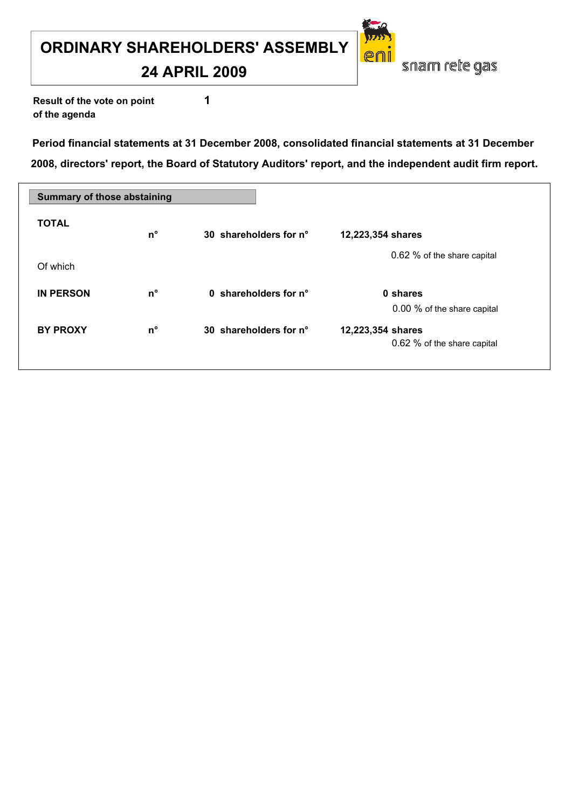**24 APRIL 2009**

**Result of the vote on point 1 of the agenda**

**Period financial statements at 31 December 2008, consolidated financial statements at 31 December 2008, directors' report, the Board of Statutory Auditors' report, and the independent audit firm report.**

| <b>Summary of those abstaining</b> |             |                        |                                                  |
|------------------------------------|-------------|------------------------|--------------------------------------------------|
| <b>TOTAL</b>                       | $n^{\circ}$ | 30 shareholders for n° | 12,223,354 shares                                |
| Of which                           |             |                        | 0.62 % of the share capital                      |
| <b>IN PERSON</b>                   | $n^{\circ}$ | 0 shareholders for n°  | 0 shares<br>0.00 % of the share capital          |
| <b>BY PROXY</b>                    | $n^{\circ}$ | 30 shareholders for n° | 12,223,354 shares<br>0.62 % of the share capital |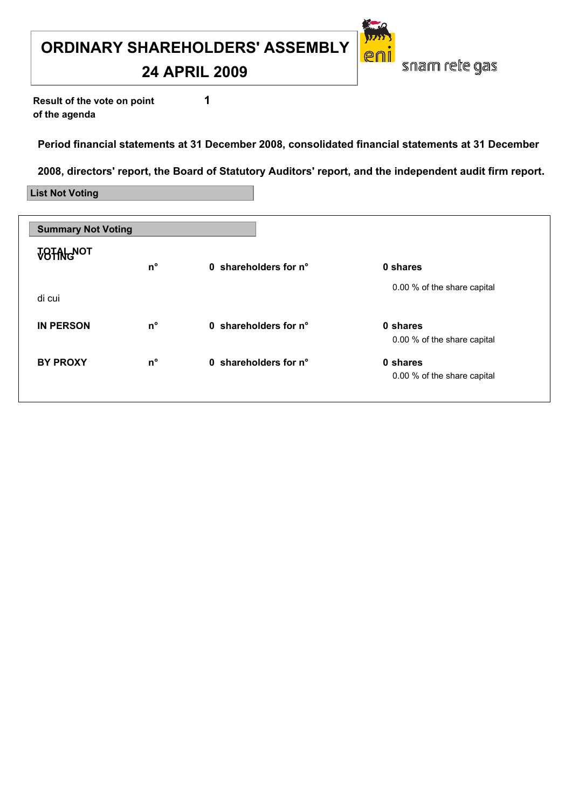**24 APRIL 2009**

**Result of the vote on point 1 of the agenda**

**Period financial statements at 31 December 2008, consolidated financial statements at 31 December** 

**2008, directors' report, the Board of Statutory Auditors' report, and the independent audit firm report.**

**List Not Voting**

| <b>Summary Not Voting</b> |             |                       |                                         |
|---------------------------|-------------|-----------------------|-----------------------------------------|
| <b>VOTAL NOT</b>          | $n^{\circ}$ | 0 shareholders for n° | 0 shares                                |
| di cui                    |             |                       | 0.00 % of the share capital             |
| <b>IN PERSON</b>          | $n^{\circ}$ | 0 shareholders for n° | 0 shares<br>0.00 % of the share capital |
| <b>BY PROXY</b>           | $n^{\circ}$ | 0 shareholders for n° | 0 shares<br>0.00 % of the share capital |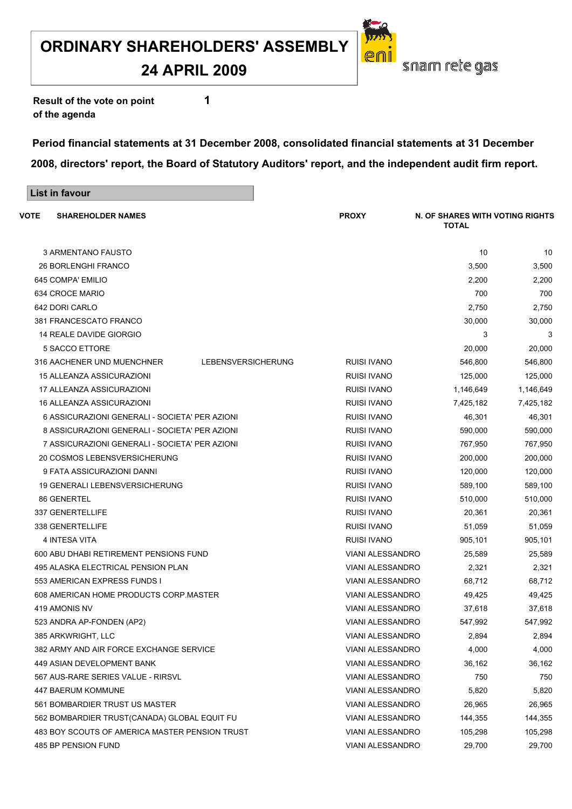**24 APRIL 2009**

**Result of the vote on point 1 of the agenda**

**List in favour**

**Period financial statements at 31 December 2008, consolidated financial statements at 31 December 2008, directors' report, the Board of Statutory Auditors' report, and the independent audit firm report.**

| VOTE<br><b>SHAREHOLDER NAMES</b>               |                    | <b>PROXY</b>            | N. OF SHARES WITH VOTING RIGHTS<br><b>TOTAL</b> |           |
|------------------------------------------------|--------------------|-------------------------|-------------------------------------------------|-----------|
| <b>3 ARMENTANO FAUSTO</b>                      |                    |                         | 10                                              | 10        |
| <b>26 BORLENGHI FRANCO</b>                     |                    |                         | 3,500                                           | 3,500     |
| 645 COMPA' EMILIO                              |                    |                         | 2,200                                           | 2,200     |
| 634 CROCE MARIO                                |                    |                         | 700                                             | 700       |
| 642 DORI CARLO                                 |                    |                         | 2,750                                           | 2,750     |
| 381 FRANCESCATO FRANCO                         |                    |                         | 30,000                                          | 30,000    |
| 14 REALE DAVIDE GIORGIO                        |                    |                         | 3                                               | 3         |
| 5 SACCO ETTORE                                 |                    |                         | 20,000                                          | 20,000    |
| 316 AACHENER UND MUENCHNER                     | LEBENSVERSICHERUNG | <b>RUISI IVANO</b>      | 546,800                                         | 546,800   |
| 15 ALLEANZA ASSICURAZIONI                      |                    | <b>RUISI IVANO</b>      | 125,000                                         | 125,000   |
| 17 ALLEANZA ASSICURAZIONI                      |                    | <b>RUISI IVANO</b>      | 1,146,649                                       | 1,146,649 |
| 16 ALLEANZA ASSICURAZIONI                      |                    | <b>RUISI IVANO</b>      | 7,425,182                                       | 7,425,182 |
| 6 ASSICURAZIONI GENERALI - SOCIETA' PER AZIONI |                    | <b>RUISI IVANO</b>      | 46,301                                          | 46,301    |
| 8 ASSICURAZIONI GENERALI - SOCIETA' PER AZIONI |                    | <b>RUISI IVANO</b>      | 590,000                                         | 590,000   |
| 7 ASSICURAZIONI GENERALI - SOCIETA' PER AZIONI |                    | <b>RUISI IVANO</b>      | 767,950                                         | 767,950   |
| 20 COSMOS LEBENSVERSICHERUNG                   |                    | <b>RUISI IVANO</b>      | 200,000                                         | 200,000   |
| 9 FATA ASSICURAZIONI DANNI                     |                    | <b>RUISI IVANO</b>      | 120,000                                         | 120,000   |
| 19 GENERALI LEBENSVERSICHERUNG                 |                    | <b>RUISI IVANO</b>      | 589,100                                         | 589,100   |
| 86 GENERTEL                                    |                    | <b>RUISI IVANO</b>      | 510,000                                         | 510,000   |
| <b>337 GENERTELLIFE</b>                        |                    | <b>RUISI IVANO</b>      | 20,361                                          | 20,361    |
| 338 GENERTELLIFE                               |                    | RUISI IVANO             | 51,059                                          | 51,059    |
| 4 INTESA VITA                                  |                    | <b>RUISI IVANO</b>      | 905,101                                         | 905,101   |
| 600 ABU DHABI RETIREMENT PENSIONS FUND         |                    | <b>VIANI ALESSANDRO</b> | 25,589                                          | 25,589    |
| 495 ALASKA ELECTRICAL PENSION PLAN             |                    | <b>VIANI ALESSANDRO</b> | 2,321                                           | 2,321     |
| 553 AMERICAN EXPRESS FUNDS I                   |                    | <b>VIANI ALESSANDRO</b> | 68,712                                          | 68,712    |
| 608 AMERICAN HOME PRODUCTS CORP.MASTER         |                    | <b>VIANI ALESSANDRO</b> | 49,425                                          | 49,425    |
| 419 AMONIS NV                                  |                    | <b>VIANI ALESSANDRO</b> | 37,618                                          | 37,618    |
| 523 ANDRA AP-FONDEN (AP2)                      |                    | <b>VIANI ALESSANDRO</b> | 547,992                                         | 547,992   |
| 385 ARKWRIGHT, LLC                             |                    | VIANI ALESSANDRO        | 2,894                                           | 2,894     |
| 382 ARMY AND AIR FORCE EXCHANGE SERVICE        |                    | <b>VIANI ALESSANDRO</b> | 4,000                                           | 4,000     |
| 449 ASIAN DEVELOPMENT BANK                     |                    | <b>VIANI ALESSANDRO</b> | 36,162                                          | 36,162    |
| 567 AUS-RARE SERIES VALUE - RIRSVL             |                    | VIANI ALESSANDRO        | 750                                             | 750       |
| <b>447 BAERUM KOMMUNE</b>                      |                    | <b>VIANI ALESSANDRO</b> | 5,820                                           | 5,820     |
| 561 BOMBARDIER TRUST US MASTER                 |                    | <b>VIANI ALESSANDRO</b> | 26,965                                          | 26,965    |
| 562 BOMBARDIER TRUST(CANADA) GLOBAL EQUIT FU   |                    | VIANI ALESSANDRO        | 144,355                                         | 144,355   |
| 483 BOY SCOUTS OF AMERICA MASTER PENSION TRUST |                    | VIANI ALESSANDRO        | 105,298                                         | 105,298   |
| 485 BP PENSION FUND                            |                    | <b>VIANI ALESSANDRO</b> | 29,700                                          | 29,700    |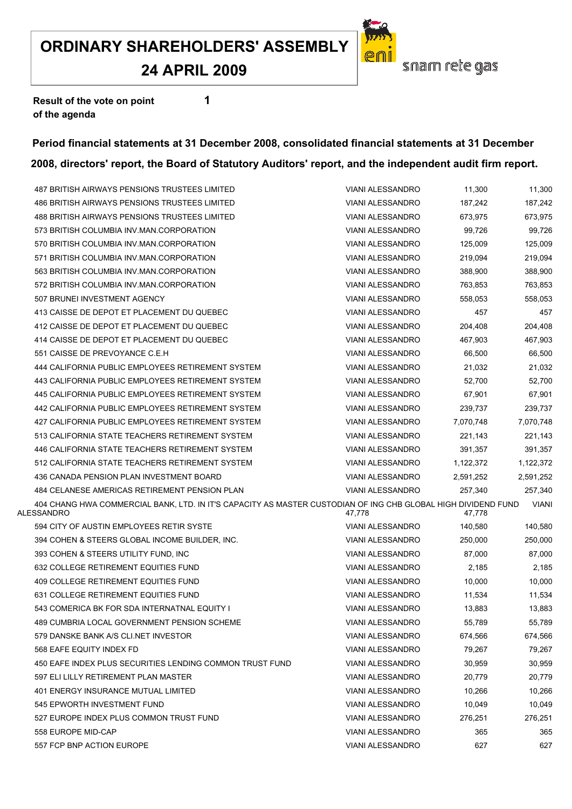**24 APRIL 2009**

![](_page_31_Picture_2.jpeg)

**Result of the vote on point 1 of the agenda**

#### **Period financial statements at 31 December 2008, consolidated financial statements at 31 December 2008, directors' report, the Board of Statutory Auditors' report, and the independent audit firm report.**

| 487 BRITISH AIRWAYS PENSIONS TRUSTEES LIMITED                                                                               | <b>VIANI ALESSANDRO</b> | 11,300    | 11,300       |
|-----------------------------------------------------------------------------------------------------------------------------|-------------------------|-----------|--------------|
| 486 BRITISH AIRWAYS PENSIONS TRUSTEES LIMITED                                                                               | <b>VIANI ALESSANDRO</b> | 187,242   | 187,242      |
| 488 BRITISH AIRWAYS PENSIONS TRUSTEES LIMITED                                                                               | <b>VIANI ALESSANDRO</b> | 673,975   | 673,975      |
| 573 BRITISH COLUMBIA INV. MAN. CORPORATION                                                                                  | <b>VIANI ALESSANDRO</b> | 99,726    | 99,726       |
| 570 BRITISH COLUMBIA INV.MAN.CORPORATION                                                                                    | <b>VIANI ALESSANDRO</b> | 125,009   | 125,009      |
| 571 BRITISH COLUMBIA INV.MAN.CORPORATION                                                                                    | <b>VIANI ALESSANDRO</b> | 219,094   | 219,094      |
| 563 BRITISH COLUMBIA INV.MAN.CORPORATION                                                                                    | <b>VIANI ALESSANDRO</b> | 388,900   | 388,900      |
| 572 BRITISH COLUMBIA INV.MAN.CORPORATION                                                                                    | <b>VIANI ALESSANDRO</b> | 763,853   | 763,853      |
| 507 BRUNEI INVESTMENT AGENCY                                                                                                | <b>VIANI ALESSANDRO</b> | 558,053   | 558,053      |
| 413 CAISSE DE DEPOT ET PLACEMENT DU QUEBEC                                                                                  | <b>VIANI ALESSANDRO</b> | 457       | 457          |
| 412 CAISSE DE DEPOT ET PLACEMENT DU QUEBEC                                                                                  | <b>VIANI ALESSANDRO</b> | 204,408   | 204,408      |
| 414 CAISSE DE DEPOT ET PLACEMENT DU QUEBEC                                                                                  | <b>VIANI ALESSANDRO</b> | 467,903   | 467,903      |
| 551 CAISSE DE PREVOYANCE C.E.H                                                                                              | <b>VIANI ALESSANDRO</b> | 66,500    | 66,500       |
| 444 CALIFORNIA PUBLIC EMPLOYEES RETIREMENT SYSTEM                                                                           | <b>VIANI ALESSANDRO</b> | 21,032    | 21,032       |
| 443 CALIFORNIA PUBLIC EMPLOYEES RETIREMENT SYSTEM                                                                           | <b>VIANI ALESSANDRO</b> | 52,700    | 52,700       |
| 445 CALIFORNIA PUBLIC EMPLOYEES RETIREMENT SYSTEM                                                                           | <b>VIANI ALESSANDRO</b> | 67,901    | 67,901       |
| 442 CALIFORNIA PUBLIC EMPLOYEES RETIREMENT SYSTEM                                                                           | <b>VIANI ALESSANDRO</b> | 239,737   | 239,737      |
| 427 CALIFORNIA PUBLIC EMPLOYEES RETIREMENT SYSTEM                                                                           | <b>VIANI ALESSANDRO</b> | 7,070,748 | 7,070,748    |
| 513 CALIFORNIA STATE TEACHERS RETIREMENT SYSTEM                                                                             | <b>VIANI ALESSANDRO</b> | 221.143   | 221,143      |
| 446 CALIFORNIA STATE TEACHERS RETIREMENT SYSTEM                                                                             | <b>VIANI ALESSANDRO</b> | 391,357   | 391,357      |
| 512 CALIFORNIA STATE TEACHERS RETIREMENT SYSTEM                                                                             | <b>VIANI ALESSANDRO</b> | 1,122,372 | 1,122,372    |
| 436 CANADA PENSION PLAN INVESTMENT BOARD                                                                                    | <b>VIANI ALESSANDRO</b> | 2,591,252 | 2,591,252    |
| 484 CELANESE AMERICAS RETIREMENT PENSION PLAN                                                                               | <b>VIANI ALESSANDRO</b> | 257,340   | 257,340      |
| 404 CHANG HWA COMMERCIAL BANK, LTD. IN IT'S CAPACITY AS MASTER CUSTODIAN OF ING CHB GLOBAL HIGH DIVIDEND FUND<br>ALESSANDRO | 47,778                  | 47,778    | <b>VIANI</b> |
| 594 CITY OF AUSTIN EMPLOYEES RETIR SYSTE                                                                                    | <b>VIANI ALESSANDRO</b> | 140,580   | 140,580      |
| 394 COHEN & STEERS GLOBAL INCOME BUILDER, INC.                                                                              | <b>VIANI ALESSANDRO</b> | 250,000   | 250,000      |
| 393 COHEN & STEERS UTILITY FUND, INC                                                                                        | <b>VIANI ALESSANDRO</b> | 87,000    | 87,000       |
| 632 COLLEGE RETIREMENT EQUITIES FUND                                                                                        | <b>VIANI ALESSANDRO</b> | 2,185     | 2,185        |
| 409 COLLEGE RETIREMENT EQUITIES FUND                                                                                        | <b>VIANI ALESSANDRO</b> | 10,000    | 10,000       |
| 631 COLLEGE RETIREMENT EQUITIES FUND                                                                                        | <b>VIANI ALESSANDRO</b> | 11,534    | 11,534       |
| 543 COMERICA BK FOR SDA INTERNATNAL EQUITY I                                                                                | VIANI ALESSANDRO        | 13,883    | 13,883       |
| 489 CUMBRIA LOCAL GOVERNMENT PENSION SCHEME                                                                                 | <b>VIANI ALESSANDRO</b> | 55,789    | 55,789       |
| 579 DANSKE BANK A/S CLI.NET INVESTOR                                                                                        | <b>VIANI ALESSANDRO</b> | 674,566   | 674,566      |
| 568 EAFE EQUITY INDEX FD                                                                                                    | <b>VIANI ALESSANDRO</b> | 79,267    | 79,267       |
| 450 EAFE INDEX PLUS SECURITIES LENDING COMMON TRUST FUND                                                                    | <b>VIANI ALESSANDRO</b> | 30,959    | 30,959       |
| 597 ELI LILLY RETIREMENT PLAN MASTER                                                                                        | <b>VIANI ALESSANDRO</b> | 20,779    | 20,779       |
| <b>401 ENERGY INSURANCE MUTUAL LIMITED</b>                                                                                  | <b>VIANI ALESSANDRO</b> | 10,266    | 10,266       |
| 545 EPWORTH INVESTMENT FUND                                                                                                 | <b>VIANI ALESSANDRO</b> | 10,049    | 10,049       |
| 527 EUROPE INDEX PLUS COMMON TRUST FUND                                                                                     | <b>VIANI ALESSANDRO</b> | 276,251   | 276,251      |
| 558 EUROPE MID-CAP                                                                                                          | <b>VIANI ALESSANDRO</b> | 365       | 365          |
| 557 FCP BNP ACTION EUROPE                                                                                                   | <b>VIANI ALESSANDRO</b> | 627       | 627          |
|                                                                                                                             |                         |           |              |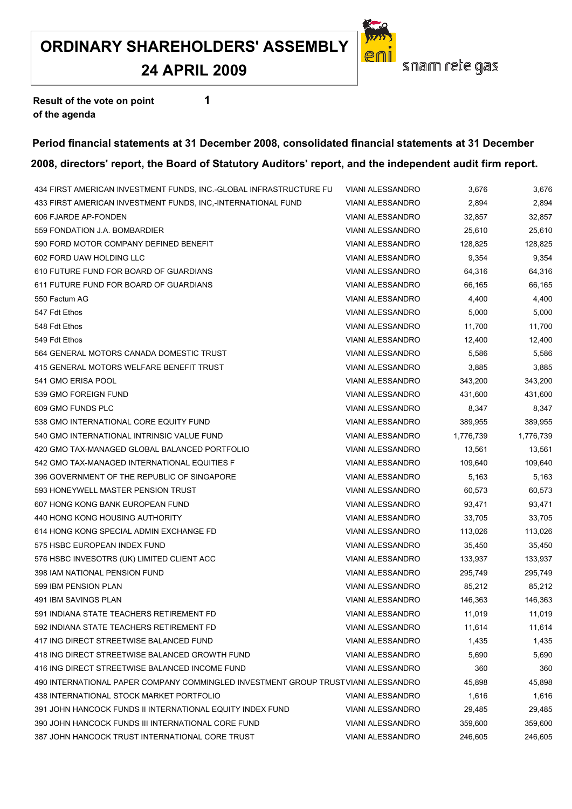**24 APRIL 2009**

![](_page_32_Picture_2.jpeg)

**Result of the vote on point 1 of the agenda**

#### **Period financial statements at 31 December 2008, consolidated financial statements at 31 December**

| 434 FIRST AMERICAN INVESTMENT FUNDS, INC.-GLOBAL INFRASTRUCTURE FU                | <b>VIANI ALESSANDRO</b> | 3,676     | 3,676     |
|-----------------------------------------------------------------------------------|-------------------------|-----------|-----------|
| 433 FIRST AMERICAN INVESTMENT FUNDS, INC,-INTERNATIONAL FUND                      | <b>VIANI ALESSANDRO</b> | 2,894     | 2,894     |
| 606 FJARDE AP-FONDEN                                                              | <b>VIANI ALESSANDRO</b> | 32,857    | 32,857    |
| 559 FONDATION J.A. BOMBARDIER                                                     | <b>VIANI ALESSANDRO</b> | 25,610    | 25,610    |
| 590 FORD MOTOR COMPANY DEFINED BENEFIT                                            | <b>VIANI ALESSANDRO</b> | 128,825   | 128,825   |
| 602 FORD UAW HOLDING LLC                                                          | <b>VIANI ALESSANDRO</b> | 9,354     | 9,354     |
| 610 FUTURE FUND FOR BOARD OF GUARDIANS                                            | <b>VIANI ALESSANDRO</b> | 64,316    | 64,316    |
| 611 FUTURE FUND FOR BOARD OF GUARDIANS                                            | <b>VIANI ALESSANDRO</b> | 66,165    | 66,165    |
| 550 Factum AG                                                                     | <b>VIANI ALESSANDRO</b> | 4,400     | 4,400     |
| 547 Fdt Ethos                                                                     | VIANI ALESSANDRO        | 5,000     | 5,000     |
| 548 Fdt Ethos                                                                     | <b>VIANI ALESSANDRO</b> | 11,700    | 11,700    |
| 549 Fdt Ethos                                                                     | <b>VIANI ALESSANDRO</b> | 12,400    | 12,400    |
| 564 GENERAL MOTORS CANADA DOMESTIC TRUST                                          | <b>VIANI ALESSANDRO</b> | 5,586     | 5,586     |
| 415 GENERAL MOTORS WELFARE BENEFIT TRUST                                          | <b>VIANI ALESSANDRO</b> | 3,885     | 3,885     |
| 541 GMO ERISA POOL                                                                | VIANI ALESSANDRO        | 343,200   | 343,200   |
| 539 GMO FOREIGN FUND                                                              | <b>VIANI ALESSANDRO</b> | 431,600   | 431,600   |
| 609 GMO FUNDS PLC                                                                 | <b>VIANI ALESSANDRO</b> | 8,347     | 8,347     |
| 538 GMO INTERNATIONAL CORE EQUITY FUND                                            | <b>VIANI ALESSANDRO</b> | 389,955   | 389,955   |
| 540 GMO INTERNATIONAL INTRINSIC VALUE FUND                                        | <b>VIANI ALESSANDRO</b> | 1,776,739 | 1,776,739 |
| 420 GMO TAX-MANAGED GLOBAL BALANCED PORTFOLIO                                     | <b>VIANI ALESSANDRO</b> | 13,561    | 13,561    |
| 542 GMO TAX-MANAGED INTERNATIONAL EQUITIES F                                      | <b>VIANI ALESSANDRO</b> | 109,640   | 109,640   |
| 396 GOVERNMENT OF THE REPUBLIC OF SINGAPORE                                       | <b>VIANI ALESSANDRO</b> | 5,163     | 5,163     |
| 593 HONEYWELL MASTER PENSION TRUST                                                | <b>VIANI ALESSANDRO</b> | 60,573    | 60,573    |
| 607 HONG KONG BANK EUROPEAN FUND                                                  | <b>VIANI ALESSANDRO</b> | 93,471    | 93,471    |
| 440 HONG KONG HOUSING AUTHORITY                                                   | <b>VIANI ALESSANDRO</b> | 33,705    | 33,705    |
| 614 HONG KONG SPECIAL ADMIN EXCHANGE FD                                           | <b>VIANI ALESSANDRO</b> | 113,026   | 113,026   |
| 575 HSBC EUROPEAN INDEX FUND                                                      | <b>VIANI ALESSANDRO</b> | 35,450    | 35,450    |
| 576 HSBC INVESOTRS (UK) LIMITED CLIENT ACC                                        | <b>VIANI ALESSANDRO</b> | 133,937   | 133,937   |
| 398 IAM NATIONAL PENSION FUND                                                     | <b>VIANI ALESSANDRO</b> | 295,749   | 295,749   |
| 599 IBM PENSION PLAN                                                              | <b>VIANI ALESSANDRO</b> | 85,212    | 85,212    |
| 491 IBM SAVINGS PLAN                                                              | <b>VIANI ALESSANDRO</b> | 146,363   | 146,363   |
| 591 INDIANA STATE TEACHERS RETIREMENT FD                                          | VIANI ALESSANDRO        | 11,019    | 11,019    |
| 592 INDIANA STATE TEACHERS RETIREMENT FD                                          | <b>VIANI ALESSANDRO</b> | 11,614    | 11,614    |
| 417 ING DIRECT STREETWISE BALANCED FUND                                           | <b>VIANI ALESSANDRO</b> | 1,435     | 1,435     |
| 418 ING DIRECT STREETWISE BALANCED GROWTH FUND                                    | <b>VIANI ALESSANDRO</b> | 5,690     | 5,690     |
| 416 ING DIRECT STREETWISE BALANCED INCOME FUND                                    | <b>VIANI ALESSANDRO</b> | 360       | 360       |
| 490 INTERNATIONAL PAPER COMPANY COMMINGLED INVESTMENT GROUP TRUSTVIANI ALESSANDRO |                         | 45,898    | 45,898    |
| 438 INTERNATIONAL STOCK MARKET PORTFOLIO                                          | <b>VIANI ALESSANDRO</b> | 1,616     | 1,616     |
| 391 JOHN HANCOCK FUNDS II INTERNATIONAL EQUITY INDEX FUND                         | <b>VIANI ALESSANDRO</b> | 29,485    | 29,485    |
| 390 JOHN HANCOCK FUNDS III INTERNATIONAL CORE FUND                                | <b>VIANI ALESSANDRO</b> | 359,600   | 359,600   |
| 387 JOHN HANCOCK TRUST INTERNATIONAL CORE TRUST                                   | <b>VIANI ALESSANDRO</b> | 246,605   | 246,605   |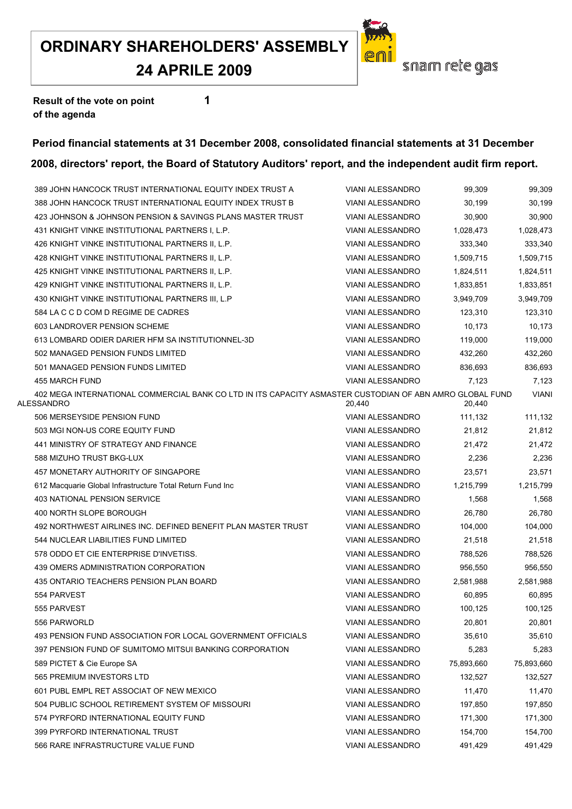#### **24 APRILE 2009**

![](_page_33_Picture_2.jpeg)

**Result of the vote on point 1 of the agenda**

#### **Period financial statements at 31 December 2008, consolidated financial statements at 31 December**

| 389 JOHN HANCOCK TRUST INTERNATIONAL EQUITY INDEX TRUST A                                                              | <b>VIANI ALESSANDRO</b> | 99,309     | 99,309       |
|------------------------------------------------------------------------------------------------------------------------|-------------------------|------------|--------------|
| 388 JOHN HANCOCK TRUST INTERNATIONAL EQUITY INDEX TRUST B                                                              | <b>VIANI ALESSANDRO</b> | 30,199     | 30,199       |
| 423 JOHNSON & JOHNSON PENSION & SAVINGS PLANS MASTER TRUST                                                             | VIANI ALESSANDRO        | 30,900     | 30,900       |
| 431 KNIGHT VINKE INSTITUTIONAL PARTNERS I, L.P.                                                                        | <b>VIANI ALESSANDRO</b> | 1,028,473  | 1,028,473    |
| 426 KNIGHT VINKE INSTITUTIONAL PARTNERS II, L.P.                                                                       | <b>VIANI ALESSANDRO</b> | 333,340    | 333,340      |
| 428 KNIGHT VINKE INSTITUTIONAL PARTNERS II, L.P.                                                                       | <b>VIANI ALESSANDRO</b> | 1,509,715  | 1,509,715    |
| 425 KNIGHT VINKE INSTITUTIONAL PARTNERS II, L.P.                                                                       | <b>VIANI ALESSANDRO</b> | 1,824,511  | 1,824,511    |
| 429 KNIGHT VINKE INSTITUTIONAL PARTNERS II, L.P.                                                                       | <b>VIANI ALESSANDRO</b> | 1,833,851  | 1,833,851    |
| 430 KNIGHT VINKE INSTITUTIONAL PARTNERS III, L.P                                                                       | <b>VIANI ALESSANDRO</b> | 3.949.709  | 3,949,709    |
| 584 LA C C D COM D REGIME DE CADRES                                                                                    | <b>VIANI ALESSANDRO</b> | 123,310    | 123,310      |
| 603 LANDROVER PENSION SCHEME                                                                                           | <b>VIANI ALESSANDRO</b> | 10,173     | 10,173       |
| 613 LOMBARD ODIER DARIER HFM SA INSTITUTIONNEL-3D                                                                      | VIANI ALESSANDRO        | 119,000    | 119,000      |
| 502 MANAGED PENSION FUNDS LIMITED                                                                                      | <b>VIANI ALESSANDRO</b> | 432,260    | 432,260      |
| 501 MANAGED PENSION FUNDS LIMITED                                                                                      | <b>VIANI ALESSANDRO</b> | 836,693    | 836,693      |
| 455 MARCH FUND                                                                                                         | <b>VIANI ALESSANDRO</b> | 7,123      | 7,123        |
| 402 MEGA INTERNATIONAL COMMERCIAL BANK CO LTD IN ITS CAPACITY ASMASTER CUSTODIAN OF ABN AMRO GLOBAL FUND<br>ALESSANDRO | 20,440                  | 20,440     | <b>VIANI</b> |
| 506 MERSEYSIDE PENSION FUND                                                                                            | <b>VIANI ALESSANDRO</b> | 111,132    | 111,132      |
| 503 MGI NON-US CORE EQUITY FUND                                                                                        | <b>VIANI ALESSANDRO</b> | 21,812     | 21,812       |
| 441 MINISTRY OF STRATEGY AND FINANCE                                                                                   | VIANI ALESSANDRO        | 21,472     | 21,472       |
| 588 MIZUHO TRUST BKG-LUX                                                                                               | <b>VIANI ALESSANDRO</b> | 2,236      | 2,236        |
| 457 MONETARY AUTHORITY OF SINGAPORE                                                                                    | <b>VIANI ALESSANDRO</b> | 23,571     | 23,571       |
| 612 Macquarie Global Infrastructure Total Return Fund Inc                                                              | <b>VIANI ALESSANDRO</b> | 1,215,799  | 1,215,799    |
| 403 NATIONAL PENSION SERVICE                                                                                           | <b>VIANI ALESSANDRO</b> | 1,568      | 1,568        |
| 400 NORTH SLOPE BOROUGH                                                                                                | VIANI ALESSANDRO        | 26,780     | 26,780       |
| 492 NORTHWEST AIRLINES INC. DEFINED BENEFIT PLAN MASTER TRUST                                                          | <b>VIANI ALESSANDRO</b> | 104,000    | 104,000      |
| 544 NUCLEAR LIABILITIES FUND LIMITED                                                                                   | <b>VIANI ALESSANDRO</b> | 21,518     | 21,518       |
| 578 ODDO ET CIE ENTERPRISE D'INVETISS.                                                                                 | <b>VIANI ALESSANDRO</b> | 788,526    | 788,526      |
| 439 OMERS ADMINISTRATION CORPORATION                                                                                   | <b>VIANI ALESSANDRO</b> | 956,550    | 956,550      |
| 435 ONTARIO TEACHERS PENSION PLAN BOARD                                                                                | VIANI ALESSANDRO        | 2,581,988  | 2,581,988    |
| 554 PARVEST                                                                                                            | <b>VIANI ALESSANDRO</b> | 60,895     | 60,895       |
| 555 PARVEST                                                                                                            | <b>VIANI ALESSANDRO</b> | 100,125    | 100,125      |
| 556 PARWORLD                                                                                                           | <b>VIANI ALESSANDRO</b> | 20,801     | 20,801       |
| 493 PENSION FUND ASSOCIATION FOR LOCAL GOVERNMENT OFFICIALS                                                            | <b>VIANI ALESSANDRO</b> | 35,610     | 35,610       |
| 397 PENSION FUND OF SUMITOMO MITSUI BANKING CORPORATION                                                                | <b>VIANI ALESSANDRO</b> | 5,283      | 5,283        |
| 589 PICTET & Cie Europe SA                                                                                             | VIANI ALESSANDRO        | 75,893,660 | 75,893,660   |
| 565 PREMIUM INVESTORS LTD                                                                                              | VIANI ALESSANDRO        | 132,527    | 132,527      |
| 601 PUBL EMPL RET ASSOCIAT OF NEW MEXICO                                                                               | <b>VIANI ALESSANDRO</b> | 11,470     | 11,470       |
| 504 PUBLIC SCHOOL RETIREMENT SYSTEM OF MISSOURI                                                                        | <b>VIANI ALESSANDRO</b> | 197,850    | 197,850      |
| 574 PYRFORD INTERNATIONAL EQUITY FUND                                                                                  | <b>VIANI ALESSANDRO</b> | 171,300    | 171,300      |
| 399 PYRFORD INTERNATIONAL TRUST                                                                                        | VIANI ALESSANDRO        | 154,700    | 154,700      |
| 566 RARE INFRASTRUCTURE VALUE FUND                                                                                     | <b>VIANI ALESSANDRO</b> | 491,429    | 491,429      |
|                                                                                                                        |                         |            |              |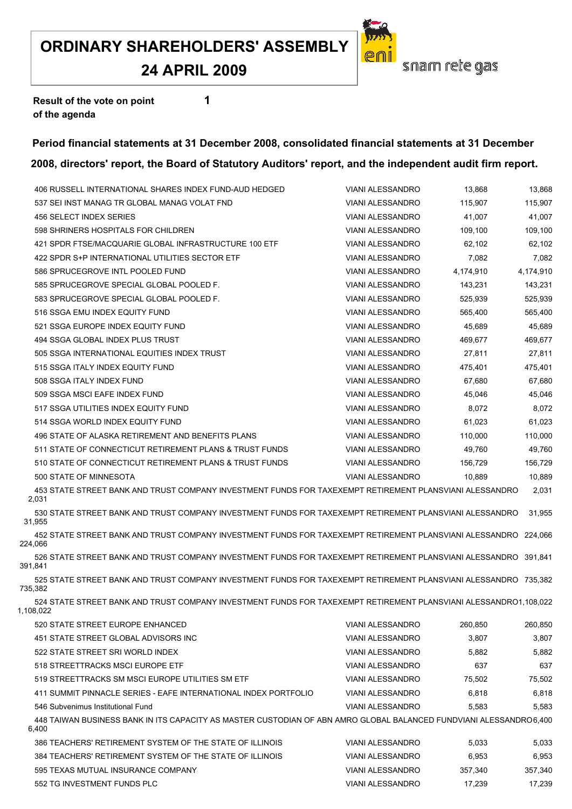## **24 APRIL 2009**

![](_page_34_Picture_2.jpeg)

**Result of the vote on point 1 of the agenda**

#### **Period financial statements at 31 December 2008, consolidated financial statements at 31 December**

#### **2008, directors' report, the Board of Statutory Auditors' report, and the independent audit firm report.**

|           | 406 RUSSELL INTERNATIONAL SHARES INDEX FUND-AUD HEDGED                                                             | <b>VIANI ALESSANDRO</b> | 13,868    | 13,868    |
|-----------|--------------------------------------------------------------------------------------------------------------------|-------------------------|-----------|-----------|
|           | 537 SEI INST MANAG TR GLOBAL MANAG VOLAT FND                                                                       | <b>VIANI ALESSANDRO</b> | 115,907   | 115,907   |
|           | 456 SELECT INDEX SERIES                                                                                            | <b>VIANI ALESSANDRO</b> | 41,007    | 41,007    |
|           | 598 SHRINERS HOSPITALS FOR CHILDREN                                                                                | <b>VIANI ALESSANDRO</b> | 109,100   | 109,100   |
|           | 421 SPDR FTSE/MACQUARIE GLOBAL INFRASTRUCTURE 100 ETF                                                              | <b>VIANI ALESSANDRO</b> | 62.102    | 62,102    |
|           | 422 SPDR S+P INTERNATIONAL UTILITIES SECTOR ETF                                                                    | <b>VIANI ALESSANDRO</b> | 7,082     | 7,082     |
|           | 586 SPRUCEGROVE INTL POOLED FUND                                                                                   | <b>VIANI ALESSANDRO</b> | 4,174,910 | 4,174,910 |
|           | 585 SPRUCEGROVE SPECIAL GLOBAL POOLED F.                                                                           | <b>VIANI ALESSANDRO</b> | 143,231   | 143,231   |
|           | 583 SPRUCEGROVE SPECIAL GLOBAL POOLED F.                                                                           | <b>VIANI ALESSANDRO</b> | 525,939   | 525,939   |
|           | 516 SSGA EMU INDEX EQUITY FUND                                                                                     | <b>VIANI ALESSANDRO</b> | 565,400   | 565,400   |
|           | 521 SSGA EUROPE INDEX EQUITY FUND                                                                                  | <b>VIANI ALESSANDRO</b> | 45,689    | 45,689    |
|           | 494 SSGA GLOBAL INDEX PLUS TRUST                                                                                   | <b>VIANI ALESSANDRO</b> | 469,677   | 469,677   |
|           | 505 SSGA INTERNATIONAL EQUITIES INDEX TRUST                                                                        | <b>VIANI ALESSANDRO</b> | 27,811    | 27,811    |
|           | 515 SSGA ITALY INDEX EQUITY FUND                                                                                   | <b>VIANI ALESSANDRO</b> | 475,401   | 475,401   |
|           | 508 SSGA ITALY INDEX FUND                                                                                          | <b>VIANI ALESSANDRO</b> | 67.680    | 67,680    |
|           | 509 SSGA MSCI EAFE INDEX FUND                                                                                      | <b>VIANI ALESSANDRO</b> | 45,046    | 45,046    |
|           | 517 SSGA UTILITIES INDEX EQUITY FUND                                                                               | <b>VIANI ALESSANDRO</b> | 8,072     | 8,072     |
|           | 514 SSGA WORLD INDEX EQUITY FUND                                                                                   | <b>VIANI ALESSANDRO</b> | 61,023    | 61,023    |
|           | 496 STATE OF ALASKA RETIREMENT AND BENEFITS PLANS                                                                  | <b>VIANI ALESSANDRO</b> | 110,000   | 110,000   |
|           | 511 STATE OF CONNECTICUT RETIREMENT PLANS & TRUST FUNDS                                                            | <b>VIANI ALESSANDRO</b> | 49.760    | 49,760    |
|           | 510 STATE OF CONNECTICUT RETIREMENT PLANS & TRUST FUNDS                                                            | <b>VIANI ALESSANDRO</b> | 156,729   | 156,729   |
|           | 500 STATE OF MINNESOTA                                                                                             | <b>VIANI ALESSANDRO</b> | 10,889    | 10,889    |
| 2,031     | 453 STATE STREET BANK AND TRUST COMPANY INVESTMENT FUNDS FOR TAXEXEMPT RETIREMENT PLANSVIANI ALESSANDRO            |                         |           | 2,031     |
| 31,955    | 530 STATE STREET BANK AND TRUST COMPANY INVESTMENT FUNDS FOR TAXEXEMPT RETIREMENT PLANSVIANI ALESSANDRO            |                         |           | 31,955    |
| 224,066   | 452 STATE STREET BANK AND TRUST COMPANY INVESTMENT FUNDS FOR TAXEXEMPT RETIREMENT PLANSVIANI ALESSANDRO 224,066    |                         |           |           |
| 391,841   | 526 STATE STREET BANK AND TRUST COMPANY INVESTMENT FUNDS FOR TAXEXEMPT RETIREMENT PLANSVIANI ALESSANDRO 391,841    |                         |           |           |
| 735,382   | 525 STATE STREET BANK AND TRUST COMPANY INVESTMENT FUNDS FOR TAXEXEMPT RETIREMENT PLANSVIANI ALESSANDRO 735,382    |                         |           |           |
| 1.108.022 | 524 STATE STREET BANK AND TRUST COMPANY INVESTMENT FUNDS FOR TAXEXEMPT RETIREMENT PLANSVIANI ALESSANDRO1.108.022   |                         |           |           |
|           | 520 STATE STREET EUROPE ENHANCED                                                                                   | <b>VIANI ALESSANDRO</b> | 260,850   | 260,850   |
|           | 451 STATE STREET GLOBAL ADVISORS INC                                                                               | <b>VIANI ALESSANDRO</b> | 3,807     | 3,807     |
|           | 522 STATE STREET SRI WORLD INDEX                                                                                   | <b>VIANI ALESSANDRO</b> | 5,882     | 5,882     |
|           | 518 STREETTRACKS MSCI EUROPE ETF                                                                                   | <b>VIANI ALESSANDRO</b> | 637       | 637       |
|           | 519 STREETTRACKS SM MSCI EUROPE UTILITIES SM ETF                                                                   | <b>VIANI ALESSANDRO</b> | 75,502    | 75,502    |
|           | 411 SUMMIT PINNACLE SERIES - EAFE INTERNATIONAL INDEX PORTFOLIO                                                    | <b>VIANI ALESSANDRO</b> | 6,818     | 6,818     |
|           | 546 Subvenimus Institutional Fund                                                                                  | <b>VIANI ALESSANDRO</b> | 5,583     | 5,583     |
| 6,400     | 448 TAIWAN BUSINESS BANK IN ITS CAPACITY AS MASTER CUSTODIAN OF ABN AMRO GLOBAL BALANCED FUNDVIANI ALESSANDRO6.400 |                         |           |           |
|           | 386 TEACHERS' RETIREMENT SYSTEM OF THE STATE OF ILLINOIS                                                           | <b>VIANI ALESSANDRO</b> | 5,033     | 5,033     |
|           | 384 TEACHERS' RETIREMENT SYSTEM OF THE STATE OF ILLINOIS                                                           | <b>VIANI ALESSANDRO</b> | 6,953     | 6,953     |
|           | 595 TEXAS MUTUAL INSURANCE COMPANY                                                                                 | VIANI ALESSANDRO        | 357,340   | 357,340   |

TG INVESTMENT FUNDS PLC VIANI ALESSANDRO 17,239 17,239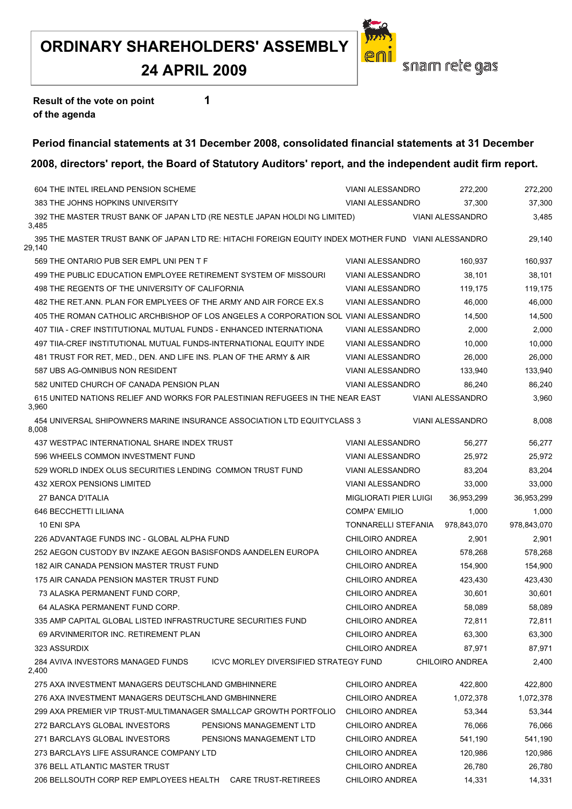![](_page_36_Picture_2.jpeg)

**Result of the vote on point 1 of the agenda**

#### **Period financial statements at 31 December 2008, consolidated financial statements at 31 December 2008, directors' report, the Board of Statutory Auditors' report, and the independent audit firm report.**

#### THE INTEL IRELAND PENSION SCHEME VIANI ALESSANDRO 272,200 272,200 THE JOHNS HOPKINS UNIVERSITY VIANI ALESSANDRO 37,300 37,300 THE MASTER TRUST BANK OF JAPAN LTD (RE NESTLE JAPAN HOLDI NG LIMITED) VIANI ALESSANDRO 3,485 3,485 THE MASTER TRUST BANK OF JAPAN LTD RE: HITACHI FOREIGN EQUITY INDEX MOTHER FUND VIANI ALESSANDRO 29,140 29,140 569 THE ONTARIO PUB SER EMPL UNI PEN T F THE REST AND MALESSANDRO 160,937 160,937 160,937 THE PUBLIC EDUCATION EMPLOYEE RETIREMENT SYSTEM OF MISSOURI VIANI ALESSANDRO 38,101 38,101 498 THE REGENTS OF THE UNIVERSITY OF CALIFORNIA VIANI ALESSANDRO 119,175 119,175 119,175 THE RET.ANN. PLAN FOR EMPLYEES OF THE ARMY AND AIR FORCE EX.S VIANI ALESSANDRO 46,000 46,000 THE ROMAN CATHOLIC ARCHBISHOP OF LOS ANGELES A CORPORATION SOL VIANI ALESSANDRO 14,500 14,500 TIIA - CREF INSTITUTIONAL MUTUAL FUNDS - ENHANCED INTERNATIONA VIANI ALESSANDRO 2,000 2,000 TIIA-CREF INSTITUTIONAL MUTUAL FUNDS-INTERNATIONAL EQUITY INDE VIANI ALESSANDRO 10,000 10,000 TRUST FOR RET, MED., DEN. AND LIFE INS. PLAN OF THE ARMY & AIR VIANI ALESSANDRO 26,000 26,000 UBS AG-OMNIBUS NON RESIDENT VIANI ALESSANDRO 133,940 133,940 UNITED CHURCH OF CANADA PENSION PLAN VIANI ALESSANDRO 86,240 86,240 UNITED NATIONS RELIEF AND WORKS FOR PALESTINIAN REFUGEES IN THE NEAR EAST VIANI ALESSANDRO 3,960 3,960 UNIVERSAL SHIPOWNERS MARINE INSURANCE ASSOCIATION LTD EQUITYCLASS 3 VIANI ALESSANDRO 8,008 8,008 WESTPAC INTERNATIONAL SHARE INDEX TRUST VIANI ALESSANDRO 56,277 56,277 WHEELS COMMON INVESTMENT FUND VIANI ALESSANDRO 25,972 25,972 WORLD INDEX OLUS SECURITIES LENDING COMMON TRUST FUND VIANI ALESSANDRO 83,204 83,204 XEROX PENSIONS LIMITED VIANI ALESSANDRO 33,000 33,000 BANCA D'ITALIA MIGLIORATI PIER LUIGI 36,953,299 36,953,299 BECCHETTI LILIANA COMPA' EMILIO 1,000 1,000 ENI SPA TONNARELLI STEFANIA 978,843,070 978,843,070 ADVANTAGE FUNDS INC - GLOBAL ALPHA FUND CHILOIRO ANDREA 2,901 2,901 AEGON CUSTODY BV INZAKE AEGON BASISFONDS AANDELEN EUROPA CHILOIRO ANDREA 578,268 578,268 182 AIR CANADA PENSION MASTER TRUST FUND CHILOIRO ANDREA 154,900 154,900 154,900 175 AIR CANADA PENSION MASTER TRUST FUND CHILOIRO ANDREA 423,430 423,430 423,430 ALASKA PERMANENT FUND CORP, CHILOIRO ANDREA 30,601 30,601 ALASKA PERMANENT FUND CORP. CHILOIRO ANDREA 58,089 58,089 AMP CAPITAL GLOBAL LISTED INFRASTRUCTURE SECURITIES FUND CHILOIRO ANDREA 72,811 72,811 ARVINMERITOR INC. RETIREMENT PLAN CHILOIRO ANDREA 63,300 63,300 ASSURDIX CHILOIRO ANDREA 87,971 87,971 AVIVA INVESTORS MANAGED FUNDS ICVC MORLEY DIVERSIFIED STRATEGY FUND CHILOIRO ANDREA 2,400 2,400 AXA INVESTMENT MANAGERS DEUTSCHLAND GMBHINNERE CHILOIRO ANDREA 422,800 422,800 276 AXA INVESTMENT MANAGERS DEUTSCHLAND GMBHINNERE CHILOIRO ANDREA 1,072,378 1,072,378 AXA PREMIER VIP TRUST-MULTIMANAGER SMALLCAP GROWTH PORTFOLIO CHILOIRO ANDREA 53,344 53,344 BARCLAYS GLOBAL INVESTORS PENSIONS MANAGEMENT LTD CHILOIRO ANDREA 76,066 76,066 BARCLAYS GLOBAL INVESTORS PENSIONS MANAGEMENT LTD CHILOIRO ANDREA 541,190 541,190 273 BARCLAYS LIFE ASSURANCE COMPANY LTD CHILOIRO ANDREA 120,986 120,986 120,986 BELL ATLANTIC MASTER TRUST CHILOIRO ANDREA 26,780 26,780

BELLSOUTH CORP REP EMPLOYEES HEALTH CARE TRUST-RETIREES CHILOIRO ANDREA 14,331 14,331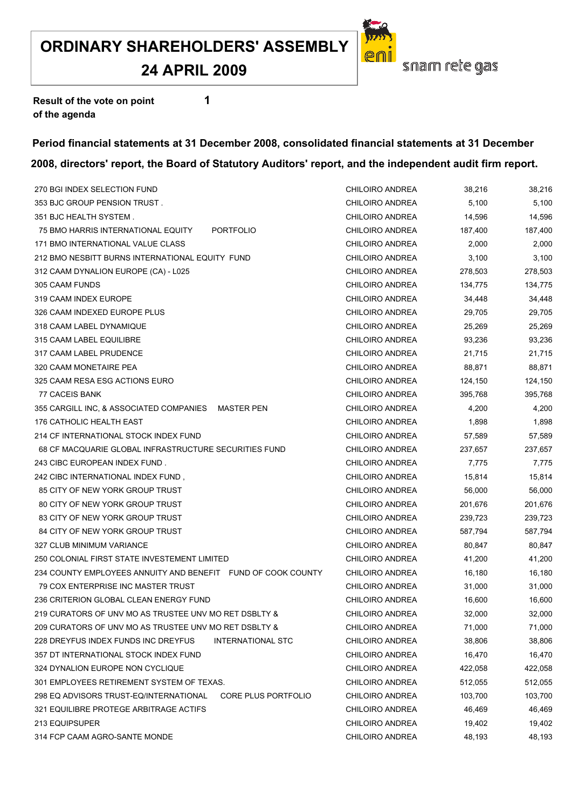## **24 APRIL 2009**

![](_page_37_Picture_2.jpeg)

**Result of the vote on point 1 of the agenda**

#### **Period financial statements at 31 December 2008, consolidated financial statements at 31 December 2008, directors' report, the Board of Statutory Auditors' report, and the independent audit firm report.**

| 270 BGI INDEX SELECTION FUND                                    | <b>CHILOIRO ANDREA</b> | 38,216  | 38,216  |
|-----------------------------------------------------------------|------------------------|---------|---------|
| 353 BJC GROUP PENSION TRUST.                                    | CHILOIRO ANDREA        | 5,100   | 5,100   |
| 351 BJC HEALTH SYSTEM.                                          | CHILOIRO ANDREA        | 14,596  | 14,596  |
| 75 BMO HARRIS INTERNATIONAL EQUITY<br><b>PORTFOLIO</b>          | CHILOIRO ANDREA        | 187,400 | 187,400 |
| 171 BMO INTERNATIONAL VALUE CLASS                               | CHILOIRO ANDREA        | 2,000   | 2,000   |
| 212 BMO NESBITT BURNS INTERNATIONAL EQUITY FUND                 | CHILOIRO ANDREA        | 3,100   | 3,100   |
| 312 CAAM DYNALION EUROPE (CA) - L025                            | CHILOIRO ANDREA        | 278,503 | 278,503 |
| 305 CAAM FUNDS                                                  | CHILOIRO ANDREA        | 134,775 | 134,775 |
| 319 CAAM INDEX EUROPE                                           | CHILOIRO ANDREA        | 34,448  | 34,448  |
| 326 CAAM INDEXED EUROPE PLUS                                    | CHILOIRO ANDREA        | 29,705  | 29,705  |
| 318 CAAM LABEL DYNAMIQUE                                        | CHILOIRO ANDREA        | 25,269  | 25,269  |
| 315 CAAM LABEL EQUILIBRE                                        | CHILOIRO ANDREA        | 93,236  | 93,236  |
| 317 CAAM LABEL PRUDENCE                                         | CHILOIRO ANDREA        | 21,715  | 21,715  |
| 320 CAAM MONETAIRE PEA                                          | CHILOIRO ANDREA        | 88,871  | 88,871  |
| 325 CAAM RESA ESG ACTIONS EURO                                  | CHILOIRO ANDREA        | 124,150 | 124,150 |
| 77 CACEIS BANK                                                  | CHILOIRO ANDREA        | 395,768 | 395,768 |
| 355 CARGILL INC, & ASSOCIATED COMPANIES MASTER PEN              | CHILOIRO ANDREA        | 4,200   | 4,200   |
| 176 CATHOLIC HEALTH EAST                                        | CHILOIRO ANDREA        | 1,898   | 1,898   |
| 214 CF INTERNATIONAL STOCK INDEX FUND                           | CHILOIRO ANDREA        | 57,589  | 57,589  |
| 68 CF MACQUARIE GLOBAL INFRASTRUCTURE SECURITIES FUND           | CHILOIRO ANDREA        | 237,657 | 237,657 |
| 243 CIBC EUROPEAN INDEX FUND.                                   | CHILOIRO ANDREA        | 7,775   | 7,775   |
| 242 CIBC INTERNATIONAL INDEX FUND,                              | CHILOIRO ANDREA        | 15,814  | 15,814  |
| 85 CITY OF NEW YORK GROUP TRUST                                 | CHILOIRO ANDREA        | 56,000  | 56,000  |
| 80 CITY OF NEW YORK GROUP TRUST                                 | CHILOIRO ANDREA        | 201,676 | 201,676 |
| 83 CITY OF NEW YORK GROUP TRUST                                 | CHILOIRO ANDREA        | 239,723 | 239,723 |
| 84 CITY OF NEW YORK GROUP TRUST                                 | CHILOIRO ANDREA        | 587,794 | 587,794 |
| 327 CLUB MINIMUM VARIANCE                                       | CHILOIRO ANDREA        | 80,847  | 80,847  |
| 250 COLONIAL FIRST STATE INVESTEMENT LIMITED                    | CHILOIRO ANDREA        | 41,200  | 41,200  |
| 234 COUNTY EMPLOYEES ANNUITY AND BENEFIT FUND OF COOK COUNTY    | CHILOIRO ANDREA        | 16,180  | 16,180  |
| 79 COX ENTERPRISE INC MASTER TRUST                              | CHILOIRO ANDREA        | 31,000  | 31,000  |
| 236 CRITERION GLOBAL CLEAN ENERGY FUND                          | <b>CHILOIRO ANDREA</b> | 16,600  | 16,600  |
| 219 CURATORS OF UNV MO AS TRUSTEE UNV MO RET DSBLTY &           | CHILOIRO ANDREA        | 32,000  | 32,000  |
| 209 CURATORS OF UNV MO AS TRUSTEE UNV MO RET DSBLTY &           | <b>CHILOIRO ANDREA</b> | 71,000  | 71,000  |
| 228 DREYFUS INDEX FUNDS INC DREYFUS<br><b>INTERNATIONAL STC</b> | CHILOIRO ANDREA        | 38,806  | 38,806  |
| 357 DT INTERNATIONAL STOCK INDEX FUND                           | <b>CHILOIRO ANDREA</b> | 16,470  | 16,470  |
| 324 DYNALION EUROPE NON CYCLIQUE                                | <b>CHILOIRO ANDREA</b> | 422,058 | 422,058 |
| 301 EMPLOYEES RETIREMENT SYSTEM OF TEXAS.                       | <b>CHILOIRO ANDREA</b> | 512,055 | 512,055 |
| 298 EQ ADVISORS TRUST-EQ/INTERNATIONAL<br>CORE PLUS PORTFOLIO   | CHILOIRO ANDREA        | 103,700 | 103,700 |
| 321 EQUILIBRE PROTEGE ARBITRAGE ACTIFS                          | <b>CHILOIRO ANDREA</b> | 46,469  | 46,469  |
| 213 EQUIPSUPER                                                  | <b>CHILOIRO ANDREA</b> | 19,402  | 19,402  |
| 314 FCP CAAM AGRO-SANTE MONDE                                   | CHILOIRO ANDREA        | 48,193  | 48,193  |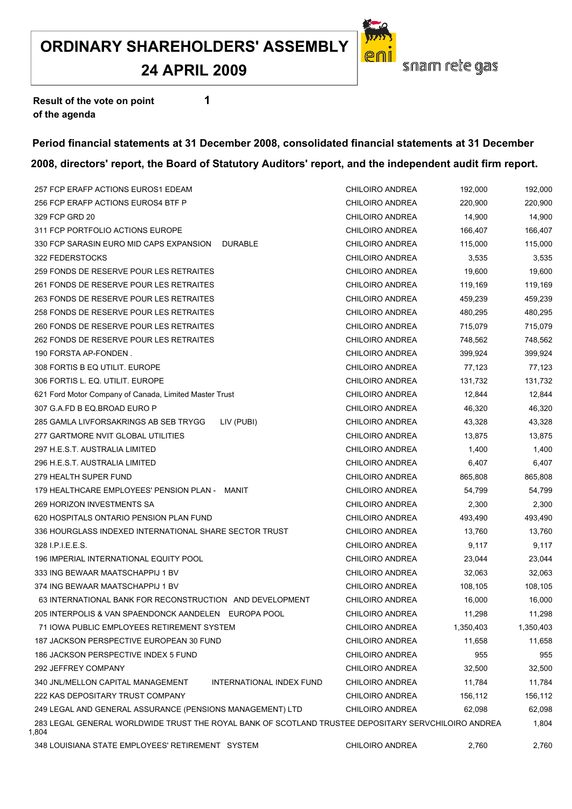#### **24 APRIL 2009**

![](_page_38_Picture_2.jpeg)

**Result of the vote on point 1 of the agenda**

#### **Period financial statements at 31 December 2008, consolidated financial statements at 31 December 2008, directors' report, the Board of Statutory Auditors' report, and the independent audit firm report.**

| 257 FCP ERAFP ACTIONS EUROS1 EDEAM                                                                           | <b>CHILOIRO ANDREA</b> | 192,000   | 192,000   |
|--------------------------------------------------------------------------------------------------------------|------------------------|-----------|-----------|
| 256 FCP ERAFP ACTIONS EUROS4 BTF P                                                                           | <b>CHILOIRO ANDREA</b> | 220,900   | 220,900   |
| 329 FCP GRD 20                                                                                               | CHILOIRO ANDREA        | 14,900    | 14,900    |
| 311 FCP PORTFOLIO ACTIONS EUROPE                                                                             | CHILOIRO ANDREA        | 166,407   | 166,407   |
| 330 FCP SARASIN EURO MID CAPS EXPANSION<br><b>DURABLE</b>                                                    | CHILOIRO ANDREA        | 115,000   | 115,000   |
| 322 FEDERSTOCKS                                                                                              | CHILOIRO ANDREA        | 3,535     | 3,535     |
| 259 FONDS DE RESERVE POUR LES RETRAITES                                                                      | CHILOIRO ANDREA        | 19,600    | 19,600    |
| 261 FONDS DE RESERVE POUR LES RETRAITES                                                                      | <b>CHILOIRO ANDREA</b> | 119,169   | 119,169   |
| 263 FONDS DE RESERVE POUR LES RETRAITES                                                                      | CHILOIRO ANDREA        | 459,239   | 459,239   |
| 258 FONDS DE RESERVE POUR LES RETRAITES                                                                      | CHILOIRO ANDREA        | 480,295   | 480,295   |
| 260 FONDS DE RESERVE POUR LES RETRAITES                                                                      | CHILOIRO ANDREA        | 715,079   | 715,079   |
| 262 FONDS DE RESERVE POUR LES RETRAITES                                                                      | CHILOIRO ANDREA        | 748,562   | 748,562   |
| 190 FORSTA AP-FONDEN.                                                                                        | CHILOIRO ANDREA        | 399,924   | 399,924   |
| 308 FORTIS B EQ UTILIT. EUROPE                                                                               | CHILOIRO ANDREA        | 77,123    | 77,123    |
| 306 FORTIS L. EQ. UTILIT. EUROPE                                                                             | CHILOIRO ANDREA        | 131,732   | 131,732   |
| 621 Ford Motor Company of Canada, Limited Master Trust                                                       | CHILOIRO ANDREA        | 12,844    | 12,844    |
| 307 G.A.FD B EQ.BROAD EURO P                                                                                 | CHILOIRO ANDREA        | 46,320    | 46,320    |
| 285 GAMLA LIVFORSAKRINGS AB SEB TRYGG<br>LIV (PUBI)                                                          | CHILOIRO ANDREA        | 43,328    | 43,328    |
| 277 GARTMORE NVIT GLOBAL UTILITIES                                                                           | CHILOIRO ANDREA        | 13,875    | 13,875    |
| 297 H.E.S.T. AUSTRALIA LIMITED                                                                               | <b>CHILOIRO ANDREA</b> | 1,400     | 1,400     |
| 296 H.E.S.T. AUSTRALIA LIMITED                                                                               | CHILOIRO ANDREA        | 6,407     | 6,407     |
| 279 HEALTH SUPER FUND                                                                                        | CHILOIRO ANDREA        | 865,808   | 865,808   |
| 179 HEALTHCARE EMPLOYEES' PENSION PLAN - MANIT                                                               | CHILOIRO ANDREA        | 54,799    | 54,799    |
| 269 HORIZON INVESTMENTS SA                                                                                   | CHILOIRO ANDREA        | 2,300     | 2,300     |
| 620 HOSPITALS ONTARIO PENSION PLAN FUND                                                                      | CHILOIRO ANDREA        | 493,490   | 493,490   |
| 336 HOURGLASS INDEXED INTERNATIONAL SHARE SECTOR TRUST                                                       | <b>CHILOIRO ANDREA</b> | 13,760    | 13,760    |
| 328 I.P.I.E.E.S.                                                                                             | <b>CHILOIRO ANDREA</b> | 9,117     | 9,117     |
| 196 IMPERIAL INTERNATIONAL EQUITY POOL                                                                       | CHILOIRO ANDREA        | 23,044    | 23,044    |
| 333 ING BEWAAR MAATSCHAPPIJ 1 BV                                                                             | CHILOIRO ANDREA        | 32,063    | 32,063    |
| 374 ING BEWAAR MAATSCHAPPIJ 1 BV                                                                             | <b>CHILOIRO ANDREA</b> | 108,105   | 108,105   |
| 63 INTERNATIONAL BANK FOR RECONSTRUCTION AND DEVELOPMENT                                                     | <b>CHILOIRO ANDREA</b> | 16,000    | 16,000    |
| 205 INTERPOLIS & VAN SPAENDONCK AANDELEN EUROPA POOL                                                         | CHILOIRO ANDREA        | 11,298    | 11,298    |
| 71 IOWA PUBLIC EMPLOYEES RETIREMENT SYSTEM                                                                   | CHILOIRO ANDREA        | 1,350,403 | 1,350,403 |
| 187 JACKSON PERSPECTIVE EUROPEAN 30 FUND                                                                     | <b>CHILOIRO ANDREA</b> | 11,658    | 11,658    |
| 186 JACKSON PERSPECTIVE INDEX 5 FUND                                                                         | CHILOIRO ANDREA        | 955       | 955       |
| 292 JEFFREY COMPANY                                                                                          | CHILOIRO ANDREA        | 32,500    | 32,500    |
| 340 JNL/MELLON CAPITAL MANAGEMENT<br>INTERNATIONAL INDEX FUND                                                | <b>CHILOIRO ANDREA</b> | 11,784    | 11,784    |
| 222 KAS DEPOSITARY TRUST COMPANY                                                                             | CHILOIRO ANDREA        | 156,112   | 156,112   |
| 249 LEGAL AND GENERAL ASSURANCE (PENSIONS MANAGEMENT) LTD                                                    | CHILOIRO ANDREA        | 62,098    | 62,098    |
| 283 LEGAL GENERAL WORLDWIDE TRUST THE ROYAL BANK OF SCOTLAND TRUSTEE DEPOSITARY SERVCHILOIRO ANDREA<br>1,804 |                        |           | 1,804     |
|                                                                                                              |                        |           |           |

LOUISIANA STATE EMPLOYEES' RETIREMENT SYSTEM CHILOIRO ANDREA 2,760 2,760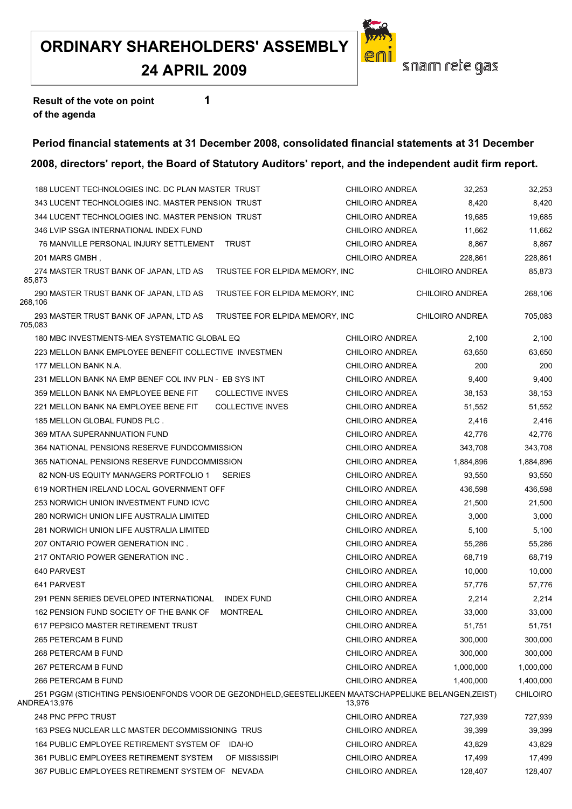#### **24 APRIL 2009**

![](_page_39_Picture_2.jpeg)

**Result of the vote on point 1 of the agenda**

#### **Period financial statements at 31 December 2008, consolidated financial statements at 31 December**

|                      | 188 LUCENT TECHNOLOGIES INC. DC PLAN MASTER TRUST                                                     |                                | <b>CHILOIRO ANDREA</b> | 32,253                 | 32,253          |
|----------------------|-------------------------------------------------------------------------------------------------------|--------------------------------|------------------------|------------------------|-----------------|
|                      | 343 LUCENT TECHNOLOGIES INC. MASTER PENSION TRUST                                                     |                                | <b>CHILOIRO ANDREA</b> | 8,420                  | 8,420           |
|                      | 344 LUCENT TECHNOLOGIES INC. MASTER PENSION TRUST                                                     |                                | <b>CHILOIRO ANDREA</b> | 19,685                 | 19,685          |
|                      | 346 LVIP SSGA INTERNATIONAL INDEX FUND                                                                |                                | CHILOIRO ANDREA        | 11,662                 | 11,662          |
|                      | 76 MANVILLE PERSONAL INJURY SETTLEMENT TRUST                                                          |                                | <b>CHILOIRO ANDREA</b> | 8,867                  | 8,867           |
| 201 MARS GMBH,       |                                                                                                       |                                | CHILOIRO ANDREA        | 228,861                | 228,861         |
| 85,873               | 274 MASTER TRUST BANK OF JAPAN, LTD AS                                                                | TRUSTEE FOR ELPIDA MEMORY, INC |                        | CHILOIRO ANDREA        | 85,873          |
| 268,106              | 290 MASTER TRUST BANK OF JAPAN, LTD AS                                                                | TRUSTEE FOR ELPIDA MEMORY, INC |                        | <b>CHILOIRO ANDREA</b> | 268,106         |
| 705,083              | 293 MASTER TRUST BANK OF JAPAN, LTD AS                                                                | TRUSTEE FOR ELPIDA MEMORY, INC |                        | <b>CHILOIRO ANDREA</b> | 705,083         |
|                      | 180 MBC INVESTMENTS-MEA SYSTEMATIC GLOBAL EQ                                                          |                                | CHILOIRO ANDREA        | 2,100                  | 2,100           |
|                      | 223 MELLON BANK EMPLOYEE BENEFIT COLLECTIVE INVESTMEN                                                 |                                | CHILOIRO ANDREA        | 63,650                 | 63,650          |
| 177 MELLON BANK N.A. |                                                                                                       |                                | CHILOIRO ANDREA        | 200                    | 200             |
|                      | 231 MELLON BANK NA EMP BENEF COL INV PLN - EB SYS INT                                                 |                                | CHILOIRO ANDREA        | 9,400                  | 9,400           |
|                      | 359 MELLON BANK NA EMPLOYEE BENE FIT                                                                  | <b>COLLECTIVE INVES</b>        | CHILOIRO ANDREA        | 38,153                 | 38,153          |
|                      | 221 MELLON BANK NA EMPLOYEE BENE FIT                                                                  | <b>COLLECTIVE INVES</b>        | <b>CHILOIRO ANDREA</b> | 51,552                 | 51,552          |
|                      | 185 MELLON GLOBAL FUNDS PLC.                                                                          |                                | CHILOIRO ANDREA        | 2,416                  | 2,416           |
|                      | 369 MTAA SUPERANNUATION FUND                                                                          |                                | CHILOIRO ANDREA        | 42,776                 | 42,776          |
|                      | 364 NATIONAL PENSIONS RESERVE FUNDCOMMISSION                                                          |                                | CHILOIRO ANDREA        | 343,708                | 343,708         |
|                      | 365 NATIONAL PENSIONS RESERVE FUNDCOMMISSION                                                          |                                | <b>CHILOIRO ANDREA</b> | 1,884,896              | 1,884,896       |
|                      | 82 NON-US EQUITY MANAGERS PORTFOLIO 1                                                                 | <b>SERIES</b>                  | <b>CHILOIRO ANDREA</b> | 93,550                 | 93,550          |
|                      | 619 NORTHEN IRELAND LOCAL GOVERNMENT OFF                                                              |                                | CHILOIRO ANDREA        | 436,598                | 436,598         |
|                      | 253 NORWICH UNION INVESTMENT FUND ICVC                                                                |                                | <b>CHILOIRO ANDREA</b> | 21,500                 | 21,500          |
|                      | 280 NORWICH UNION LIFE AUSTRALIA LIMITED                                                              |                                | CHILOIRO ANDREA        | 3,000                  | 3,000           |
|                      | 281 NORWICH UNION LIFE AUSTRALIA LIMITED                                                              |                                | CHILOIRO ANDREA        | 5,100                  | 5,100           |
|                      | 207 ONTARIO POWER GENERATION INC.                                                                     |                                | <b>CHILOIRO ANDREA</b> | 55,286                 | 55,286          |
|                      | 217 ONTARIO POWER GENERATION INC.                                                                     |                                | <b>CHILOIRO ANDREA</b> | 68,719                 | 68,719          |
| 640 PARVEST          |                                                                                                       |                                | <b>CHILOIRO ANDREA</b> | 10,000                 | 10,000          |
| 641 PARVEST          |                                                                                                       |                                | CHILOIRO ANDREA        | 57,776                 | 57,776          |
|                      | 291 PENN SERIES DEVELOPED INTERNATIONAL                                                               | <b>INDEX FUND</b>              | CHILOIRO ANDREA        | 2,214                  | 2,214           |
|                      | 162 PENSION FUND SOCIETY OF THE BANK OF                                                               | MONTREAL                       | CHILOIRO ANDREA        | 33,000                 | 33,000          |
|                      | 617 PEPSICO MASTER RETIREMENT TRUST                                                                   |                                | CHILOIRO ANDREA        | 51,751                 | 51,751          |
| 265 PETERCAM B FUND  |                                                                                                       |                                | <b>CHILOIRO ANDREA</b> | 300,000                | 300,000         |
| 268 PETERCAM B FUND  |                                                                                                       |                                | <b>CHILOIRO ANDREA</b> | 300,000                | 300,000         |
| 267 PETERCAM B FUND  |                                                                                                       |                                | CHILOIRO ANDREA        | 1,000,000              | 1,000,000       |
| 266 PETERCAM B FUND  |                                                                                                       |                                | CHILOIRO ANDREA        | 1,400,000              | 1,400,000       |
| ANDREA13,976         | 251 PGGM (STICHTING PENSIOENFONDS VOOR DE GEZONDHELD, GEESTELIJKEEN MAATSCHAPPELIJKE BELANGEN, ZEIST) |                                | 13,976                 |                        | <b>CHILOIRO</b> |
| 248 PNC PFPC TRUST   |                                                                                                       |                                | <b>CHILOIRO ANDREA</b> | 727,939                | 727,939         |
|                      | 163 PSEG NUCLEAR LLC MASTER DECOMMISSIONING TRUS                                                      |                                | CHILOIRO ANDREA        | 39,399                 | 39,399          |
|                      | 164 PUBLIC EMPLOYEE RETIREMENT SYSTEM OF IDAHO                                                        |                                | <b>CHILOIRO ANDREA</b> | 43,829                 | 43,829          |
|                      | 361 PUBLIC EMPLOYEES RETIREMENT SYSTEM                                                                | OF MISSISSIPI                  | <b>CHILOIRO ANDREA</b> | 17,499                 | 17,499          |
|                      | 367 PUBLIC EMPLOYEES RETIREMENT SYSTEM OF NEVADA                                                      |                                | <b>CHILOIRO ANDREA</b> | 128,407                | 128,407         |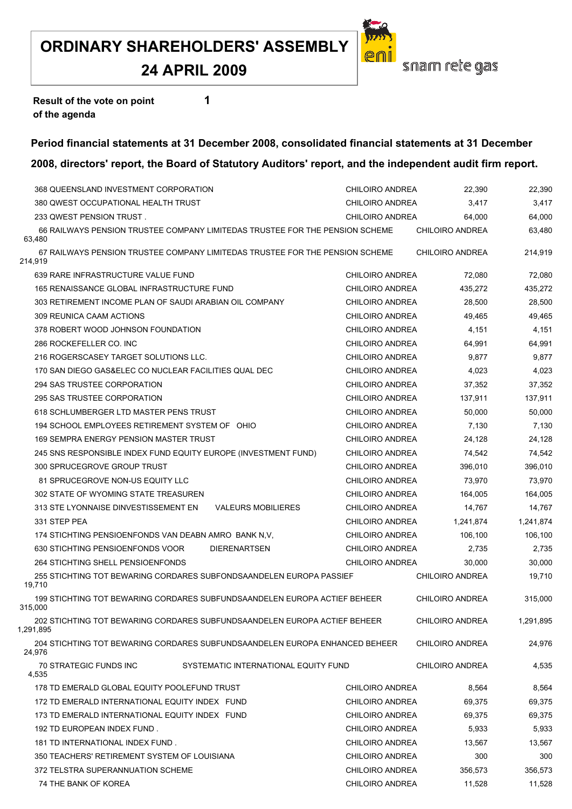## **24 APRIL 2009**

![](_page_40_Picture_2.jpeg)

**Result of the vote on point 1 of the agenda**

# **Period financial statements at 31 December 2008, consolidated financial statements at 31 December**

| 368 QUEENSLAND INVESTMENT CORPORATION                                                   | <b>CHILOIRO ANDREA</b> | 22,390                 | 22,390    |
|-----------------------------------------------------------------------------------------|------------------------|------------------------|-----------|
| 380 QWEST OCCUPATIONAL HEALTH TRUST                                                     | <b>CHILOIRO ANDREA</b> | 3,417                  | 3,417     |
| 233 QWEST PENSION TRUST.                                                                | CHILOIRO ANDREA        | 64,000                 | 64,000    |
| 66 RAILWAYS PENSION TRUSTEE COMPANY LIMITEDAS TRUSTEE FOR THE PENSION SCHEME            |                        | <b>CHILOIRO ANDREA</b> | 63,480    |
| 63,480                                                                                  |                        |                        |           |
| 67 RAILWAYS PENSION TRUSTEE COMPANY LIMITEDAS TRUSTEE FOR THE PENSION SCHEME<br>214,919 |                        | <b>CHILOIRO ANDREA</b> | 214,919   |
| 639 RARE INFRASTRUCTURE VALUE FUND                                                      | CHILOIRO ANDREA        | 72,080                 | 72,080    |
| 165 RENAISSANCE GLOBAL INFRASTRUCTURE FUND                                              | CHILOIRO ANDREA        | 435,272                | 435,272   |
| 303 RETIREMENT INCOME PLAN OF SAUDI ARABIAN OIL COMPANY                                 | <b>CHILOIRO ANDREA</b> | 28,500                 | 28,500    |
| 309 REUNICA CAAM ACTIONS                                                                | CHILOIRO ANDREA        | 49,465                 | 49,465    |
| 378 ROBERT WOOD JOHNSON FOUNDATION                                                      | CHILOIRO ANDREA        | 4,151                  | 4,151     |
| 286 ROCKEFELLER CO. INC                                                                 | CHILOIRO ANDREA        | 64,991                 | 64,991    |
| 216 ROGERSCASEY TARGET SOLUTIONS LLC.                                                   | <b>CHILOIRO ANDREA</b> | 9,877                  | 9,877     |
| 170 SAN DIEGO GAS&ELEC CO NUCLEAR FACILITIES QUAL DEC                                   | <b>CHILOIRO ANDREA</b> | 4,023                  | 4,023     |
| 294 SAS TRUSTEE CORPORATION                                                             | <b>CHILOIRO ANDREA</b> | 37,352                 | 37,352    |
| 295 SAS TRUSTEE CORPORATION                                                             | CHILOIRO ANDREA        | 137,911                | 137,911   |
| 618 SCHLUMBERGER LTD MASTER PENS TRUST                                                  | <b>CHILOIRO ANDREA</b> | 50,000                 | 50,000    |
| 194 SCHOOL EMPLOYEES RETIREMENT SYSTEM OF OHIO                                          | CHILOIRO ANDREA        | 7,130                  | 7,130     |
| 169 SEMPRA ENERGY PENSION MASTER TRUST                                                  | CHILOIRO ANDREA        | 24,128                 | 24,128    |
| 245 SNS RESPONSIBLE INDEX FUND EQUITY EUROPE (INVESTMENT FUND)                          | <b>CHILOIRO ANDREA</b> | 74,542                 | 74,542    |
| 300 SPRUCEGROVE GROUP TRUST                                                             | <b>CHILOIRO ANDREA</b> | 396,010                | 396,010   |
| 81 SPRUCEGROVE NON-US EQUITY LLC                                                        | CHILOIRO ANDREA        | 73,970                 | 73,970    |
| 302 STATE OF WYOMING STATE TREASUREN                                                    | CHILOIRO ANDREA        | 164,005                | 164,005   |
| 313 STE LYONNAISE DINVESTISSEMENT EN<br><b>VALEURS MOBILIERES</b>                       | <b>CHILOIRO ANDREA</b> | 14,767                 | 14,767    |
| 331 STEP PEA                                                                            | <b>CHILOIRO ANDREA</b> | 1,241,874              | 1,241,874 |
| 174 STICHTING PENSIOENFONDS VAN DEABN AMRO BANK N.V.                                    | CHILOIRO ANDREA        | 106,100                | 106,100   |
| 630 STICHTING PENSIOENFONDS VOOR<br><b>DIERENARTSEN</b>                                 | <b>CHILOIRO ANDREA</b> | 2,735                  | 2,735     |
| 264 STICHTING SHELL PENSIOENFONDS                                                       | <b>CHILOIRO ANDREA</b> | 30,000                 | 30,000    |
| 255 STICHTING TOT BEWARING CORDARES SUBFONDSAANDELEN EUROPA PASSIEF                     |                        | <b>CHILOIRO ANDREA</b> | 19,710    |
| 19,710                                                                                  |                        |                        |           |
| 199 STICHTING TOT BEWARING CORDARES SUBFUNDSAANDELEN EUROPA ACTIEF BEHEER<br>315,000    |                        | <b>CHILOIRO ANDREA</b> | 315,000   |
| 202 STICHTING TOT BEWARING CORDARES SUBFUNDSAANDELEN EUROPA ACTIEF BEHEER<br>1,291,895  |                        | CHILOIRO ANDREA        | 1,291,895 |
| 204 STICHTING TOT BEWARING CORDARES SUBFUNDSAANDELEN EUROPA ENHANCED BEHEER<br>24,976   |                        | CHILOIRO ANDREA        | 24,976    |
| SYSTEMATIC INTERNATIONAL EQUITY FUND<br>70 STRATEGIC FUNDS INC<br>4,535                 |                        | CHILOIRO ANDREA        | 4,535     |
| 178 TD EMERALD GLOBAL EQUITY POOLEFUND TRUST                                            | <b>CHILOIRO ANDREA</b> | 8,564                  | 8,564     |
| 172 TD EMERALD INTERNATIONAL EQUITY INDEX FUND                                          | CHILOIRO ANDREA        | 69,375                 | 69,375    |
| 173 TD EMERALD INTERNATIONAL EQUITY INDEX FUND                                          | <b>CHILOIRO ANDREA</b> | 69.375                 | 69,375    |
| 192 TD EUROPEAN INDEX FUND.                                                             | CHILOIRO ANDREA        | 5,933                  | 5,933     |
| 181 TD INTERNATIONAL INDEX FUND.                                                        | CHILOIRO ANDREA        | 13,567                 | 13,567    |
| 350 TEACHERS' RETIREMENT SYSTEM OF LOUISIANA                                            | CHILOIRO ANDREA        | 300                    | 300       |
| 372 TELSTRA SUPERANNUATION SCHEME                                                       | <b>CHILOIRO ANDREA</b> | 356,573                | 356,573   |
| 74 THE BANK OF KOREA                                                                    | CHILOIRO ANDREA        | 11,528                 | 11,528    |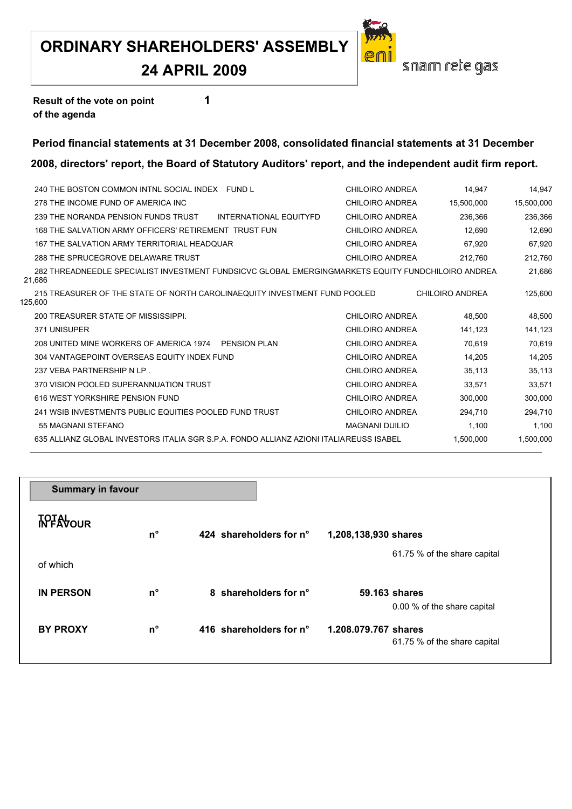## **24 APRIL 2009**

![](_page_42_Picture_2.jpeg)

**Result of the vote on point 1 of the agenda**

#### **Period financial statements at 31 December 2008, consolidated financial statements at 31 December**

| 240 THE BOSTON COMMON INTNL SOCIAL INDEX FUND L                                                              | CHILOIRO ANDREA        | 14.947                 | 14.947     |
|--------------------------------------------------------------------------------------------------------------|------------------------|------------------------|------------|
| 278 THE INCOME FUND OF AMERICA INC                                                                           | <b>CHILOIRO ANDREA</b> | 15.500.000             | 15,500,000 |
| 239 THE NORANDA PENSION FUNDS TRUST<br>INTERNATIONAL EQUITYFD                                                | <b>CHILOIRO ANDREA</b> | 236.366                | 236,366    |
| 168 THE SALVATION ARMY OFFICERS' RETIREMENT TRUST FUN                                                        | CHILOIRO ANDREA        | 12,690                 | 12,690     |
| 167 THE SALVATION ARMY TERRITORIAL HEADOUAR                                                                  | CHILOIRO ANDREA        | 67.920                 | 67,920     |
| 288 THE SPRUCEGROVE DELAWARE TRUST                                                                           | <b>CHILOIRO ANDREA</b> | 212,760                | 212,760    |
| 282 THREADNEEDLE SPECIALIST INVESTMENT FUNDSICVC GLOBAL EMERGINGMARKETS EQUITY FUNDCHILOIRO ANDREA<br>21,686 |                        |                        | 21,686     |
| 215 TREASURER OF THE STATE OF NORTH CAROLINAEQUITY INVESTMENT FUND POOLED<br>125.600                         |                        | <b>CHILOIRO ANDREA</b> | 125.600    |
| 200 TREASURER STATE OF MISSISSIPPI.                                                                          | CHILOIRO ANDREA        | 48.500                 | 48.500     |
| 371 UNISUPER                                                                                                 | <b>CHILOIRO ANDREA</b> | 141,123                | 141,123    |
| 208 UNITED MINE WORKERS OF AMERICA 1974 PENSION PLAN                                                         | CHILOIRO ANDREA        | 70.619                 | 70.619     |
| 304 VANTAGEPOINT OVERSEAS EQUITY INDEX FUND                                                                  | CHILOIRO ANDREA        | 14,205                 | 14,205     |
| 237 VEBA PARTNERSHIP N LP.                                                                                   | CHILOIRO ANDREA        | 35,113                 | 35,113     |
| 370 VISION POOLED SUPERANNUATION TRUST                                                                       | <b>CHILOIRO ANDREA</b> | 33.571                 | 33,571     |
| 616 WEST YORKSHIRE PENSION FUND                                                                              | CHILOIRO ANDREA        | 300,000                | 300,000    |
| 241 WSIB INVESTMENTS PUBLIC EQUITIES POOLED FUND TRUST                                                       | <b>CHILOIRO ANDREA</b> | 294.710                | 294.710    |
| 55 MAGNANI STEFANO                                                                                           | <b>MAGNANI DUILIO</b>  | 1,100                  | 1,100      |
| 635 ALLIANZ GLOBAL INVESTORS ITALIA SGR S P A FONDO ALLIANZ AZIONI ITALIAREUSS ISABEL                        |                        | 1.500.000              | 1,500,000  |
|                                                                                                              |                        |                        |            |

| <b>Summary in favour</b> |             |                         |                                                      |
|--------------------------|-------------|-------------------------|------------------------------------------------------|
| <b>TOTALOUR</b>          | n°          | 424 shareholders for n° | 1,208,138,930 shares                                 |
| of which                 |             |                         | 61.75 % of the share capital                         |
| <b>IN PERSON</b>         | $n^{\circ}$ | 8 shareholders for n°   | 59.163 shares<br>0.00 % of the share capital         |
| <b>BY PROXY</b>          | $n^{\circ}$ | 416 shareholders for n° | 1.208.079.767 shares<br>61.75 % of the share capital |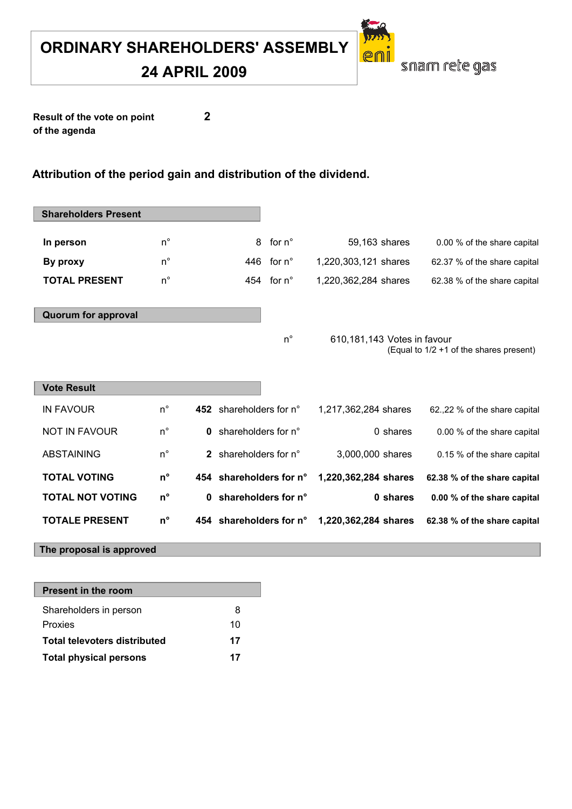**24 APRIL 2009**

![](_page_43_Picture_2.jpeg)

**Result of the vote on point 2 of the agenda**

#### **Attribution of the period gain and distribution of the dividend.**

| <b>Shareholders Present</b> |             |                         |                      |                             |                                         |
|-----------------------------|-------------|-------------------------|----------------------|-----------------------------|-----------------------------------------|
| In person                   | $n^{\circ}$ |                         | for $n^{\circ}$<br>8 | 59,163 shares               | 0.00 % of the share capital             |
| By proxy                    | $n^{\circ}$ |                         | 446 for $n^{\circ}$  | 1,220,303,121 shares        | 62.37 % of the share capital            |
| <b>TOTAL PRESENT</b>        | $n^{\circ}$ |                         | 454 for $n^{\circ}$  | 1,220,362,284 shares        | 62.38 % of the share capital            |
| <b>Quorum for approval</b>  |             |                         | $n^{\circ}$          | 610,181,143 Votes in favour | (Equal to 1/2 +1 of the shares present) |
| <b>Vote Result</b>          |             |                         |                      |                             |                                         |
| <b>IN FAVOUR</b>            | $n^{\circ}$ | 452 shareholders for n° |                      | 1,217,362,284 shares        | 62.,22 % of the share capital           |
| <b>NOT IN FAVOUR</b>        | $n^{\circ}$ | 0                       | shareholders for n°  | 0 shares                    | 0.00 % of the share capital             |
| <b>ABSTAINING</b>           | $n^{\circ}$ | $\mathbf{2}$            | shareholders for n°  | 3,000,000 shares            | 0.15 % of the share capital             |
| <b>TOTAL VOTING</b>         | $n^{\circ}$ | 454 shareholders for n° |                      | 1,220,362,284 shares        | 62.38 % of the share capital            |
| <b>TOTAL NOT VOTING</b>     | $n^{\circ}$ | 0                       | shareholders for n°  | 0 shares                    | 0.00 % of the share capital             |
| <b>TOTALE PRESENT</b>       | $n^{\circ}$ | 454 shareholders for n° |                      | 1,220,362,284 shares        | 62.38 % of the share capital            |
| The proposal is approved    |             |                         |                      |                             |                                         |

| 8  |
|----|
| 10 |
| 17 |
| 17 |
|    |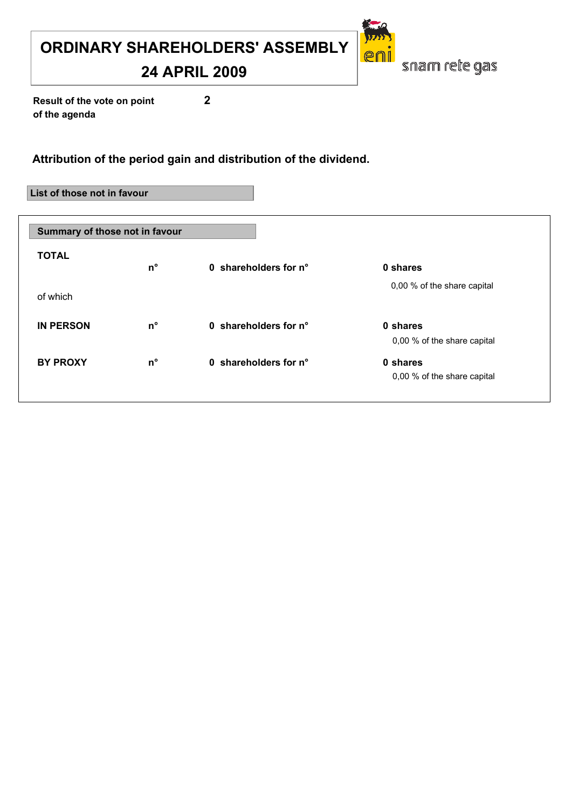**24 APRIL 2009**

snam rete gas

er

**Result of the vote on point 2 of the agenda**

#### **Attribution of the period gain and distribution of the dividend.**

#### **List of those not in favour**

| Summary of those not in favour |             |                       |                                         |  |  |
|--------------------------------|-------------|-----------------------|-----------------------------------------|--|--|
| <b>TOTAL</b>                   | $n^{\circ}$ | 0 shareholders for n° | 0 shares                                |  |  |
| of which                       |             |                       | 0,00 % of the share capital             |  |  |
| <b>IN PERSON</b>               | $n^{\circ}$ | 0 shareholders for n° | 0 shares<br>0,00 % of the share capital |  |  |
| <b>BY PROXY</b>                | $n^{\circ}$ | 0 shareholders for n° | 0 shares<br>0,00 % of the share capital |  |  |
|                                |             |                       |                                         |  |  |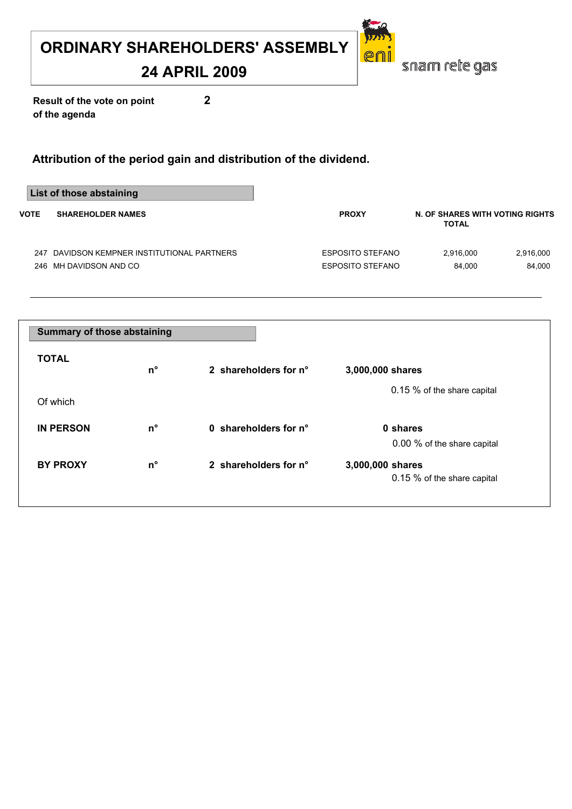## **24 APRIL 2009**

snam rete gas

eni

**Result of the vote on point 2 of the agenda**

|                                         | List of those abstaining                |                  |                                                 |           |
|-----------------------------------------|-----------------------------------------|------------------|-------------------------------------------------|-----------|
| <b>VOTE</b><br><b>SHAREHOLDER NAMES</b> |                                         | <b>PROXY</b>     | N. OF SHARES WITH VOTING RIGHTS<br><b>TOTAL</b> |           |
| 247                                     | DAVIDSON KEMPNER INSTITUTIONAL PARTNERS | ESPOSITO STEFANO | 2.916.000                                       | 2,916,000 |
|                                         | 246 MH DAVIDSON AND CO                  | ESPOSITO STEFANO | 84.000                                          | 84.000    |

| <b>Summary of those abstaining</b> |             |                       |                                                 |  |  |
|------------------------------------|-------------|-----------------------|-------------------------------------------------|--|--|
| <b>TOTAL</b>                       | $n^{\circ}$ | 2 shareholders for n° | 3,000,000 shares                                |  |  |
| Of which                           |             |                       | 0.15 % of the share capital                     |  |  |
| <b>IN PERSON</b>                   | $n^{\circ}$ | 0 shareholders for n° | 0 shares<br>0.00 % of the share capital         |  |  |
| <b>BY PROXY</b>                    | $n^{\circ}$ | 2 shareholders for n° | 3,000,000 shares<br>0.15 % of the share capital |  |  |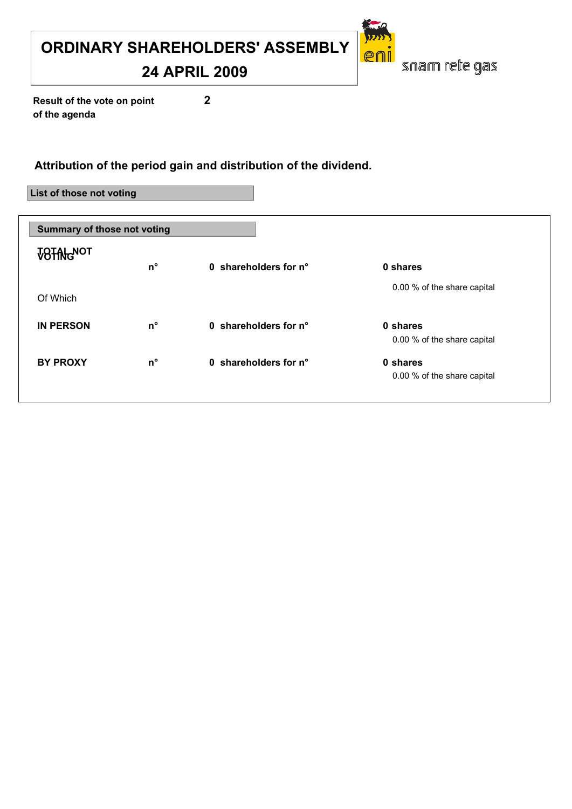**24 APRIL 2009**

snam rete gas

er

**Result of the vote on point 2 of the agenda**

#### **Attribution of the period gain and distribution of the dividend.**

**List of those not voting**

| <b>Summary of those not voting</b> |             |                       |                                         |  |  |
|------------------------------------|-------------|-----------------------|-----------------------------------------|--|--|
| <b>VOTAL NOT</b>                   | $n^{\circ}$ | 0 shareholders for n° | 0 shares                                |  |  |
| Of Which                           |             |                       | 0.00 % of the share capital             |  |  |
| <b>IN PERSON</b>                   | $n^{\circ}$ | 0 shareholders for n° | 0 shares<br>0.00 % of the share capital |  |  |
| <b>BY PROXY</b>                    | $n^{\circ}$ | 0 shareholders for n° | 0 shares<br>0.00 % of the share capital |  |  |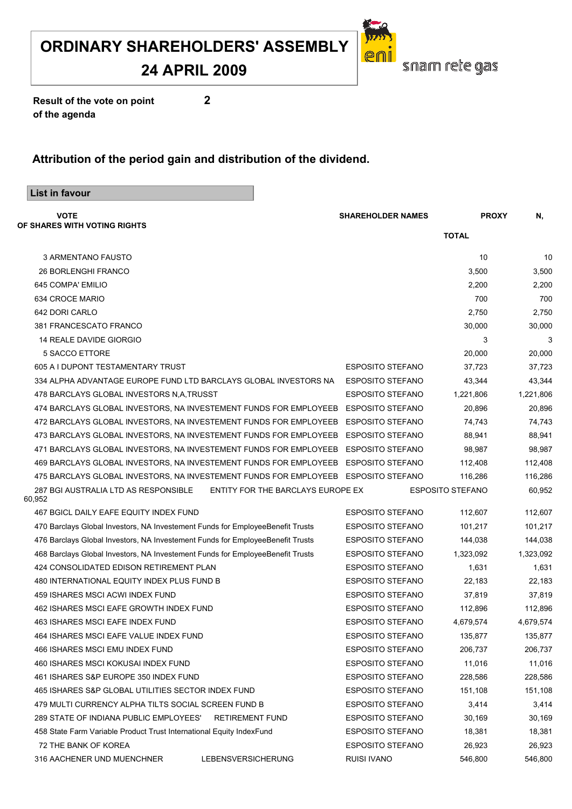#### **24 APRIL 2009**

![](_page_47_Picture_2.jpeg)

**Result of the vote on point 2 of the agenda**

| List in favour                                                                     |                                   |                          |                         |           |
|------------------------------------------------------------------------------------|-----------------------------------|--------------------------|-------------------------|-----------|
| <b>VOTE</b>                                                                        |                                   | <b>SHAREHOLDER NAMES</b> | <b>PROXY</b>            | Ν,        |
| OF SHARES WITH VOTING RIGHTS                                                       |                                   |                          | <b>TOTAL</b>            |           |
| 3 ARMENTANO FAUSTO                                                                 |                                   |                          | 10                      | 10        |
| <b>26 BORLENGHI FRANCO</b>                                                         |                                   |                          | 3,500                   | 3,500     |
| 645 COMPA' EMILIO                                                                  |                                   |                          | 2,200                   | 2,200     |
| 634 CROCE MARIO                                                                    |                                   |                          | 700                     | 700       |
| 642 DORI CARLO                                                                     |                                   |                          | 2,750                   | 2,750     |
| 381 FRANCESCATO FRANCO                                                             |                                   |                          | 30,000                  | 30,000    |
| 14 REALE DAVIDE GIORGIO                                                            |                                   |                          | 3                       | 3         |
| 5 SACCO ETTORE                                                                     |                                   |                          | 20,000                  | 20,000    |
| 605 A I DUPONT TESTAMENTARY TRUST                                                  |                                   | <b>ESPOSITO STEFANO</b>  | 37,723                  | 37,723    |
| 334 ALPHA ADVANTAGE EUROPE FUND LTD BARCLAYS GLOBAL INVESTORS NA                   |                                   | <b>ESPOSITO STEFANO</b>  | 43,344                  | 43,344    |
| 478 BARCLAYS GLOBAL INVESTORS N.A.TRUSST                                           |                                   | ESPOSITO STEFANO         | 1,221,806               | 1,221,806 |
| 474 BARCLAYS GLOBAL INVESTORS, NA INVESTEMENT FUNDS FOR EMPLOYEEB                  |                                   | <b>ESPOSITO STEFANO</b>  | 20,896                  | 20,896    |
| 472 BARCLAYS GLOBAL INVESTORS, NA INVESTEMENT FUNDS FOR EMPLOYEEB ESPOSITO STEFANO |                                   |                          | 74.743                  | 74,743    |
| 473 BARCLAYS GLOBAL INVESTORS, NA INVESTEMENT FUNDS FOR EMPLOYEEB ESPOSITO STEFANO |                                   |                          | 88,941                  | 88,941    |
| 471 BARCLAYS GLOBAL INVESTORS, NA INVESTEMENT FUNDS FOR EMPLOYEEB ESPOSITO STEFANO |                                   |                          | 98,987                  | 98,987    |
| 469 BARCLAYS GLOBAL INVESTORS, NA INVESTEMENT FUNDS FOR EMPLOYEEB ESPOSITO STEFANO |                                   |                          | 112,408                 | 112,408   |
| 475 BARCLAYS GLOBAL INVESTORS, NA INVESTEMENT FUNDS FOR EMPLOYEEB ESPOSITO STEFANO |                                   |                          | 116,286                 | 116,286   |
| 287 BGI AUSTRALIA LTD AS RESPONSIBLE<br>60,952                                     | ENTITY FOR THE BARCLAYS EUROPE EX |                          | <b>ESPOSITO STEFANO</b> | 60,952    |
| 467 BGICL DAILY EAFE EQUITY INDEX FUND                                             |                                   | <b>ESPOSITO STEFANO</b>  | 112,607                 | 112,607   |
| 470 Barclays Global Investors, NA Investement Funds for EmployeeBenefit Trusts     |                                   | <b>ESPOSITO STEFANO</b>  | 101,217                 | 101,217   |
| 476 Barclays Global Investors, NA Investement Funds for EmployeeBenefit Trusts     |                                   | <b>ESPOSITO STEFANO</b>  | 144,038                 | 144,038   |
| 468 Barclays Global Investors, NA Investement Funds for EmployeeBenefit Trusts     |                                   | <b>ESPOSITO STEFANO</b>  | 1,323,092               | 1,323,092 |
| 424 CONSOLIDATED EDISON RETIREMENT PLAN                                            |                                   | <b>ESPOSITO STEFANO</b>  | 1,631                   | 1,631     |
| 480 INTERNATIONAL EQUITY INDEX PLUS FUND B                                         |                                   | <b>ESPOSITO STEFANO</b>  | 22,183                  | 22,183    |
| 459 ISHARES MSCI ACWI INDEX FUND                                                   |                                   | <b>ESPOSITO STEFANO</b>  | 37,819                  | 37,819    |
| 462 ISHARES MSCI EAFE GROWTH INDEX FUND                                            |                                   | <b>ESPOSITO STEFANO</b>  | 112,896                 | 112,896   |
| 463 ISHARES MSCI EAFE INDEX FUND                                                   |                                   | <b>ESPOSITO STEFANO</b>  | 4,679,574               | 4,679,574 |
| 464 ISHARES MSCI EAFE VALUE INDEX FUND                                             |                                   | <b>ESPOSITO STEFANO</b>  | 135,877                 | 135,877   |
| 466 ISHARES MSCI EMU INDEX FUND                                                    |                                   | <b>ESPOSITO STEFANO</b>  | 206,737                 | 206,737   |
| 460 ISHARES MSCI KOKUSAI INDEX FUND                                                |                                   | <b>ESPOSITO STEFANO</b>  | 11,016                  | 11,016    |
| 461 ISHARES S&P EUROPE 350 INDEX FUND                                              |                                   | <b>ESPOSITO STEFANO</b>  | 228,586                 | 228,586   |
| 465 ISHARES S&P GLOBAL UTILITIES SECTOR INDEX FUND                                 |                                   | <b>ESPOSITO STEFANO</b>  | 151,108                 | 151,108   |
| 479 MULTI CURRENCY ALPHA TILTS SOCIAL SCREEN FUND B                                |                                   | <b>ESPOSITO STEFANO</b>  | 3,414                   | 3,414     |
| 289 STATE OF INDIANA PUBLIC EMPLOYEES'                                             | <b>RETIREMENT FUND</b>            | <b>ESPOSITO STEFANO</b>  | 30,169                  | 30,169    |
| 458 State Farm Variable Product Trust International Equity IndexFund               |                                   | <b>ESPOSITO STEFANO</b>  | 18,381                  | 18,381    |
| 72 THE BANK OF KOREA                                                               |                                   | <b>ESPOSITO STEFANO</b>  | 26,923                  | 26,923    |
| 316 AACHENER UND MUENCHNER                                                         | LEBENSVERSICHERUNG                | <b>RUISI IVANO</b>       | 546,800                 | 546,800   |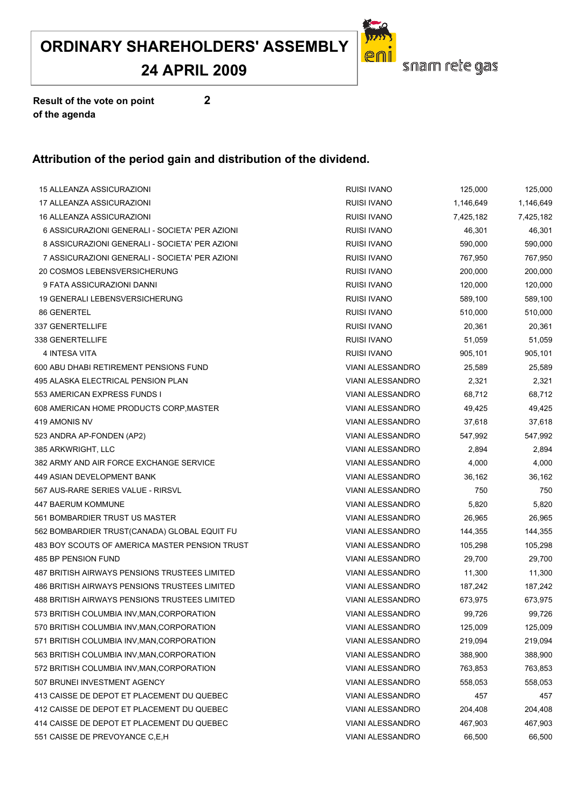**24 APRIL 2009**

![](_page_48_Picture_2.jpeg)

**Result of the vote on point 2 of the agenda**

| 15 ALLEANZA ASSICURAZIONI                            | RUISI IVANO             | 125,000   | 125,000   |
|------------------------------------------------------|-------------------------|-----------|-----------|
| 17 ALLEANZA ASSICURAZIONI                            | <b>RUISI IVANO</b>      | 1,146,649 | 1,146,649 |
| 16 ALLEANZA ASSICURAZIONI                            | RUISI IVANO             | 7,425,182 | 7,425,182 |
| 6 ASSICURAZIONI GENERALI - SOCIETA' PER AZIONI       | <b>RUISI IVANO</b>      | 46,301    | 46,301    |
| 8 ASSICURAZIONI GENERALI - SOCIETA' PER AZIONI       | <b>RUISI IVANO</b>      | 590,000   | 590,000   |
| 7 ASSICURAZIONI GENERALI - SOCIETA' PER AZIONI       | RUISI IVANO             | 767,950   | 767,950   |
| 20 COSMOS LEBENSVERSICHERUNG                         | <b>RUISI IVANO</b>      | 200,000   | 200,000   |
| 9 FATA ASSICURAZIONI DANNI                           | RUISI IVANO             | 120,000   | 120,000   |
| 19 GENERALI LEBENSVERSICHERUNG                       | <b>RUISI IVANO</b>      | 589,100   | 589,100   |
| 86 GENERTEL                                          | <b>RUISI IVANO</b>      | 510,000   | 510,000   |
| 337 GENERTELLIFE                                     | <b>RUISI IVANO</b>      | 20,361    | 20,361    |
| 338 GENERTELLIFE                                     | RUISI IVANO             | 51,059    | 51,059    |
| 4 INTESA VITA                                        | <b>RUISI IVANO</b>      | 905,101   | 905,101   |
| 600 ABU DHABI RETIREMENT PENSIONS FUND               | <b>VIANI ALESSANDRO</b> | 25,589    | 25,589    |
| 495 ALASKA ELECTRICAL PENSION PLAN                   | <b>VIANI ALESSANDRO</b> | 2,321     | 2,321     |
| 553 AMERICAN EXPRESS FUNDS I                         | <b>VIANI ALESSANDRO</b> | 68,712    | 68,712    |
| 608 AMERICAN HOME PRODUCTS CORP, MASTER              | <b>VIANI ALESSANDRO</b> | 49,425    | 49,425    |
| 419 AMONIS NV                                        | VIANI ALESSANDRO        | 37,618    | 37,618    |
| 523 ANDRA AP-FONDEN (AP2)                            | VIANI ALESSANDRO        | 547,992   | 547,992   |
| 385 ARKWRIGHT, LLC                                   | VIANI ALESSANDRO        | 2,894     | 2,894     |
| 382 ARMY AND AIR FORCE EXCHANGE SERVICE              | <b>VIANI ALESSANDRO</b> | 4,000     | 4,000     |
| 449 ASIAN DEVELOPMENT BANK                           | <b>VIANI ALESSANDRO</b> | 36,162    | 36,162    |
| 567 AUS-RARE SERIES VALUE - RIRSVL                   | <b>VIANI ALESSANDRO</b> | 750       | 750       |
| 447 BAERUM KOMMUNE                                   | VIANI ALESSANDRO        | 5,820     | 5,820     |
| 561 BOMBARDIER TRUST US MASTER                       | <b>VIANI ALESSANDRO</b> | 26,965    | 26,965    |
| 562 BOMBARDIER TRUST(CANADA) GLOBAL EQUIT FU         | VIANI ALESSANDRO        | 144,355   | 144,355   |
| 483 BOY SCOUTS OF AMERICA MASTER PENSION TRUST       | <b>VIANI ALESSANDRO</b> | 105,298   | 105,298   |
| 485 BP PENSION FUND                                  | VIANI ALESSANDRO        | 29,700    | 29,700    |
| 487 BRITISH AIRWAYS PENSIONS TRUSTEES LIMITED        | VIANI ALESSANDRO        | 11,300    | 11,300    |
| <b>486 BRITISH AIRWAYS PENSIONS TRUSTEES LIMITED</b> | VIANI ALESSANDRO        | 187,242   | 187,242   |
| 488 BRITISH AIRWAYS PENSIONS TRUSTEES LIMITED        | <b>VIANI ALESSANDRO</b> | 673,975   | 673,975   |
| 573 BRITISH COLUMBIA INV, MAN, CORPORATION           | VIANI ALESSANDRO        | 99,726    | 99,726    |
| 570 BRITISH COLUMBIA INV, MAN, CORPORATION           | <b>VIANI ALESSANDRO</b> | 125,009   | 125,009   |
| 571 BRITISH COLUMBIA INV, MAN, CORPORATION           | VIANI ALESSANDRO        | 219,094   | 219,094   |
| 563 BRITISH COLUMBIA INV, MAN, CORPORATION           | <b>VIANI ALESSANDRO</b> | 388,900   | 388,900   |
| 572 BRITISH COLUMBIA INV, MAN, CORPORATION           | <b>VIANI ALESSANDRO</b> | 763,853   | 763,853   |
| 507 BRUNEI INVESTMENT AGENCY                         | VIANI ALESSANDRO        | 558,053   | 558,053   |
| 413 CAISSE DE DEPOT ET PLACEMENT DU QUEBEC           | VIANI ALESSANDRO        | 457       | 457       |
| 412 CAISSE DE DEPOT ET PLACEMENT DU QUEBEC           | VIANI ALESSANDRO        | 204,408   | 204,408   |
| 414 CAISSE DE DEPOT ET PLACEMENT DU QUEBEC           | <b>VIANI ALESSANDRO</b> | 467,903   | 467,903   |
| 551 CAISSE DE PREVOYANCE C, E, H                     | <b>VIANI ALESSANDRO</b> | 66,500    | 66,500    |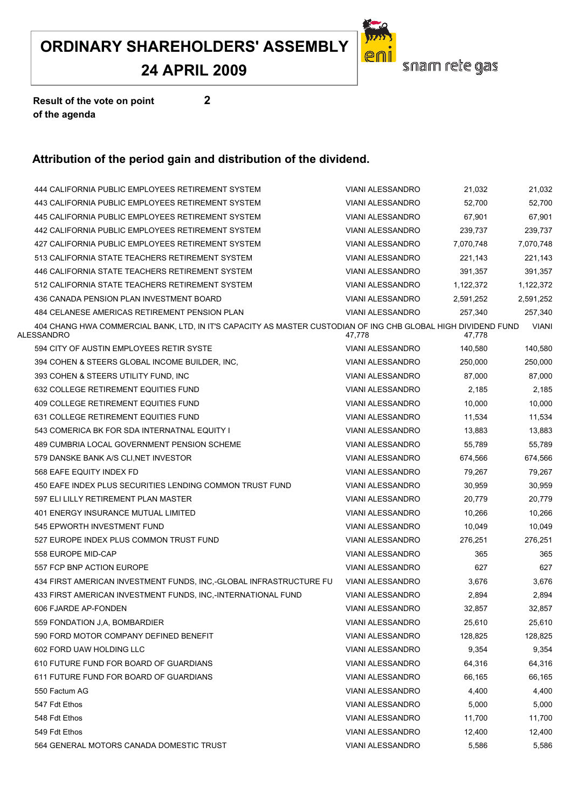**24 APRIL 2009**

![](_page_49_Picture_2.jpeg)

**Result of the vote on point 2 of the agenda**

| 444 CALIFORNIA PUBLIC EMPLOYEES RETIREMENT SYSTEM                                                                           | <b>VIANI ALESSANDRO</b> | 21,032    | 21,032       |
|-----------------------------------------------------------------------------------------------------------------------------|-------------------------|-----------|--------------|
| 443 CALIFORNIA PUBLIC EMPLOYEES RETIREMENT SYSTEM                                                                           | <b>VIANI ALESSANDRO</b> | 52,700    | 52,700       |
| 445 CALIFORNIA PUBLIC EMPLOYEES RETIREMENT SYSTEM                                                                           | <b>VIANI ALESSANDRO</b> | 67,901    | 67,901       |
| 442 CALIFORNIA PUBLIC EMPLOYEES RETIREMENT SYSTEM                                                                           | <b>VIANI ALESSANDRO</b> | 239,737   | 239,737      |
| 427 CALIFORNIA PUBLIC EMPLOYEES RETIREMENT SYSTEM                                                                           | <b>VIANI ALESSANDRO</b> | 7,070,748 | 7,070,748    |
| 513 CALIFORNIA STATE TEACHERS RETIREMENT SYSTEM                                                                             | <b>VIANI ALESSANDRO</b> | 221,143   | 221,143      |
| 446 CALIFORNIA STATE TEACHERS RETIREMENT SYSTEM                                                                             | <b>VIANI ALESSANDRO</b> | 391,357   | 391,357      |
| 512 CALIFORNIA STATE TEACHERS RETIREMENT SYSTEM                                                                             | VIANI ALESSANDRO        | 1,122,372 | 1,122,372    |
| 436 CANADA PENSION PLAN INVESTMENT BOARD                                                                                    | <b>VIANI ALESSANDRO</b> | 2,591,252 | 2,591,252    |
| 484 CELANESE AMERICAS RETIREMENT PENSION PLAN                                                                               | <b>VIANI ALESSANDRO</b> | 257,340   | 257,340      |
| 404 CHANG HWA COMMERCIAL BANK, LTD, IN IT'S CAPACITY AS MASTER CUSTODIAN OF ING CHB GLOBAL HIGH DIVIDEND FUND<br>ALESSANDRO | 47,778                  | 47,778    | <b>VIANI</b> |
| 594 CITY OF AUSTIN EMPLOYEES RETIR SYSTE                                                                                    | <b>VIANI ALESSANDRO</b> | 140,580   | 140,580      |
| 394 COHEN & STEERS GLOBAL INCOME BUILDER, INC,                                                                              | <b>VIANI ALESSANDRO</b> | 250,000   | 250,000      |
| 393 COHEN & STEERS UTILITY FUND, INC                                                                                        | <b>VIANI ALESSANDRO</b> | 87.000    | 87,000       |
| 632 COLLEGE RETIREMENT EQUITIES FUND                                                                                        | <b>VIANI ALESSANDRO</b> | 2,185     | 2,185        |
| 409 COLLEGE RETIREMENT EQUITIES FUND                                                                                        | <b>VIANI ALESSANDRO</b> | 10.000    | 10,000       |
| 631 COLLEGE RETIREMENT EQUITIES FUND                                                                                        | <b>VIANI ALESSANDRO</b> | 11,534    | 11,534       |
| 543 COMERICA BK FOR SDA INTERNATNAL EQUITY I                                                                                | <b>VIANI ALESSANDRO</b> | 13,883    | 13,883       |
| 489 CUMBRIA LOCAL GOVERNMENT PENSION SCHEME                                                                                 | <b>VIANI ALESSANDRO</b> | 55,789    | 55,789       |
| 579 DANSKE BANK A/S CLI, NET INVESTOR                                                                                       | <b>VIANI ALESSANDRO</b> | 674,566   | 674,566      |
| 568 EAFE EQUITY INDEX FD                                                                                                    | <b>VIANI ALESSANDRO</b> | 79,267    | 79,267       |
| 450 EAFE INDEX PLUS SECURITIES LENDING COMMON TRUST FUND                                                                    | <b>VIANI ALESSANDRO</b> | 30,959    | 30,959       |
| 597 ELI LILLY RETIREMENT PLAN MASTER                                                                                        | <b>VIANI ALESSANDRO</b> | 20,779    | 20,779       |
| 401 ENERGY INSURANCE MUTUAL LIMITED                                                                                         | VIANI ALESSANDRO        | 10,266    | 10,266       |
| 545 EPWORTH INVESTMENT FUND                                                                                                 | <b>VIANI ALESSANDRO</b> | 10,049    | 10,049       |
| 527 EUROPE INDEX PLUS COMMON TRUST FUND                                                                                     | <b>VIANI ALESSANDRO</b> | 276,251   | 276,251      |
| 558 EUROPE MID-CAP                                                                                                          | <b>VIANI ALESSANDRO</b> | 365       | 365          |
| 557 FCP BNP ACTION EUROPE                                                                                                   | VIANI ALESSANDRO        | 627       | 627          |
| 434 FIRST AMERICAN INVESTMENT FUNDS, INC,-GLOBAL INFRASTRUCTURE FU                                                          | <b>VIANI ALESSANDRO</b> | 3,676     | 3,676        |
| 433 FIRST AMERICAN INVESTMENT FUNDS, INC,-INTERNATIONAL FUND                                                                | <b>VIANI ALESSANDRO</b> | 2,894     | 2,894        |
| 606 FJARDE AP-FONDEN                                                                                                        | <b>VIANI ALESSANDRO</b> | 32.857    | 32,857       |
| 559 FONDATION J,A, BOMBARDIER                                                                                               | <b>VIANI ALESSANDRO</b> | 25,610    | 25,610       |
| 590 FORD MOTOR COMPANY DEFINED BENEFIT                                                                                      | VIANI ALESSANDRO        | 128,825   | 128,825      |
| 602 FORD UAW HOLDING LLC                                                                                                    | <b>VIANI ALESSANDRO</b> | 9,354     | 9,354        |
| 610 FUTURE FUND FOR BOARD OF GUARDIANS                                                                                      | VIANI ALESSANDRO        | 64,316    | 64,316       |
| 611 FUTURE FUND FOR BOARD OF GUARDIANS                                                                                      | <b>VIANI ALESSANDRO</b> | 66,165    | 66,165       |
| 550 Factum AG                                                                                                               | VIANI ALESSANDRO        | 4,400     | 4,400        |
| 547 Fdt Ethos                                                                                                               | <b>VIANI ALESSANDRO</b> | 5,000     | 5,000        |
| 548 Fdt Ethos                                                                                                               | <b>VIANI ALESSANDRO</b> | 11,700    | 11,700       |
| 549 Fdt Ethos                                                                                                               | <b>VIANI ALESSANDRO</b> | 12,400    | 12,400       |
| 564 GENERAL MOTORS CANADA DOMESTIC TRUST                                                                                    | VIANI ALESSANDRO        | 5,586     | 5,586        |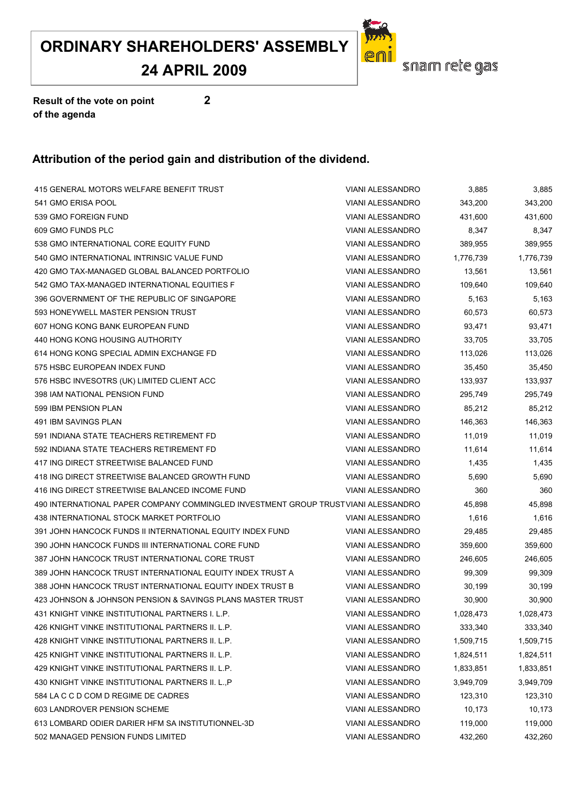**24 APRIL 2009**

![](_page_50_Picture_2.jpeg)

**Result of the vote on point 2 of the agenda**

| 415 GENERAL MOTORS WELFARE BENEFIT TRUST                                          | <b>VIANI ALESSANDRO</b> | 3,885     | 3,885     |
|-----------------------------------------------------------------------------------|-------------------------|-----------|-----------|
| 541 GMO ERISA POOL                                                                | <b>VIANI ALESSANDRO</b> | 343,200   | 343,200   |
| 539 GMO FOREIGN FUND                                                              | VIANI ALESSANDRO        | 431,600   | 431,600   |
| 609 GMO FUNDS PLC                                                                 | <b>VIANI ALESSANDRO</b> | 8,347     | 8,347     |
| 538 GMO INTERNATIONAL CORE EQUITY FUND                                            | <b>VIANI ALESSANDRO</b> | 389,955   | 389,955   |
| 540 GMO INTERNATIONAL INTRINSIC VALUE FUND                                        | <b>VIANI ALESSANDRO</b> | 1,776,739 | 1,776,739 |
| 420 GMO TAX-MANAGED GLOBAL BALANCED PORTFOLIO                                     | <b>VIANI ALESSANDRO</b> | 13,561    | 13,561    |
| 542 GMO TAX-MANAGED INTERNATIONAL EQUITIES F                                      | VIANI ALESSANDRO        | 109,640   | 109,640   |
| 396 GOVERNMENT OF THE REPUBLIC OF SINGAPORE                                       | <b>VIANI ALESSANDRO</b> | 5,163     | 5,163     |
| 593 HONEYWELL MASTER PENSION TRUST                                                | VIANI ALESSANDRO        | 60,573    | 60,573    |
| 607 HONG KONG BANK EUROPEAN FUND                                                  | <b>VIANI ALESSANDRO</b> | 93,471    | 93,471    |
| 440 HONG KONG HOUSING AUTHORITY                                                   | <b>VIANI ALESSANDRO</b> | 33,705    | 33,705    |
| 614 HONG KONG SPECIAL ADMIN EXCHANGE FD                                           | <b>VIANI ALESSANDRO</b> | 113,026   | 113,026   |
| 575 HSBC EUROPEAN INDEX FUND                                                      | VIANI ALESSANDRO        | 35,450    | 35,450    |
| 576 HSBC INVESOTRS (UK) LIMITED CLIENT ACC                                        | <b>VIANI ALESSANDRO</b> | 133,937   | 133,937   |
| 398 IAM NATIONAL PENSION FUND                                                     | <b>VIANI ALESSANDRO</b> | 295,749   | 295,749   |
| 599 IBM PENSION PLAN                                                              | <b>VIANI ALESSANDRO</b> | 85,212    | 85,212    |
| 491 IBM SAVINGS PLAN                                                              | <b>VIANI ALESSANDRO</b> | 146,363   | 146,363   |
| 591 INDIANA STATE TEACHERS RETIREMENT FD                                          | <b>VIANI ALESSANDRO</b> | 11,019    | 11,019    |
| 592 INDIANA STATE TEACHERS RETIREMENT FD                                          | VIANI ALESSANDRO        | 11,614    | 11,614    |
| 417 ING DIRECT STREETWISE BALANCED FUND                                           | <b>VIANI ALESSANDRO</b> | 1,435     | 1,435     |
| 418 ING DIRECT STREETWISE BALANCED GROWTH FUND                                    | <b>VIANI ALESSANDRO</b> | 5,690     | 5,690     |
| 416 ING DIRECT STREETWISE BALANCED INCOME FUND                                    | <b>VIANI ALESSANDRO</b> | 360       | 360       |
| 490 INTERNATIONAL PAPER COMPANY COMMINGLED INVESTMENT GROUP TRUSTVIANI ALESSANDRO |                         | 45,898    | 45,898    |
| 438 INTERNATIONAL STOCK MARKET PORTFOLIO                                          | <b>VIANI ALESSANDRO</b> | 1,616     | 1,616     |
| 391 JOHN HANCOCK FUNDS II INTERNATIONAL EQUITY INDEX FUND                         | <b>VIANI ALESSANDRO</b> | 29,485    | 29,485    |
| 390 JOHN HANCOCK FUNDS III INTERNATIONAL CORE FUND                                | <b>VIANI ALESSANDRO</b> | 359,600   | 359,600   |
| 387 JOHN HANCOCK TRUST INTERNATIONAL CORE TRUST                                   | <b>VIANI ALESSANDRO</b> | 246,605   | 246,605   |
| 389 JOHN HANCOCK TRUST INTERNATIONAL EQUITY INDEX TRUST A                         | <b>VIANI ALESSANDRO</b> | 99,309    | 99,309    |
| 388 JOHN HANCOCK TRUST INTERNATIONAL EQUITY INDEX TRUST B                         | VIANI ALESSANDRO        | 30,199    | 30,199    |
| 423 JOHNSON & JOHNSON PENSION & SAVINGS PLANS MASTER TRUST                        | <b>VIANI ALESSANDRO</b> | 30,900    | 30,900    |
| 431 KNIGHT VINKE INSTITUTIONAL PARTNERS I. L.P.                                   | VIANI ALESSANDRO        | 1,028,473 | 1,028,473 |
| 426 KNIGHT VINKE INSTITUTIONAL PARTNERS II. L.P.                                  | <b>VIANI ALESSANDRO</b> | 333,340   | 333,340   |
| 428 KNIGHT VINKE INSTITUTIONAL PARTNERS II. L.P.                                  | VIANI ALESSANDRO        | 1,509,715 | 1,509,715 |
| 425 KNIGHT VINKE INSTITUTIONAL PARTNERS II. L.P.                                  | <b>VIANI ALESSANDRO</b> | 1,824,511 | 1,824,511 |
| 429 KNIGHT VINKE INSTITUTIONAL PARTNERS II. L.P.                                  | <b>VIANI ALESSANDRO</b> | 1,833,851 | 1,833,851 |
| 430 KNIGHT VINKE INSTITUTIONAL PARTNERS II. L., P                                 | VIANI ALESSANDRO        | 3,949,709 | 3,949,709 |
| 584 LA C C D COM D REGIME DE CADRES                                               | VIANI ALESSANDRO        | 123,310   | 123,310   |
| 603 LANDROVER PENSION SCHEME                                                      | VIANI ALESSANDRO        | 10,173    | 10,173    |
| 613 LOMBARD ODIER DARIER HFM SA INSTITUTIONNEL-3D                                 | <b>VIANI ALESSANDRO</b> | 119,000   | 119,000   |
| 502 MANAGED PENSION FUNDS LIMITED                                                 | VIANI ALESSANDRO        | 432,260   | 432,260   |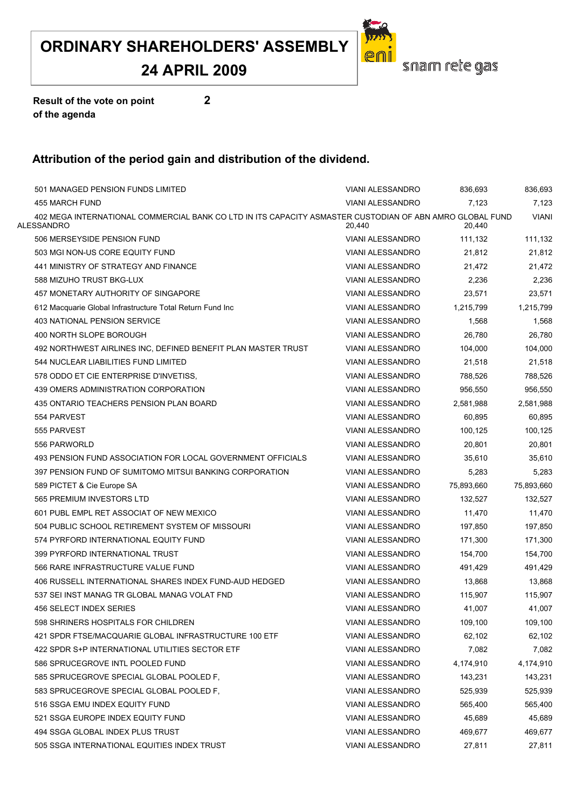#### **24 APRIL 2009**

![](_page_51_Picture_2.jpeg)

**Result of the vote on point 2 of the agenda**

| 501 MANAGED PENSION FUNDS LIMITED                                                                                      | <b>VIANI ALESSANDRO</b> | 836,693    | 836,693      |
|------------------------------------------------------------------------------------------------------------------------|-------------------------|------------|--------------|
| 455 MARCH FUND                                                                                                         | <b>VIANI ALESSANDRO</b> | 7,123      | 7,123        |
| 402 MEGA INTERNATIONAL COMMERCIAL BANK CO LTD IN ITS CAPACITY ASMASTER CUSTODIAN OF ABN AMRO GLOBAL FUND<br>ALESSANDRO | 20,440                  | 20,440     | <b>VIANI</b> |
| 506 MERSEYSIDE PENSION FUND                                                                                            | VIANI ALESSANDRO        | 111,132    | 111,132      |
| 503 MGI NON-US CORE EQUITY FUND                                                                                        | <b>VIANI ALESSANDRO</b> | 21,812     | 21,812       |
| 441 MINISTRY OF STRATEGY AND FINANCE                                                                                   | <b>VIANI ALESSANDRO</b> | 21,472     | 21,472       |
| 588 MIZUHO TRUST BKG-LUX                                                                                               | <b>VIANI ALESSANDRO</b> | 2,236      | 2,236        |
| 457 MONETARY AUTHORITY OF SINGAPORE                                                                                    | VIANI ALESSANDRO        | 23,571     | 23,571       |
| 612 Macquarie Global Infrastructure Total Return Fund Inc                                                              | <b>VIANI ALESSANDRO</b> | 1,215,799  | 1,215,799    |
| 403 NATIONAL PENSION SERVICE                                                                                           | VIANI ALESSANDRO        | 1,568      | 1,568        |
| 400 NORTH SLOPE BOROUGH                                                                                                | <b>VIANI ALESSANDRO</b> | 26,780     | 26,780       |
| 492 NORTHWEST AIRLINES INC, DEFINED BENEFIT PLAN MASTER TRUST                                                          | VIANI ALESSANDRO        | 104,000    | 104,000      |
| 544 NUCLEAR LIABILITIES FUND LIMITED                                                                                   | <b>VIANI ALESSANDRO</b> | 21,518     | 21,518       |
| 578 ODDO ET CIE ENTERPRISE D'INVETISS.                                                                                 | <b>VIANI ALESSANDRO</b> | 788,526    | 788,526      |
| 439 OMERS ADMINISTRATION CORPORATION                                                                                   | <b>VIANI ALESSANDRO</b> | 956,550    | 956,550      |
| 435 ONTARIO TEACHERS PENSION PLAN BOARD                                                                                | <b>VIANI ALESSANDRO</b> | 2,581,988  | 2,581,988    |
| 554 PARVEST                                                                                                            | <b>VIANI ALESSANDRO</b> | 60,895     | 60,895       |
| 555 PARVEST                                                                                                            | VIANI ALESSANDRO        | 100,125    | 100,125      |
| 556 PARWORLD                                                                                                           | <b>VIANI ALESSANDRO</b> | 20,801     | 20,801       |
| 493 PENSION FUND ASSOCIATION FOR LOCAL GOVERNMENT OFFICIALS                                                            | <b>VIANI ALESSANDRO</b> | 35.610     | 35,610       |
| 397 PENSION FUND OF SUMITOMO MITSUI BANKING CORPORATION                                                                | <b>VIANI ALESSANDRO</b> | 5,283      | 5,283        |
| 589 PICTET & Cie Europe SA                                                                                             | <b>VIANI ALESSANDRO</b> | 75,893,660 | 75,893,660   |
| 565 PREMIUM INVESTORS LTD                                                                                              | VIANI ALESSANDRO        | 132,527    | 132,527      |
| 601 PUBL EMPL RET ASSOCIAT OF NEW MEXICO                                                                               | VIANI ALESSANDRO        | 11,470     | 11,470       |
| 504 PUBLIC SCHOOL RETIREMENT SYSTEM OF MISSOURI                                                                        | VIANI ALESSANDRO        | 197,850    | 197,850      |
| 574 PYRFORD INTERNATIONAL EQUITY FUND                                                                                  | <b>VIANI ALESSANDRO</b> | 171,300    | 171,300      |
| 399 PYRFORD INTERNATIONAL TRUST                                                                                        | VIANI ALESSANDRO        | 154,700    | 154,700      |
| 566 RARE INFRASTRUCTURE VALUE FUND                                                                                     | <b>VIANI ALESSANDRO</b> | 491,429    | 491,429      |
| 406 RUSSELL INTERNATIONAL SHARES INDEX FUND-AUD HEDGED                                                                 | VIANI ALESSANDRO        | 13,868     | 13,868       |
| 537 SEI INST MANAG TR GLOBAL MANAG VOLAT FND                                                                           | <b>VIANI ALESSANDRO</b> | 115,907    | 115,907      |
| 456 SELECT INDEX SERIES                                                                                                | <b>VIANI ALESSANDRO</b> | 41.007     | 41,007       |
| 598 SHRINERS HOSPITALS FOR CHILDREN                                                                                    | <b>VIANI ALESSANDRO</b> | 109,100    | 109,100      |
| 421 SPDR FTSE/MACQUARIE GLOBAL INFRASTRUCTURE 100 ETF                                                                  | VIANI ALESSANDRO        | 62,102     | 62,102       |
| 422 SPDR S+P INTERNATIONAL UTILITIES SECTOR ETF                                                                        | <b>VIANI ALESSANDRO</b> | 7,082      | 7,082        |
| 586 SPRUCEGROVE INTL POOLED FUND                                                                                       | VIANI ALESSANDRO        | 4,174,910  | 4,174,910    |
| 585 SPRUCEGROVE SPECIAL GLOBAL POOLED F,                                                                               | VIANI ALESSANDRO        | 143,231    | 143,231      |
| 583 SPRUCEGROVE SPECIAL GLOBAL POOLED F.                                                                               | <b>VIANI ALESSANDRO</b> | 525,939    | 525,939      |
| 516 SSGA EMU INDEX EQUITY FUND                                                                                         | <b>VIANI ALESSANDRO</b> | 565,400    | 565,400      |
| 521 SSGA EUROPE INDEX EQUITY FUND                                                                                      | <b>VIANI ALESSANDRO</b> | 45,689     | 45,689       |
| 494 SSGA GLOBAL INDEX PLUS TRUST                                                                                       | <b>VIANI ALESSANDRO</b> | 469,677    | 469,677      |
| 505 SSGA INTERNATIONAL EQUITIES INDEX TRUST                                                                            | VIANI ALESSANDRO        | 27,811     | 27,811       |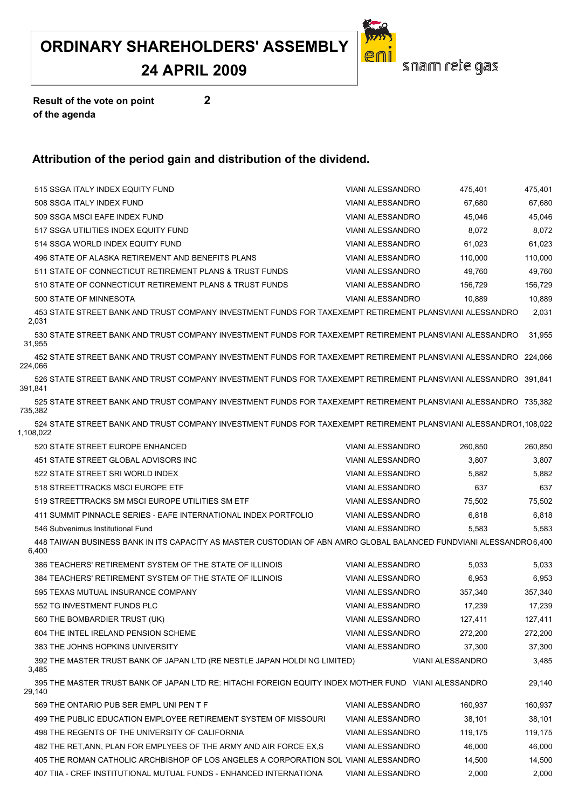#### **24 APRIL 2009**

![](_page_52_Picture_2.jpeg)

**Result of the vote on point 2 of the agenda**

| 515 SSGA ITALY INDEX EQUITY FUND                                                                                              | VIANI ALESSANDRO                  | 475,401                 | 475,401 |  |
|-------------------------------------------------------------------------------------------------------------------------------|-----------------------------------|-------------------------|---------|--|
| 508 SSGA ITALY INDEX FUND                                                                                                     | <b>VIANI ALESSANDRO</b><br>67,680 |                         |         |  |
| 509 SSGA MSCI EAFE INDEX FUND                                                                                                 | <b>VIANI ALESSANDRO</b>           | 45,046                  | 45,046  |  |
| 517 SSGA UTILITIES INDEX EQUITY FUND                                                                                          | <b>VIANI ALESSANDRO</b>           | 8,072                   | 8,072   |  |
| 514 SSGA WORLD INDEX EQUITY FUND                                                                                              | <b>VIANI ALESSANDRO</b>           | 61,023                  | 61,023  |  |
| 496 STATE OF ALASKA RETIREMENT AND BENEFITS PLANS                                                                             | <b>VIANI ALESSANDRO</b>           | 110,000                 | 110,000 |  |
| 511 STATE OF CONNECTICUT RETIREMENT PLANS & TRUST FUNDS                                                                       | <b>VIANI ALESSANDRO</b>           | 49,760                  | 49,760  |  |
| 510 STATE OF CONNECTICUT RETIREMENT PLANS & TRUST FUNDS                                                                       | <b>VIANI ALESSANDRO</b>           | 156,729                 | 156,729 |  |
| 500 STATE OF MINNESOTA                                                                                                        | <b>VIANI ALESSANDRO</b>           | 10,889                  | 10,889  |  |
| 453 STATE STREET BANK AND TRUST COMPANY INVESTMENT FUNDS FOR TAXEXEMPT RETIREMENT PLANSVIANI ALESSANDRO<br>2,031              |                                   |                         | 2,031   |  |
| 530 STATE STREET BANK AND TRUST COMPANY INVESTMENT FUNDS FOR TAXEXEMPT RETIREMENT PLANSVIANI ALESSANDRO<br>31,955             |                                   |                         | 31,955  |  |
| 452 STATE STREET BANK AND TRUST COMPANY INVESTMENT FUNDS FOR TAXEXEMPT RETIREMENT PLANSVIANI ALESSANDRO 224,066<br>224,066    |                                   |                         |         |  |
| 526 STATE STREET BANK AND TRUST COMPANY INVESTMENT FUNDS FOR TAXEXEMPT RETIREMENT PLANSVIANI ALESSANDRO 391.841<br>391.841    |                                   |                         |         |  |
| 525 STATE STREET BANK AND TRUST COMPANY INVESTMENT FUNDS FOR TAXEXEMPT RETIREMENT PLANSVIANI ALESSANDRO 735.382<br>735,382    |                                   |                         |         |  |
| 524 STATE STREET BANK AND TRUST COMPANY INVESTMENT FUNDS FOR TAXEXEMPT RETIREMENT PLANSVIANI ALESSANDRO1,108,022<br>1,108,022 |                                   |                         |         |  |
| 520 STATE STREET EUROPE ENHANCED                                                                                              | <b>VIANI ALESSANDRO</b>           | 260,850                 | 260,850 |  |
| 451 STATE STREET GLOBAL ADVISORS INC                                                                                          | <b>VIANI ALESSANDRO</b>           | 3,807                   | 3,807   |  |
| 522 STATE STREET SRI WORLD INDEX                                                                                              | <b>VIANI ALESSANDRO</b>           | 5,882                   | 5,882   |  |
| 518 STREETTRACKS MSCI EUROPE ETF                                                                                              | <b>VIANI ALESSANDRO</b>           | 637                     | 637     |  |
| 519 STREETTRACKS SM MSCI EUROPE UTILITIES SM ETF                                                                              | <b>VIANI ALESSANDRO</b>           | 75,502                  | 75,502  |  |
| 411 SUMMIT PINNACLE SERIES - EAFE INTERNATIONAL INDEX PORTFOLIO                                                               | <b>VIANI ALESSANDRO</b>           | 6,818                   | 6,818   |  |
| 546 Subvenimus Institutional Fund                                                                                             | <b>VIANI ALESSANDRO</b>           | 5,583                   | 5,583   |  |
| 448 TAIWAN BUSINESS BANK IN ITS CAPACITY AS MASTER CUSTODIAN OF ABN AMRO GLOBAL BALANCED FUNDVIANI ALESSANDRO6.400<br>6,400   |                                   |                         |         |  |
| 386 TEACHERS' RETIREMENT SYSTEM OF THE STATE OF ILLINOIS                                                                      | <b>VIANI ALESSANDRO</b>           | 5,033                   | 5,033   |  |
| 384 TEACHERS' RETIREMENT SYSTEM OF THE STATE OF ILLINOIS                                                                      | <b>VIANI ALESSANDRO</b>           | 6,953                   | 6,953   |  |
| 595 TEXAS MUTUAL INSURANCE COMPANY                                                                                            | <b>VIANI ALESSANDRO</b>           | 357,340                 | 357,340 |  |
| 552 TG INVESTMENT FUNDS PLC                                                                                                   | <b>VIANI ALESSANDRO</b>           | 17,239                  | 17,239  |  |
| 560 THE BOMBARDIER TRUST (UK)                                                                                                 | VIANI ALESSANDRO                  | 127,411                 | 127,411 |  |
| 604 THE INTEL IRELAND PENSION SCHEME                                                                                          | VIANI ALESSANDRO                  | 272,200                 | 272,200 |  |
| 383 THE JOHNS HOPKINS UNIVERSITY                                                                                              | <b>VIANI ALESSANDRO</b>           | 37,300                  | 37,300  |  |
| 392 THE MASTER TRUST BANK OF JAPAN LTD (RE NESTLE JAPAN HOLDI NG LIMITED)<br>3,485                                            |                                   | <b>VIANI ALESSANDRO</b> | 3,485   |  |
| 395 THE MASTER TRUST BANK OF JAPAN LTD RE: HITACHI FOREIGN EQUITY INDEX MOTHER FUND VIANI ALESSANDRO<br>29,140                |                                   |                         | 29,140  |  |
| 569 THE ONTARIO PUB SER EMPL UNI PEN T F                                                                                      | <b>VIANI ALESSANDRO</b>           | 160,937                 | 160,937 |  |
| 499 THE PUBLIC EDUCATION EMPLOYEE RETIREMENT SYSTEM OF MISSOURI                                                               | <b>VIANI ALESSANDRO</b>           | 38,101                  | 38,101  |  |
| 498 THE REGENTS OF THE UNIVERSITY OF CALIFORNIA                                                                               | <b>VIANI ALESSANDRO</b>           | 119,175                 | 119,175 |  |
| 482 THE RET, ANN, PLAN FOR EMPLYEES OF THE ARMY AND AIR FORCE EX, S                                                           | <b>VIANI ALESSANDRO</b>           | 46,000                  | 46,000  |  |
| 405 THE ROMAN CATHOLIC ARCHBISHOP OF LOS ANGELES A CORPORATION SOL VIANI ALESSANDRO                                           |                                   | 14,500                  | 14,500  |  |
| 407 TIIA - CREF INSTITUTIONAL MUTUAL FUNDS - ENHANCED INTERNATIONA                                                            | VIANI ALESSANDRO                  | 2,000                   | 2,000   |  |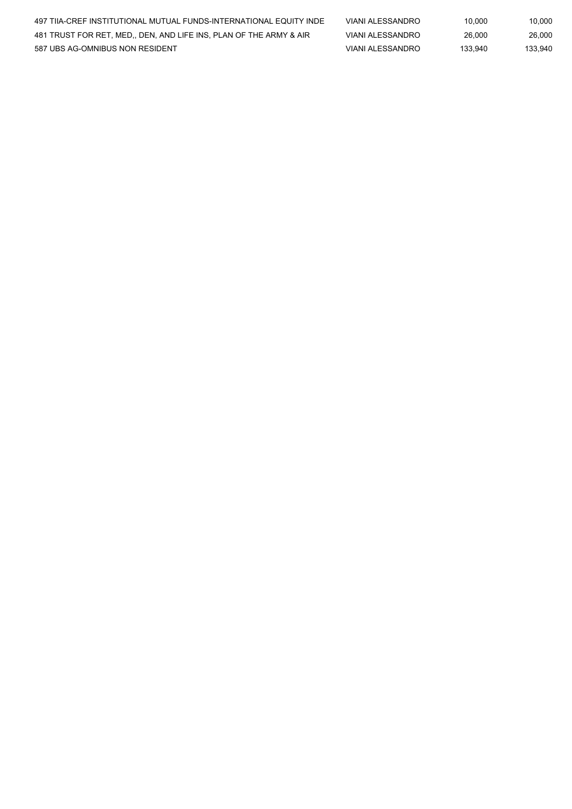| 497 TIIA-CREF INSTITUTIONAL MUTUAL FUNDS-INTERNATIONAL EQUITY INDE | VIANI ALESSANDRO | 10.000  | 10.000  |
|--------------------------------------------------------------------|------------------|---------|---------|
| 481 TRUST FOR RET. MED., DEN. AND LIFE INS. PLAN OF THE ARMY & AIR | VIANI ALESSANDRO | 26.000  | 26.000  |
| 587 UBS AG-OMNIBUS NON RESIDENT                                    | VIANI ALESSANDRO | 133.940 | 133.940 |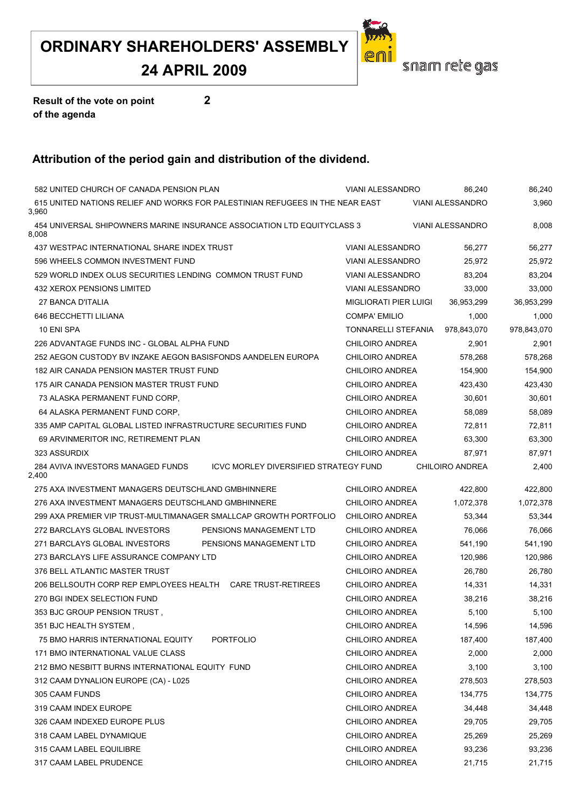#### **24 APRIL 2009**

![](_page_54_Picture_2.jpeg)

**Result of the vote on point 2 of the agenda**

| 582 UNITED CHURCH OF CANADA PENSION PLAN                                               | <b>VIANI ALESSANDRO</b> | 86,240                  | 86,240      |
|----------------------------------------------------------------------------------------|-------------------------|-------------------------|-------------|
|                                                                                        |                         |                         |             |
| 615 UNITED NATIONS RELIEF AND WORKS FOR PALESTINIAN REFUGEES IN THE NEAR EAST<br>3,960 |                         | <b>VIANI ALESSANDRO</b> | 3,960       |
| 454 UNIVERSAL SHIPOWNERS MARINE INSURANCE ASSOCIATION LTD EQUITYCLASS 3<br>8.008       |                         | <b>VIANI ALESSANDRO</b> | 8,008       |
| 437 WESTPAC INTERNATIONAL SHARE INDEX TRUST                                            | <b>VIANI ALESSANDRO</b> | 56,277                  | 56,277      |
| 596 WHEELS COMMON INVESTMENT FUND                                                      | <b>VIANI ALESSANDRO</b> | 25,972                  | 25,972      |
| 529 WORLD INDEX OLUS SECURITIES LENDING COMMON TRUST FUND                              | <b>VIANI ALESSANDRO</b> | 83,204                  | 83,204      |
| 432 XEROX PENSIONS LIMITED                                                             | <b>VIANI ALESSANDRO</b> | 33,000                  | 33,000      |
| 27 BANCA D'ITALIA                                                                      | MIGLIORATI PIER LUIGI   | 36,953,299              | 36,953,299  |
| 646 BECCHETTI LILIANA                                                                  | <b>COMPA' EMILIO</b>    | 1,000                   | 1,000       |
| 10 ENI SPA                                                                             | TONNARELLI STEFANIA     | 978,843,070             | 978,843,070 |
| 226 ADVANTAGE FUNDS INC - GLOBAL ALPHA FUND                                            | <b>CHILOIRO ANDREA</b>  | 2,901                   | 2,901       |
| 252 AEGON CUSTODY BV INZAKE AEGON BASISFONDS AANDELEN EUROPA                           | <b>CHILOIRO ANDREA</b>  | 578,268                 | 578,268     |
| 182 AIR CANADA PENSION MASTER TRUST FUND                                               | <b>CHILOIRO ANDREA</b>  | 154,900                 | 154,900     |
| 175 AIR CANADA PENSION MASTER TRUST FUND                                               | <b>CHILOIRO ANDREA</b>  | 423,430                 | 423,430     |
| 73 ALASKA PERMANENT FUND CORP.                                                         | <b>CHILOIRO ANDREA</b>  | 30,601                  | 30,601      |
| 64 ALASKA PERMANENT FUND CORP.                                                         | <b>CHILOIRO ANDREA</b>  | 58,089                  | 58,089      |
| 335 AMP CAPITAL GLOBAL LISTED INFRASTRUCTURE SECURITIES FUND                           | <b>CHILOIRO ANDREA</b>  | 72,811                  | 72,811      |
| 69 ARVINMERITOR INC, RETIREMENT PLAN                                                   | <b>CHILOIRO ANDREA</b>  | 63,300                  | 63,300      |
| 323 ASSURDIX                                                                           | <b>CHILOIRO ANDREA</b>  | 87,971                  | 87,971      |
| 284 AVIVA INVESTORS MANAGED FUNDS<br>ICVC MORLEY DIVERSIFIED STRATEGY FUND<br>2,400    |                         | <b>CHILOIRO ANDREA</b>  | 2,400       |
| 275 AXA INVESTMENT MANAGERS DEUTSCHLAND GMBHINNERE                                     | <b>CHILOIRO ANDREA</b>  | 422,800                 | 422,800     |
| 276 AXA INVESTMENT MANAGERS DEUTSCHLAND GMBHINNERE                                     | <b>CHILOIRO ANDREA</b>  | 1,072,378               | 1,072,378   |
| 299 AXA PREMIER VIP TRUST-MULTIMANAGER SMALLCAP GROWTH PORTFOLIO                       | <b>CHILOIRO ANDREA</b>  | 53,344                  | 53,344      |
| 272 BARCLAYS GLOBAL INVESTORS<br>PENSIONS MANAGEMENT LTD                               | <b>CHILOIRO ANDREA</b>  | 76,066                  | 76,066      |
| 271 BARCLAYS GLOBAL INVESTORS<br>PENSIONS MANAGEMENT LTD                               | <b>CHILOIRO ANDREA</b>  | 541,190                 | 541,190     |
| 273 BARCLAYS LIFE ASSURANCE COMPANY LTD                                                | <b>CHILOIRO ANDREA</b>  | 120,986                 | 120,986     |
| 376 BELL ATLANTIC MASTER TRUST                                                         | <b>CHILOIRO ANDREA</b>  | 26,780                  | 26,780      |
| 206 BELLSOUTH CORP REP EMPLOYEES HEALTH  CARE TRUST-RETIREES                           | <b>CHILOIRO ANDREA</b>  | 14,331                  | 14,331      |
| 270 BGI INDEX SELECTION FUND                                                           | <b>CHILOIRO ANDREA</b>  | 38,216                  | 38,216      |
| 353 BJC GROUP PENSION TRUST,                                                           | CHILOIRO ANDREA         | 5,100                   | 5,100       |
| 351 BJC HEALTH SYSTEM,                                                                 | <b>CHILOIRO ANDREA</b>  | 14,596                  | 14,596      |
| 75 BMO HARRIS INTERNATIONAL EQUITY<br>PORTFOLIO                                        | <b>CHILOIRO ANDREA</b>  | 187,400                 | 187,400     |
| 171 BMO INTERNATIONAL VALUE CLASS                                                      | <b>CHILOIRO ANDREA</b>  | 2,000                   | 2,000       |
| 212 BMO NESBITT BURNS INTERNATIONAL EQUITY FUND                                        | <b>CHILOIRO ANDREA</b>  | 3,100                   | 3,100       |
| 312 CAAM DYNALION EUROPE (CA) - L025                                                   | CHILOIRO ANDREA         | 278,503                 | 278,503     |
| 305 CAAM FUNDS                                                                         | <b>CHILOIRO ANDREA</b>  | 134,775                 | 134,775     |
| 319 CAAM INDEX EUROPE                                                                  | <b>CHILOIRO ANDREA</b>  | 34,448                  | 34,448      |
| 326 CAAM INDEXED EUROPE PLUS                                                           | <b>CHILOIRO ANDREA</b>  | 29,705                  | 29,705      |
| 318 CAAM LABEL DYNAMIQUE                                                               | <b>CHILOIRO ANDREA</b>  | 25,269                  | 25,269      |
| 315 CAAM LABEL EQUILIBRE                                                               | <b>CHILOIRO ANDREA</b>  | 93,236                  | 93,236      |
| 317 CAAM LABEL PRUDENCE                                                                | <b>CHILOIRO ANDREA</b>  | 21,715                  | 21,715      |
|                                                                                        |                         |                         |             |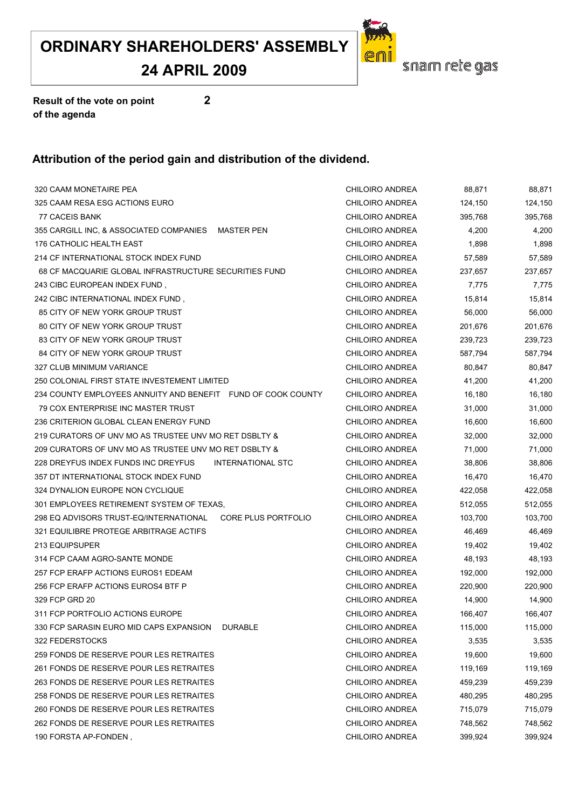**24 APRIL 2009**

![](_page_55_Picture_2.jpeg)

**Result of the vote on point 2 of the agenda**

| 320 CAAM MONETAIRE PEA                                        | <b>CHILOIRO ANDREA</b> | 88,871  | 88,871  |
|---------------------------------------------------------------|------------------------|---------|---------|
| 325 CAAM RESA ESG ACTIONS EURO                                | <b>CHILOIRO ANDREA</b> | 124,150 | 124,150 |
| 77 CACEIS BANK                                                | CHILOIRO ANDREA        | 395,768 | 395,768 |
| 355 CARGILL INC, & ASSOCIATED COMPANIES<br><b>MASTER PEN</b>  | CHILOIRO ANDREA        | 4,200   | 4,200   |
| 176 CATHOLIC HEALTH EAST                                      | <b>CHILOIRO ANDREA</b> | 1,898   | 1,898   |
| 214 CF INTERNATIONAL STOCK INDEX FUND                         | <b>CHILOIRO ANDREA</b> | 57,589  | 57,589  |
| 68 CF MACQUARIE GLOBAL INFRASTRUCTURE SECURITIES FUND         | CHILOIRO ANDREA        | 237,657 | 237,657 |
| 243 CIBC EUROPEAN INDEX FUND,                                 | <b>CHILOIRO ANDREA</b> | 7,775   | 7,775   |
| 242 CIBC INTERNATIONAL INDEX FUND,                            | CHILOIRO ANDREA        | 15,814  | 15,814  |
| 85 CITY OF NEW YORK GROUP TRUST                               | CHILOIRO ANDREA        | 56,000  | 56,000  |
| 80 CITY OF NEW YORK GROUP TRUST                               | CHILOIRO ANDREA        | 201,676 | 201,676 |
| 83 CITY OF NEW YORK GROUP TRUST                               | CHILOIRO ANDREA        | 239,723 | 239,723 |
| 84 CITY OF NEW YORK GROUP TRUST                               | CHILOIRO ANDREA        | 587,794 | 587,794 |
| 327 CLUB MINIMUM VARIANCE                                     | <b>CHILOIRO ANDREA</b> | 80,847  | 80,847  |
| 250 COLONIAL FIRST STATE INVESTEMENT LIMITED                  | <b>CHILOIRO ANDREA</b> | 41,200  | 41,200  |
| 234 COUNTY EMPLOYEES ANNUITY AND BENEFIT FUND OF COOK COUNTY  | CHILOIRO ANDREA        | 16,180  | 16,180  |
| 79 COX ENTERPRISE INC MASTER TRUST                            | <b>CHILOIRO ANDREA</b> | 31,000  | 31,000  |
| 236 CRITERION GLOBAL CLEAN ENERGY FUND                        | <b>CHILOIRO ANDREA</b> | 16,600  | 16,600  |
| 219 CURATORS OF UNV MO AS TRUSTEE UNV MO RET DSBLTY &         | CHILOIRO ANDREA        | 32,000  | 32,000  |
| 209 CURATORS OF UNV MO AS TRUSTEE UNV MO RET DSBLTY &         | CHILOIRO ANDREA        | 71,000  | 71,000  |
| 228 DREYFUS INDEX FUNDS INC DREYFUS<br>INTERNATIONAL STC      | CHILOIRO ANDREA        | 38,806  | 38,806  |
| 357 DT INTERNATIONAL STOCK INDEX FUND                         | <b>CHILOIRO ANDREA</b> | 16,470  | 16,470  |
| 324 DYNALION EUROPE NON CYCLIQUE                              | CHILOIRO ANDREA        | 422,058 | 422,058 |
| 301 EMPLOYEES RETIREMENT SYSTEM OF TEXAS,                     | CHILOIRO ANDREA        | 512,055 | 512,055 |
| 298 EQ ADVISORS TRUST-EQ/INTERNATIONAL<br>CORE PLUS PORTFOLIO | CHILOIRO ANDREA        | 103,700 | 103,700 |
| 321 EQUILIBRE PROTEGE ARBITRAGE ACTIFS                        | CHILOIRO ANDREA        | 46,469  | 46,469  |
| 213 EQUIPSUPER                                                | CHILOIRO ANDREA        | 19,402  | 19,402  |
| 314 FCP CAAM AGRO-SANTE MONDE                                 | <b>CHILOIRO ANDREA</b> | 48,193  | 48,193  |
| 257 FCP ERAFP ACTIONS EUROS1 EDEAM                            | CHILOIRO ANDREA        | 192,000 | 192,000 |
| 256 FCP ERAFP ACTIONS EUROS4 BTF P                            | <b>CHILOIRO ANDREA</b> | 220,900 | 220,900 |
| 329 FCP GRD 20                                                | CHILOIRO ANDREA        | 14,900  | 14,900  |
| 311 FCP PORTFOLIO ACTIONS EUROPE                              | CHILOIRO ANDREA        | 166,407 | 166,407 |
| 330 FCP SARASIN EURO MID CAPS EXPANSION<br><b>DURABLE</b>     | <b>CHILOIRO ANDREA</b> | 115,000 | 115,000 |
| 322 FEDERSTOCKS                                               | CHILOIRO ANDREA        | 3,535   | 3,535   |
| 259 FONDS DE RESERVE POUR LES RETRAITES                       | <b>CHILOIRO ANDREA</b> | 19,600  | 19,600  |
| 261 FONDS DE RESERVE POUR LES RETRAITES                       | <b>CHILOIRO ANDREA</b> | 119,169 | 119,169 |
| 263 FONDS DE RESERVE POUR LES RETRAITES                       | CHILOIRO ANDREA        | 459,239 | 459,239 |
| 258 FONDS DE RESERVE POUR LES RETRAITES                       | <b>CHILOIRO ANDREA</b> | 480,295 | 480,295 |
| 260 FONDS DE RESERVE POUR LES RETRAITES                       | CHILOIRO ANDREA        | 715,079 | 715,079 |
| 262 FONDS DE RESERVE POUR LES RETRAITES                       | CHILOIRO ANDREA        | 748,562 | 748,562 |
| 190 FORSTA AP-FONDEN,                                         | CHILOIRO ANDREA        | 399,924 | 399,924 |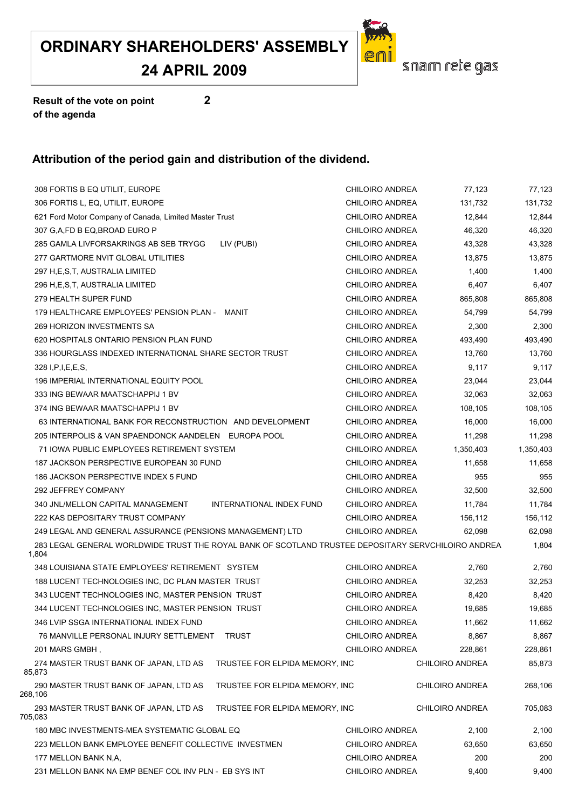#### **24 APRIL 2009**

![](_page_56_Picture_2.jpeg)

**Result of the vote on point 2 of the agenda**

| 308 FORTIS B EQ UTILIT, EUROPE                                                                               | CHILOIRO ANDREA        | 77,123                 | 77,123    |
|--------------------------------------------------------------------------------------------------------------|------------------------|------------------------|-----------|
| 306 FORTIS L, EQ, UTILIT, EUROPE                                                                             | CHILOIRO ANDREA        | 131,732                | 131,732   |
| 621 Ford Motor Company of Canada, Limited Master Trust                                                       | CHILOIRO ANDREA        | 12,844                 | 12,844    |
| 307 G,A,FD B EQ,BROAD EURO P                                                                                 | CHILOIRO ANDREA        | 46,320                 | 46,320    |
| 285 GAMLA LIVFORSAKRINGS AB SEB TRYGG<br>LIV (PUBI)                                                          | CHILOIRO ANDREA        | 43,328                 | 43,328    |
| 277 GARTMORE NVIT GLOBAL UTILITIES                                                                           | CHILOIRO ANDREA        | 13,875                 | 13,875    |
| 297 H,E,S,T, AUSTRALIA LIMITED                                                                               | CHILOIRO ANDREA        | 1,400                  | 1,400     |
| 296 H,E,S,T, AUSTRALIA LIMITED                                                                               | CHILOIRO ANDREA        | 6,407                  | 6,407     |
| 279 HEALTH SUPER FUND                                                                                        | CHILOIRO ANDREA        | 865,808                | 865,808   |
| 179 HEALTHCARE EMPLOYEES' PENSION PLAN - MANIT                                                               | CHILOIRO ANDREA        | 54,799                 | 54,799    |
| 269 HORIZON INVESTMENTS SA                                                                                   | CHILOIRO ANDREA        | 2,300                  | 2,300     |
| 620 HOSPITALS ONTARIO PENSION PLAN FUND                                                                      | CHILOIRO ANDREA        | 493,490                | 493,490   |
| 336 HOURGLASS INDEXED INTERNATIONAL SHARE SECTOR TRUST                                                       | CHILOIRO ANDREA        | 13,760                 | 13,760    |
| 328 I, P, I, E, E, S,                                                                                        | CHILOIRO ANDREA        | 9,117                  | 9,117     |
| 196 IMPERIAL INTERNATIONAL EQUITY POOL                                                                       | <b>CHILOIRO ANDREA</b> | 23,044                 | 23,044    |
| 333 ING BEWAAR MAATSCHAPPIJ 1 BV                                                                             | CHILOIRO ANDREA        | 32,063                 | 32,063    |
| 374 ING BEWAAR MAATSCHAPPIJ 1 BV                                                                             | CHILOIRO ANDREA        | 108,105                | 108,105   |
| 63 INTERNATIONAL BANK FOR RECONSTRUCTION AND DEVELOPMENT                                                     | CHILOIRO ANDREA        | 16,000                 | 16,000    |
| 205 INTERPOLIS & VAN SPAENDONCK AANDELEN EUROPA POOL                                                         | CHILOIRO ANDREA        | 11,298                 | 11,298    |
| 71 IOWA PUBLIC EMPLOYEES RETIREMENT SYSTEM                                                                   | CHILOIRO ANDREA        | 1,350,403              | 1,350,403 |
| 187 JACKSON PERSPECTIVE EUROPEAN 30 FUND                                                                     | CHILOIRO ANDREA        | 11,658                 | 11,658    |
| 186 JACKSON PERSPECTIVE INDEX 5 FUND                                                                         | CHILOIRO ANDREA        | 955                    | 955       |
| 292 JEFFREY COMPANY                                                                                          | CHILOIRO ANDREA        | 32,500                 | 32,500    |
| INTERNATIONAL INDEX FUND<br>340 JNL/MELLON CAPITAL MANAGEMENT                                                | CHILOIRO ANDREA        | 11,784                 | 11,784    |
| 222 KAS DEPOSITARY TRUST COMPANY                                                                             | CHILOIRO ANDREA        | 156,112                | 156,112   |
| 249 LEGAL AND GENERAL ASSURANCE (PENSIONS MANAGEMENT) LTD                                                    | CHILOIRO ANDREA        | 62,098                 | 62,098    |
| 283 LEGAL GENERAL WORLDWIDE TRUST THE ROYAL BANK OF SCOTLAND TRUSTEE DEPOSITARY SERVCHILOIRO ANDREA<br>1,804 |                        |                        | 1,804     |
| 348 LOUISIANA STATE EMPLOYEES' RETIREMENT SYSTEM                                                             | CHILOIRO ANDREA        | 2,760                  | 2,760     |
| 188 LUCENT TECHNOLOGIES INC, DC PLAN MASTER TRUST                                                            | CHILOIRO ANDREA        | 32,253                 | 32,253    |
| 343 LUCENT TECHNOLOGIES INC, MASTER PENSION TRUST                                                            | CHILOIRO ANDREA        | 8,420                  | 8,420     |
| 344 LUCENT TECHNOLOGIES INC, MASTER PENSION TRUST                                                            | <b>CHILOIRO ANDREA</b> | 19,685                 | 19,685    |
| 346 LVIP SSGA INTERNATIONAL INDEX FUND                                                                       | <b>CHILOIRO ANDREA</b> | 11,662                 | 11,662    |
| <b>TRUST</b><br>76 MANVILLE PERSONAL INJURY SETTLEMENT                                                       | <b>CHILOIRO ANDREA</b> | 8,867                  | 8,867     |
| 201 MARS GMBH,                                                                                               | <b>CHILOIRO ANDREA</b> | 228,861                | 228,861   |
| 274 MASTER TRUST BANK OF JAPAN, LTD AS<br>TRUSTEE FOR ELPIDA MEMORY, INC<br>85,873                           |                        | CHILOIRO ANDREA        | 85,873    |
| 290 MASTER TRUST BANK OF JAPAN, LTD AS<br>TRUSTEE FOR ELPIDA MEMORY, INC<br>268,106                          |                        | <b>CHILOIRO ANDREA</b> | 268,106   |
| 293 MASTER TRUST BANK OF JAPAN, LTD AS<br>TRUSTEE FOR ELPIDA MEMORY, INC<br>705,083                          |                        | <b>CHILOIRO ANDREA</b> | 705,083   |
| 180 MBC INVESTMENTS-MEA SYSTEMATIC GLOBAL EQ                                                                 | <b>CHILOIRO ANDREA</b> | 2,100                  | 2,100     |
| 223 MELLON BANK EMPLOYEE BENEFIT COLLECTIVE INVESTMEN                                                        | <b>CHILOIRO ANDREA</b> | 63,650                 | 63,650    |
| 177 MELLON BANK N,A,                                                                                         | CHILOIRO ANDREA        | 200                    | 200       |
| 231 MELLON BANK NA EMP BENEF COL INV PLN - EB SYS INT                                                        | CHILOIRO ANDREA        | 9,400                  | 9,400     |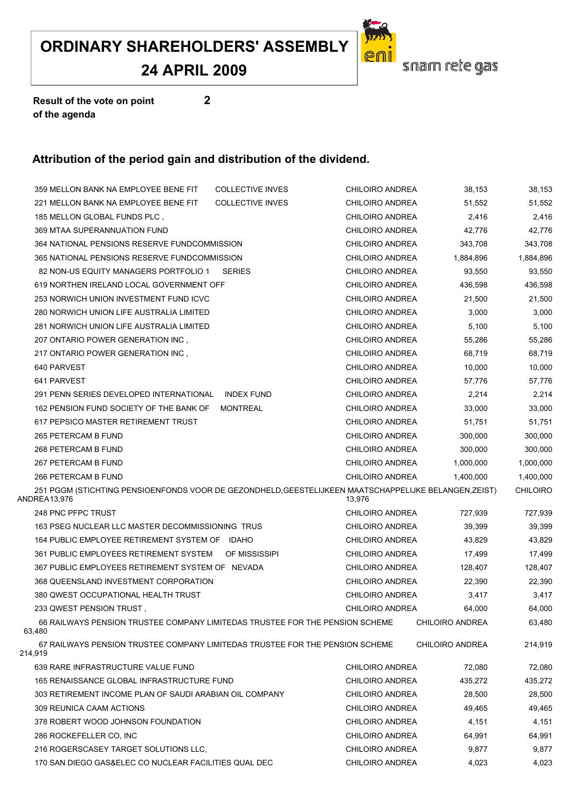**24 APRIL 2009**

![](_page_57_Picture_2.jpeg)

**Result of the vote on point 2 of the agenda**

| <b>COLLECTIVE INVES</b><br>359 MELLON BANK NA EMPLOYEE BENE FIT                                                       | <b>CHILOIRO ANDREA</b> | 38,153                 | 38,153          |
|-----------------------------------------------------------------------------------------------------------------------|------------------------|------------------------|-----------------|
| 221 MELLON BANK NA EMPLOYEE BENE FIT<br><b>COLLECTIVE INVES</b>                                                       | <b>CHILOIRO ANDREA</b> | 51,552                 | 51,552          |
| 185 MELLON GLOBAL FUNDS PLC,                                                                                          | <b>CHILOIRO ANDREA</b> | 2,416                  | 2,416           |
| 369 MTAA SUPERANNUATION FUND                                                                                          | <b>CHILOIRO ANDREA</b> | 42,776                 | 42,776          |
| 364 NATIONAL PENSIONS RESERVE FUNDCOMMISSION                                                                          | CHILOIRO ANDREA        | 343,708                | 343,708         |
| 365 NATIONAL PENSIONS RESERVE FUNDCOMMISSION                                                                          | CHILOIRO ANDREA        | 1,884,896              | 1,884,896       |
| 82 NON-US EQUITY MANAGERS PORTFOLIO 1 SERIES                                                                          | <b>CHILOIRO ANDREA</b> | 93,550                 | 93,550          |
| 619 NORTHEN IRELAND LOCAL GOVERNMENT OFF                                                                              | CHILOIRO ANDREA        | 436,598                | 436,598         |
| 253 NORWICH UNION INVESTMENT FUND ICVC                                                                                | <b>CHILOIRO ANDREA</b> | 21,500                 | 21,500          |
| 280 NORWICH UNION LIFE AUSTRALIA LIMITED                                                                              | <b>CHILOIRO ANDREA</b> | 3,000                  | 3,000           |
| 281 NORWICH UNION LIFE AUSTRALIA LIMITED                                                                              | <b>CHILOIRO ANDREA</b> | 5,100                  | 5,100           |
| 207 ONTARIO POWER GENERATION INC,                                                                                     | <b>CHILOIRO ANDREA</b> | 55,286                 | 55,286          |
| 217 ONTARIO POWER GENERATION INC,                                                                                     | CHILOIRO ANDREA        | 68,719                 | 68,719          |
| 640 PARVEST                                                                                                           | <b>CHILOIRO ANDREA</b> | 10,000                 | 10,000          |
| 641 PARVEST                                                                                                           | <b>CHILOIRO ANDREA</b> | 57,776                 | 57,776          |
| 291 PENN SERIES DEVELOPED INTERNATIONAL<br><b>INDEX FUND</b>                                                          | <b>CHILOIRO ANDREA</b> | 2,214                  | 2,214           |
| 162 PENSION FUND SOCIETY OF THE BANK OF<br>MONTREAL                                                                   | CHILOIRO ANDREA        | 33,000                 | 33,000          |
| 617 PEPSICO MASTER RETIREMENT TRUST                                                                                   | CHILOIRO ANDREA        | 51,751                 | 51,751          |
| 265 PETERCAM B FUND                                                                                                   | <b>CHILOIRO ANDREA</b> | 300,000                | 300,000         |
| 268 PETERCAM B FUND                                                                                                   | <b>CHILOIRO ANDREA</b> | 300,000                | 300,000         |
| 267 PETERCAM B FUND                                                                                                   | CHILOIRO ANDREA        | 1,000,000              | 1,000,000       |
| 266 PETERCAM B FUND                                                                                                   | CHILOIRO ANDREA        | 1,400,000              | 1,400,000       |
| 251 PGGM (STICHTING PENSIOENFONDS VOOR DE GEZONDHELD, GEESTELIJKEEN MAATSCHAPPELIJKE BELANGEN, ZEIST)<br>ANDREA13,976 | 13,976                 |                        | <b>CHILOIRO</b> |
| 248 PNC PFPC TRUST                                                                                                    | <b>CHILOIRO ANDREA</b> | 727,939                | 727,939         |
| 163 PSEG NUCLEAR LLC MASTER DECOMMISSIONING TRUS                                                                      | CHILOIRO ANDREA        | 39,399                 | 39,399          |
| 164 PUBLIC EMPLOYEE RETIREMENT SYSTEM OF IDAHO                                                                        | <b>CHILOIRO ANDREA</b> | 43,829                 | 43,829          |
| 361 PUBLIC EMPLOYEES RETIREMENT SYSTEM<br>OF MISSISSIPI                                                               | <b>CHILOIRO ANDREA</b> | 17,499                 | 17,499          |
| 367 PUBLIC EMPLOYEES RETIREMENT SYSTEM OF NEVADA                                                                      | <b>CHILOIRO ANDREA</b> | 128,407                | 128,407         |
| 368 QUEENSLAND INVESTMENT CORPORATION                                                                                 | <b>CHILOIRO ANDREA</b> | 22,390                 | 22,390          |
| 380 QWEST OCCUPATIONAL HEALTH TRUST                                                                                   | <b>CHILOIRO ANDREA</b> | 3,417                  | 3,417           |
| 233 QWEST PENSION TRUST,                                                                                              | CHILOIRO ANDREA        | 64,000                 | 64,000          |
| 66 RAILWAYS PENSION TRUSTEE COMPANY LIMITEDAS TRUSTEE FOR THE PENSION SCHEME<br>63,480                                |                        | <b>CHILOIRO ANDREA</b> | 63,480          |
| 67 RAILWAYS PENSION TRUSTEE COMPANY LIMITEDAS TRUSTEE FOR THE PENSION SCHEME<br>214,919                               |                        | <b>CHILOIRO ANDREA</b> | 214,919         |
| 639 RARE INFRASTRUCTURE VALUE FUND                                                                                    | <b>CHILOIRO ANDREA</b> | 72,080                 | 72,080          |
| 165 RENAISSANCE GLOBAL INFRASTRUCTURE FUND                                                                            | <b>CHILOIRO ANDREA</b> | 435,272                | 435,272         |
| 303 RETIREMENT INCOME PLAN OF SAUDI ARABIAN OIL COMPANY                                                               | <b>CHILOIRO ANDREA</b> | 28,500                 | 28,500          |
| 309 REUNICA CAAM ACTIONS                                                                                              | <b>CHILOIRO ANDREA</b> | 49,465                 | 49,465          |
| 378 ROBERT WOOD JOHNSON FOUNDATION                                                                                    | <b>CHILOIRO ANDREA</b> | 4,151                  | 4,151           |
| 286 ROCKEFELLER CO, INC                                                                                               | <b>CHILOIRO ANDREA</b> | 64,991                 | 64,991          |
| 216 ROGERSCASEY TARGET SOLUTIONS LLC,                                                                                 | CHILOIRO ANDREA        | 9,877                  | 9,877           |
| 170 SAN DIEGO GAS&ELEC CO NUCLEAR FACILITIES QUAL DEC                                                                 | CHILOIRO ANDREA        | 4,023                  | 4,023           |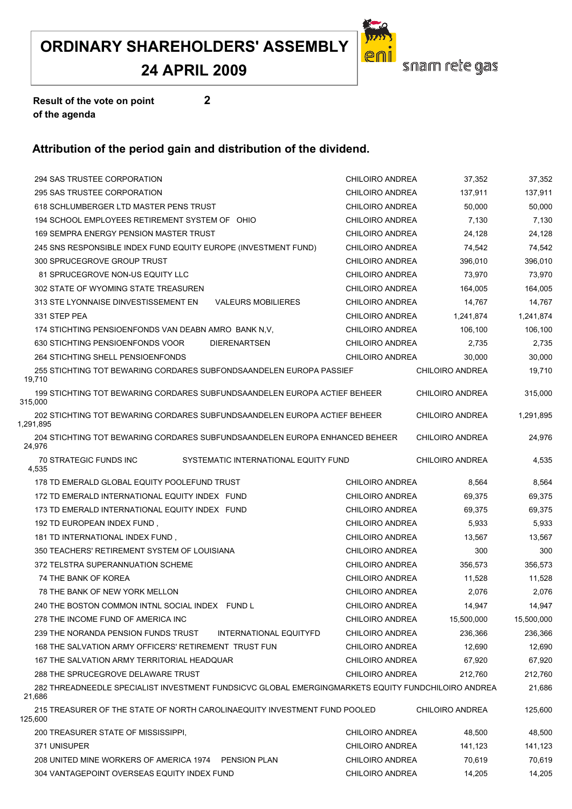#### **24 APRIL 2009**

![](_page_58_Picture_2.jpeg)

**Result of the vote on point 2 of the agenda**

| 294 SAS TRUSTEE CORPORATION                                                                        | CHILOIRO ANDREA        | 37,352                 | 37,352     |
|----------------------------------------------------------------------------------------------------|------------------------|------------------------|------------|
| 295 SAS TRUSTEE CORPORATION                                                                        | <b>CHILOIRO ANDREA</b> | 137,911                | 137,911    |
| 618 SCHLUMBERGER LTD MASTER PENS TRUST                                                             | <b>CHILOIRO ANDREA</b> | 50,000                 | 50,000     |
| 194 SCHOOL EMPLOYEES RETIREMENT SYSTEM OF OHIO                                                     | <b>CHILOIRO ANDREA</b> | 7,130                  | 7,130      |
| 169 SEMPRA ENERGY PENSION MASTER TRUST                                                             | <b>CHILOIRO ANDREA</b> | 24,128                 | 24,128     |
| 245 SNS RESPONSIBLE INDEX FUND EQUITY EUROPE (INVESTMENT FUND)                                     | <b>CHILOIRO ANDREA</b> | 74,542                 | 74,542     |
| 300 SPRUCEGROVE GROUP TRUST                                                                        | <b>CHILOIRO ANDREA</b> | 396,010                | 396,010    |
| 81 SPRUCEGROVE NON-US EQUITY LLC                                                                   | CHILOIRO ANDREA        | 73,970                 | 73,970     |
| 302 STATE OF WYOMING STATE TREASUREN                                                               | CHILOIRO ANDREA        | 164,005                | 164,005    |
| 313 STE LYONNAISE DINVESTISSEMENT EN<br><b>VALEURS MOBILIERES</b>                                  | CHILOIRO ANDREA        | 14,767                 | 14,767     |
| 331 STEP PEA                                                                                       | CHILOIRO ANDREA        | 1,241,874              | 1,241,874  |
| 174 STICHTING PENSIOENFONDS VAN DEABN AMRO BANK N.V.                                               | CHILOIRO ANDREA        | 106,100                | 106,100    |
| 630 STICHTING PENSIOENFONDS VOOR<br><b>DIERENARTSEN</b>                                            | CHILOIRO ANDREA        | 2,735                  | 2,735      |
| 264 STICHTING SHELL PENSIOENFONDS                                                                  | CHILOIRO ANDREA        | 30,000                 | 30,000     |
| 255 STICHTING TOT BEWARING CORDARES SUBFONDSAANDELEN EUROPA PASSIEF<br>19,710                      |                        | <b>CHILOIRO ANDREA</b> | 19,710     |
| 199 STICHTING TOT BEWARING CORDARES SUBFUNDSAANDELEN EUROPA ACTIEF BEHEER<br>315,000               |                        | <b>CHILOIRO ANDREA</b> | 315,000    |
| 202 STICHTING TOT BEWARING CORDARES SUBFUNDSAANDELEN EUROPA ACTIEF BEHEER<br>1,291,895             |                        | CHILOIRO ANDREA        | 1,291,895  |
| 204 STICHTING TOT BEWARING CORDARES SUBFUNDSAANDELEN EUROPA ENHANCED BEHEER<br>24,976              |                        | <b>CHILOIRO ANDREA</b> | 24,976     |
| 70 STRATEGIC FUNDS INC<br>SYSTEMATIC INTERNATIONAL EQUITY FUND<br>4,535                            |                        | CHILOIRO ANDREA        | 4,535      |
| 178 TD EMERALD GLOBAL EQUITY POOLEFUND TRUST                                                       | CHILOIRO ANDREA        | 8,564                  | 8,564      |
| 172 TD EMERALD INTERNATIONAL EQUITY INDEX FUND                                                     | CHILOIRO ANDREA        | 69,375                 | 69,375     |
| 173 TD EMERALD INTERNATIONAL EQUITY INDEX FUND                                                     | CHILOIRO ANDREA        | 69,375                 | 69,375     |
| 192 TD EUROPEAN INDEX FUND,                                                                        | CHILOIRO ANDREA        | 5,933                  | 5,933      |
| 181 TD INTERNATIONAL INDEX FUND,                                                                   | CHILOIRO ANDREA        | 13,567                 | 13,567     |
| 350 TEACHERS' RETIREMENT SYSTEM OF LOUISIANA                                                       | CHILOIRO ANDREA        | 300                    | 300        |
| 372 TELSTRA SUPERANNUATION SCHEME                                                                  | CHILOIRO ANDREA        | 356,573                | 356,573    |
| 74 THE BANK OF KOREA                                                                               | <b>CHILOIRO ANDREA</b> | 11,528                 | 11,528     |
| 78 THE BANK OF NEW YORK MELLON                                                                     | <b>CHILOIRO ANDREA</b> | 2,076                  | 2,076      |
| 240 THE BOSTON COMMON INTNL SOCIAL INDEX FUND L                                                    | CHILOIRO ANDREA        | 14,947                 | 14,947     |
| 278 THE INCOME FUND OF AMERICA INC                                                                 | CHILOIRO ANDREA        | 15,500,000             | 15,500,000 |
| 239 THE NORANDA PENSION FUNDS TRUST<br>INTERNATIONAL EQUITYFD                                      | <b>CHILOIRO ANDREA</b> | 236,366                | 236,366    |
| 168 THE SALVATION ARMY OFFICERS' RETIREMENT TRUST FUN                                              | <b>CHILOIRO ANDREA</b> | 12,690                 | 12,690     |
| 167 THE SALVATION ARMY TERRITORIAL HEADQUAR                                                        | CHILOIRO ANDREA        | 67,920                 | 67,920     |
| 288 THE SPRUCEGROVE DELAWARE TRUST                                                                 | CHILOIRO ANDREA        | 212,760                | 212,760    |
| 282 THREADNEEDLE SPECIALIST INVESTMENT FUNDSICVC GLOBAL EMERGINGMARKETS EQUITY FUNDCHILOIRO ANDREA |                        |                        | 21,686     |
| 21,686                                                                                             |                        |                        |            |
| 215 TREASURER OF THE STATE OF NORTH CAROLINAEQUITY INVESTMENT FUND POOLED<br>125,600               |                        | <b>CHILOIRO ANDREA</b> | 125,600    |
| 200 TREASURER STATE OF MISSISSIPPI,                                                                | CHILOIRO ANDREA        | 48,500                 | 48,500     |
| 371 UNISUPER                                                                                       | CHILOIRO ANDREA        | 141,123                | 141,123    |
| 208 UNITED MINE WORKERS OF AMERICA 1974 PENSION PLAN                                               | CHILOIRO ANDREA        | 70,619                 | 70,619     |
| 304 VANTAGEPOINT OVERSEAS EQUITY INDEX FUND                                                        | CHILOIRO ANDREA        | 14,205                 | 14,205     |